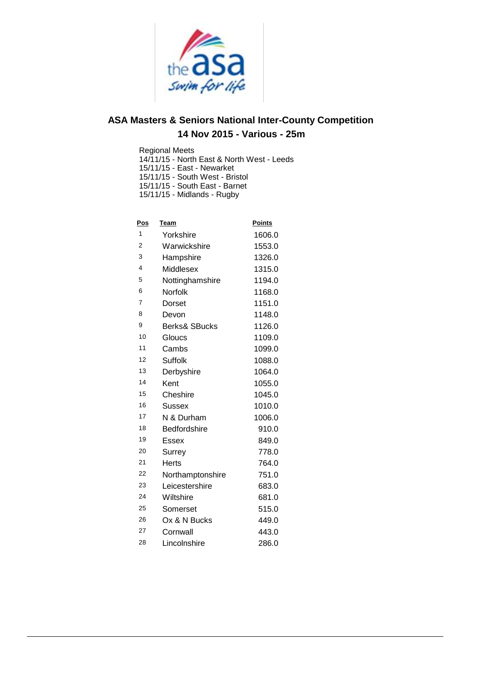

Regional Meets

14/11/15 - North East & North West - Leeds

15/11/15 - East - Newarket

15/11/15 - South West - Bristol

15/11/15 - South East - Barnet

15/11/15 - Midlands - Rugby

| <u>Pos</u> | <b>Team</b>              | <b>Points</b> |
|------------|--------------------------|---------------|
| 1          | Yorkshire                | 1606.0        |
| 2          | Warwickshire             | 1553.0        |
| 3          | Hampshire                | 1326.0        |
| 4          | Middlesex                | 1315.0        |
| 5          | Nottinghamshire          | 1194.0        |
| 6          | Norfolk                  | 1168.0        |
| 7          | Dorset                   | 1151.0        |
| 8          | Devon                    | 1148.0        |
| 9          | <b>Berks&amp; SBucks</b> | 1126.0        |
| 10         | Gloucs                   | 1109.0        |
| 11         | Cambs                    | 1099.0        |
| 12         | Suffolk                  | 1088.0        |
| 13         | Derbyshire               | 1064.0        |
| 14         | Kent                     | 1055.0        |
| 15         | Cheshire                 | 1045.0        |
| 16         | Sussex                   | 1010.0        |
| 17         | N & Durham               | 1006.0        |
| 18         | <b>Bedfordshire</b>      | 910.0         |
| 19         | <b>Essex</b>             | 849.0         |
| 20         | Surrey                   | 778.0         |
| 21         | <b>Herts</b>             | 764.0         |
| 22         | Northamptonshire         | 751.0         |
| 23         | Leicestershire           | 683.0         |
| 24         | Wiltshire                | 681.0         |
| 25         | Somerset                 | 515.0         |
| 26         | Ox & N Bucks             | 449.0         |
| 27         | Cornwall                 | 443.0         |
| 28         | Lincolnshire             | 286.0         |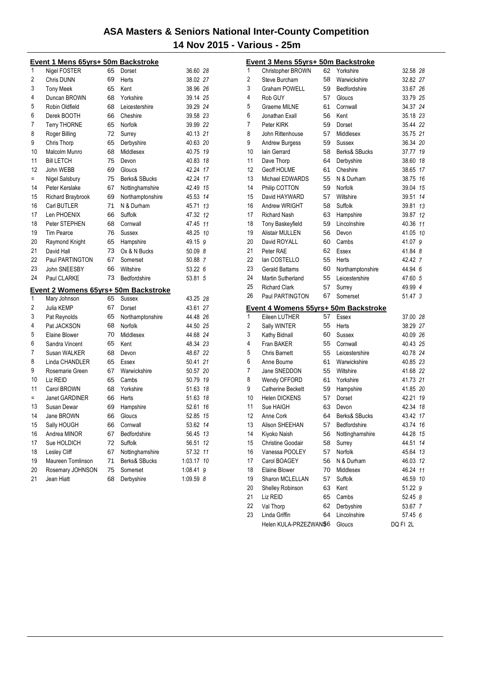|     | Event 1 Mens 65yrs+ 50m Backstroke   |    |                     |           |    |
|-----|--------------------------------------|----|---------------------|-----------|----|
| 1   | Nigel FOSTER                         | 65 | Dorset              | 36.60 28  |    |
| 2   | Chris DUNN                           | 69 | Herts               | 38.02 27  |    |
| 3   | <b>Tony Meek</b>                     | 65 | Kent                | 38.96 26  |    |
| 4   | Duncan BROWN                         | 68 | Yorkshire           | 39.14 25  |    |
| 5   | Robin Oldfield                       | 68 | Leicestershire      | 39.29 24  |    |
| 6   | Derek BOOTH                          | 66 | Cheshire            | 39.58 23  |    |
| 7   | <b>Terry THORNE</b>                  | 65 | Norfolk             | 39.99 22  |    |
| 8   | Roger Billing                        | 72 | Surrey              | 40.13 21  |    |
| 9   | Chris Thorp                          | 65 | Derbyshire          | 40.63 20  |    |
| 10  | Malcolm Munro                        | 68 | Middlesex           | 40.75 19  |    |
| 11  | <b>Bill LETCH</b>                    | 75 | Devon               | 40.83 18  |    |
| 12  | John WEBB                            | 69 | Gloucs              | 42.24 17  |    |
| $=$ | Nigel Salsbury                       | 75 | Berks& SBucks       | 42.24 17  |    |
| 14  | Peter Kerslake                       | 67 | Nottinghamshire     | 42.49     | 15 |
| 15  | Richard Braybrook                    | 69 | Northamptonshire    | 45.53     | 14 |
| 16  | Carl BUTLER                          | 71 | N & Durham          | 45.71     | 13 |
| 17  | Len PHOENIX                          | 66 | Suffolk             | 47.32 12  |    |
| 18  | Peter STEPHEN                        | 68 | Cornwall            | 47.45 11  |    |
| 19  | <b>Tim Pearce</b>                    | 76 | <b>Sussex</b>       | 48.25 10  |    |
| 20  | Raymond Knight                       | 65 | Hampshire           | 49.15 9   |    |
| 21  | David Hall                           | 73 | Ox & N Bucks        | 50.09 8   |    |
| 22  | Paul PARTINGTON                      | 67 | Somerset            | 50.88 7   |    |
| 23  | John SNEESBY                         | 66 | Wiltshire           | 53.22 6   |    |
| 24  | Paul CLARKE                          | 73 | Bedfordshire        | 53.81 5   |    |
|     | Event 2 Womens 65yrs+ 50m Backstroke |    |                     |           |    |
| 1   | Mary Johnson                         | 65 | <b>Sussex</b>       | 43.25 28  |    |
| 2   | Julia KEMP                           | 67 | Dorset              | 43.61 27  |    |
| 3   | Pat Reynolds                         | 65 | Northamptonshire    | 44.48 26  |    |
| 4   | Pat JACKSON                          | 68 | Norfolk             | 44.50 25  |    |
| 5   | Elaine Blower                        | 70 | Middlesex           | 44.68 24  |    |
| 6   | Sandra Vincent                       | 65 | Kent                | 48.34 23  |    |
| 7   | Susan WALKER                         | 68 | Devon               | 48.67 22  |    |
| 8   | Linda CHANDLER                       | 65 | Essex               | 50.41     | 21 |
| 9   | Rosemarie Green                      | 67 | Warwickshire        | 50.57 20  |    |
| 10  | Liz REID                             | 65 | Cambs               | 50.79     | 19 |
| 11  | Carol BROWN                          | 68 | Yorkshire           | 51.63     | 18 |
| $=$ | Janet GARDINER                       | 66 | Herts               | 51.63     | 18 |
| 13  | Susan Dewar                          | 69 | Hampshire           | 52.61     | 16 |
| 14  | Jane BROWN                           | 66 | Gloucs              | 52.85     | 15 |
| 15  | Sally HOUGH                          | 66 | Cornwall            | 53.62 14  |    |
| 16  | Andrea MINOR                         | 67 | <b>Bedfordshire</b> | 56.45     | 13 |
| 17  | Sue HOLDICH                          | 72 | Suffolk             | 56.51     | 12 |
| 18  | Lesley Cliff                         | 67 | Nottinghamshire     | 57.32     | 11 |
| 19  | Maureen Tomlinson                    | 71 | Berks& SBucks       | 1:03.17   | 10 |
| 20  | Rosemary JOHNSON                     | 75 | Somerset            | 1:08.41   | 9  |
| 21  | Jean Hiatt                           | 68 | Derbyshire          | 1:09.59 8 |    |

|    | Event 3 Mens 55yrs+ 50m Backstroke          |    |                                 |                      |    |
|----|---------------------------------------------|----|---------------------------------|----------------------|----|
| 1  | Christopher BROWN                           | 62 | Yorkshire                       | 32.58 28             |    |
| 2  | Steve Burcham                               | 58 | Warwickshire                    | 32.82 27             |    |
| 3  | <b>Graham POWELL</b>                        | 59 | Bedfordshire                    | 33.67 26             |    |
| 4  | Rob GUY                                     | 57 | Gloucs                          | 33.79 25             |    |
| 5  | Graeme MILNE                                | 61 | Cornwall                        | 34.37 24             |    |
| 6  | Jonathan Exall                              | 56 | Kent                            | 35.18 23             |    |
| 7  | Peter KIRK                                  | 59 | Dorset                          | 35.44 22             |    |
| 8  | John Rittenhouse                            | 57 | Middlesex                       | 35.75 21             |    |
| 9  | <b>Andrew Burgess</b>                       | 59 | Sussex                          | 36.34 20             |    |
| 10 | lain Gerrard                                | 58 | Berks& SBucks                   | 37.77 19             |    |
| 11 | Dave Thorp                                  | 64 | Derbyshire                      | 38.60 18             |    |
| 12 | Geoff HOLME                                 | 61 | Cheshire                        | 38.65 17             |    |
| 13 | Michael EDWARDS                             | 55 | N & Durham                      | 38.75 16             |    |
| 14 | Philip COTTON                               | 59 | Norfolk                         | 39.04 15             |    |
| 15 | David HAYWARD                               | 57 | Wiltshire                       | 39.51 14             |    |
| 16 | Andrew WRIGHT                               | 58 | Suffolk                         | 39.81 13             |    |
| 17 | <b>Richard Nash</b>                         | 63 | Hampshire                       | 39.87 12             |    |
| 18 | <b>Tony Baskeyfield</b>                     | 59 | Lincolnshire                    | 40.36 11             |    |
| 19 | <b>Alistair MULLEN</b>                      | 56 | Devon                           | 41.05 10             |    |
| 20 | David ROYALL                                | 60 | Cambs                           | 41.07 9              |    |
| 21 | Peter RAE                                   | 62 | Essex                           | 41.84 8              |    |
| 22 | lan COSTELLO                                | 55 | Herts                           | 42.42 7              |    |
| 23 | <b>Gerald Battams</b>                       | 60 | Northamptonshire                | 44.94 6              |    |
| 24 | Martin Sutherland                           | 55 | Leicestershire                  | 47.60 5              |    |
| 25 | <b>Richard Clark</b>                        | 57 | Surrey                          | 49.99 4              |    |
| 26 | Paul PARTINGTON                             | 67 | Somerset                        | 51.47 3              |    |
|    | <u>Event 4 Womens 55yrs+ 50m Backstroke</u> |    |                                 |                      |    |
| 1  | Eileen LUTHER                               | 57 | Essex                           | 37.00 28             |    |
| 2  | Sally WINTER                                | 55 | Herts                           | 38.29 27             |    |
| 3  | Kathy Bidnall                               | 60 | Sussex                          | 40.09 26             |    |
| 4  | Fran BAKER                                  | 55 | Cornwall                        | 40.43 25             |    |
| 5  | <b>Chris Barnett</b>                        | 55 | Leicestershire                  | 40.78 24             |    |
| 6  | Anne Bourne                                 | 61 | Warwickshire                    | 40.85 23             |    |
| 7  | Jane SNEDDON                                | 55 | Wiltshire                       | 41.68 22             |    |
| 8  | Wendy OFFORD                                | 61 | Yorkshire                       | 41.73 21             |    |
| 9  | Catherine Beckett                           | 59 | Hampshire                       | 41.85 20             |    |
| 10 | <b>Helen DICKENS</b>                        | 57 | Dorset                          | 42.21 19             |    |
| 11 | Sue HAIGH                                   | 63 | Devon                           | 42.34 18             |    |
| 12 |                                             | 64 | Berks& SBucks                   | 43.42 17             |    |
| 13 | Anne Cork                                   |    |                                 |                      |    |
| 14 | Alison SHEEHAN                              | 57 | Bedfordshire<br>Nottinghamshire | 43.74 16<br>44.28 15 |    |
|    | Kiyoko Naish                                | 56 |                                 |                      |    |
| 15 | <b>Christine Goodair</b>                    | 58 | Surrey                          | 44.51                | 14 |
| 16 | Vanessa POOLEY                              | 57 | Norfolk                         | 45.64 13             |    |
| 17 | Carol BOAGEY                                | 56 | N & Durham                      | 46.03 12             |    |
| 18 | Elaine Blower                               | 70 | Middlesex                       | 46.24 11             |    |
| 19 | Sharon MCLELLAN                             | 57 | Suffolk                         | 46.59 10             |    |
| 20 | Shelley Robinson                            | 63 | Kent                            | 51.22 9              |    |
| 21 | Liz REID                                    | 65 | Cambs                           | 52.45 8              |    |
| 22 | Val Thorp                                   | 62 | Derbyshire                      | 53.67 7              |    |
| 23 | Linda Griffin                               | 64 | Lincolnshire                    | 57.45 6              |    |
|    | Helen KULA-PRZEZWAN56                       |    | Gloucs                          | DQ FI 2L             |    |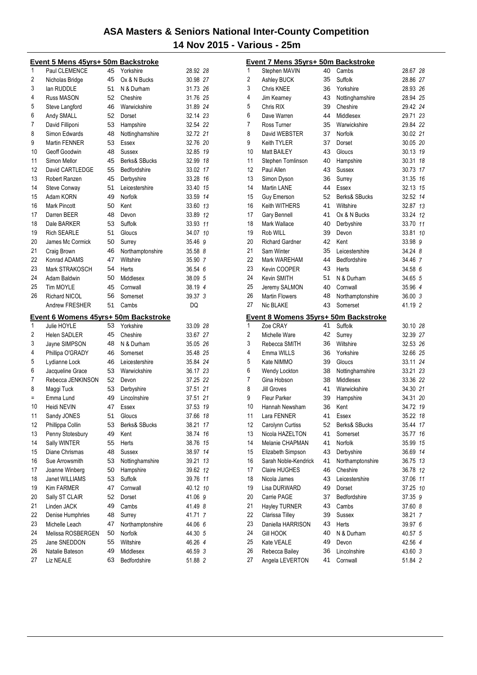|          | <u>Event 5 Mens 45yrs+ 50m Backstroke</u>           |          |                           |                    |    |
|----------|-----------------------------------------------------|----------|---------------------------|--------------------|----|
| 1        | Paul CLEMENCE                                       | 45       | Yorkshire                 | 28.92 28           |    |
| 2        | Nicholas Bridge                                     | 45       | Ox & N Bucks              | 30.98 27           |    |
| 3        | lan RUDDLE                                          | 51       | N & Durham                | 31.73 26           |    |
| 4        | Russ MASON                                          | 52       | Cheshire                  | 31.76 25           |    |
| 5        | Steve Langford                                      | 46       | Warwickshire              | 31.89 24           |    |
| 6        | Andy SMALL                                          | 52       | Dorset                    | 32.14 23           |    |
| 7        | David Filliponi                                     | 53       | Hampshire                 | 32.54 22           |    |
| 8        | Simon Edwards                                       | 48       | Nottinghamshire           | 32.72 21           |    |
| 9        | Martin FENNER                                       | 53       | Essex                     | 32.76 20           |    |
| 10       | Geoff Goodwin                                       | 48       | Sussex                    | 32.85 19           |    |
| 11       | Simon Mellor                                        | 45       | Berks& SBucks             | 32.99 18           |    |
| 12       | David CARTLEDGE                                     | 55       | Bedfordshire              | 33.02 17           |    |
| 13       | Robert Ranzen                                       | 45       | Derbyshire                | 33.28 16           |    |
| 14       | Steve Conway                                        | 51       | Leicestershire            | 33.40 15           |    |
| 15       | Adam KORN                                           | 49       | <b>Norfolk</b>            | 33.59 14           |    |
| 16       | <b>Mark Pincott</b>                                 | 50       | Kent                      | 33.60 13           |    |
| 17       | Darren BEER                                         | 48       | Devon                     | 33.89 12           |    |
| 18       | Dale BARKER                                         | 53       | Suffolk                   | 33.93 11           |    |
| 19       | <b>Rich SEARLE</b>                                  | 51       | Gloucs                    | 34.07 10           |    |
| 20       | James Mc Cormick                                    | 50       | Surrey                    | 35.46 9            |    |
| 21       | Craig Brown                                         | 46       | Northamptonshire          | 35.58 8            |    |
| 22       | Konrad ADAMS                                        | 47       | Wiltshire                 | 35.90 7            |    |
| 23       | Mark STRAKOSCH                                      | 54       | Herts                     | 36.54 6            |    |
| 24       | Adam Baldwin                                        | 50       | Middlesex                 | 38.09 5            |    |
| 25       | <b>Tim MOYLE</b>                                    | 45       | Cornwall                  | 38.19 4            |    |
| 26       | Richard NICOL                                       | 56       | Somerset                  | 39.37 3            |    |
|          | Andrew FRESHER                                      | 51       | Cambs                     | DQ                 |    |
|          |                                                     |          |                           |                    |    |
|          |                                                     |          |                           |                    |    |
| 1        | Event 6 Womens 45yrs+ 50m Backstroke<br>Julie HOYLE | 53       | Yorkshire                 | 33.09 28           |    |
| 2        | <b>Helen SADLER</b>                                 | 45       | Cheshire                  | 33.67 27           |    |
| 3        | Jayne SIMPSON                                       | 48       | N & Durham                | 35.05 26           |    |
| 4        | Phillipa O'GRADY                                    | 46       | Somerset                  | 35.48 25           |    |
| 5        | Lydianne Lock                                       | 46       | Leicestershire            | 35.84 24           |    |
| 6        | Jacqueline Grace                                    | 53       | Warwickshire              | 36.17 23           |    |
| 7        | Rebecca JENKINSON                                   | 52       | Devon                     | 37.25 22           |    |
| 8        | Maggi Tuck                                          | 53       | Derbyshire                | 37.51 21           |    |
| Ξ        | Emma Lund                                           | 49       | Lincolnshire              | 37.51 21           |    |
| 10       | Heidi NEVIN                                         | 47       | Essex                     | 37.53 19           |    |
| 11       | Sandy JONES                                         | 51       | Gloucs                    | 37.66              | 18 |
| 12       | Phillippa Collin                                    | 53       | Berks& SBucks             | 38.21              | 17 |
| 13       | Penny Stotesbury                                    | 49       | Kent                      | 38.74              | 16 |
| 14       | Sally WINTER                                        | 55       | <b>Herts</b>              | 38.76              | 15 |
| 15       | Diane Chrismas                                      | 48       | Sussex                    | 38.97              | 14 |
| 16       | Sue Arrowsmith                                      | 53       | Nottinghamshire           | 39.21              | 13 |
| 17       | Joanne Winberg                                      | 50       | Hampshire                 | 39.62              | 12 |
| 18       | Janet WILLIAMS                                      | 53       | Suffolk                   | 39.76              | 11 |
| 19       | Kim FARMER                                          | 47       | Cornwall                  | 40.12 10           |    |
| 20       | Sally ST CLAIR                                      | 52       | Dorset                    | 41.06 9            |    |
| 21       | Linden JACK                                         | 49       | Cambs                     | 41.49 8            |    |
| 22       | Denise Humphries                                    | 48       | Surrey                    | 41.71 7            |    |
| 23       | Michelle Leach                                      | 47       | Northamptonshire          | 44.06 6            |    |
| 24       | Melissa ROSBERGEN                                   | 50       | Norfolk                   | 44.30 5            |    |
| 25       | Jane SNEDDON                                        | 55       | Wiltshire                 | 46.26 4            |    |
| 26<br>27 | Natalie Bateson<br>Liz NEALE                        | 49<br>63 | Middlesex<br>Bedfordshire | 46.59 3<br>51.88 2 |    |

|    | Event 7 Mens 35yrs+ 50m Backstroke   |    |                  |          |    |
|----|--------------------------------------|----|------------------|----------|----|
| 1  | Stephen MAVIN                        | 40 | Cambs            | 28.67 28 |    |
| 2  | Ashley BUCK                          | 35 | Suffolk          | 28.86 27 |    |
| 3  | Chris KNEE                           | 36 | Yorkshire        | 28.93 26 |    |
| 4  | Jim Kearney                          | 43 | Nottinghamshire  | 28.94 25 |    |
| 5  | Chris RIX                            | 39 | Cheshire         | 29.42 24 |    |
| 6  | Dave Warren                          | 44 | Middlesex        | 29.71 23 |    |
| 7  | Ross Turner                          | 35 | Warwickshire     | 29.84 22 |    |
| 8  | David WEBSTER                        | 37 | Norfolk          | 30.02 21 |    |
| 9  | Keith TYLER                          | 37 | Dorset           | 30.05 20 |    |
| 10 | Matt BAILEY                          | 43 | Gloucs           | 30.13 19 |    |
| 11 | Stephen Tomlinson                    | 40 | Hampshire        | 30.31 18 |    |
| 12 | Paul Allen                           | 43 | <b>Sussex</b>    | 30.73 17 |    |
| 13 | Simon Dyson                          | 36 | Surrey           | 31.35 16 |    |
| 14 | Martin LANE                          | 44 | Essex            | 32.13 15 |    |
| 15 | Guy Emerson                          | 52 | Berks& SBucks    | 32.52 14 |    |
| 16 | Keith WITHERS                        | 41 | Wiltshire        | 32.87 13 |    |
| 17 | Gary Bennell                         | 41 | Ox & N Bucks     | 33.24 12 |    |
| 18 | Mark Wallace                         | 40 | Derbyshire       | 33.70 11 |    |
| 19 | Rob WILL                             | 39 | Devon            | 33.81 10 |    |
| 20 | <b>Richard Gardner</b>               | 42 | Kent             | 33.98 9  |    |
| 21 | Sam Winter                           | 35 | Leicestershire   | 34.24 8  |    |
| 22 | Mark WAREHAM                         | 44 | Bedfordshire     | 34.46 7  |    |
| 23 | Kevin COOPER                         | 43 | Herts            | 34.58 6  |    |
| 24 | Kevin SMITH                          | 51 | N & Durham       | 34.65 5  |    |
| 25 | Jeremy SALMON                        | 40 | Cornwall         | 35.96 4  |    |
| 26 | <b>Martin Flowers</b>                | 48 | Northamptonshire | 36.00 3  |    |
| 27 | Nic BLAKE                            | 43 | Somerset         | 41.19 2  |    |
|    | Event 8 Womens 35yrs+ 50m Backstroke |    |                  |          |    |
| 1  | Zoe CRAY                             | 41 | Suffolk          | 30.10 28 |    |
| 2  | Michelle Ware                        | 42 | Surrey           | 32.39 27 |    |
| 3  | Rebecca SMITH                        | 36 | Wiltshire        | 32.53 26 |    |
| 4  | Emma WILLS                           | 36 | Yorkshire        | 32.66 25 |    |
| 5  | Kate NIMMO                           | 39 | Gloucs           | 33.11 24 |    |
| 6  | Wendy Lockton                        | 38 | Nottinghamshire  | 33.21 23 |    |
| 7  | Gina Hobson                          | 38 | Middlesex        | 33.36 22 |    |
| 8  | <b>Jill Groves</b>                   | 41 | Warwickshire     | 34.30 21 |    |
| 9  | <b>Fleur Parker</b>                  | 39 | Hampshire        | 34.31 20 |    |
| 10 | Hannah Newsham                       | 36 | Kent             | 34.72 19 |    |
| 11 | Lara FENNER                          | 41 | Essex            | 35.22 18 |    |
| 12 | Carolynn Curtiss                     | 52 | Berks& SBucks    | 35.44 17 |    |
| 13 | Nicola HAZELTON                      | 41 | Somerset         | 35.77    | 16 |
| 14 | Melanie CHAPMAN                      | 41 | Norfolk          | 35.99    | 15 |
| 15 | Elizabeth Simpson                    | 43 | Derbyshire       | 36.69    | 14 |
| 16 | Sarah Noble-Kendrick                 | 41 | Northamptonshire | 36.75    | 13 |
| 17 | <b>Claire HUGHES</b>                 | 46 | Cheshire         | 36.78 12 |    |
| 18 | Nicola James                         | 43 | Leicestershire   | 37.06 11 |    |
| 19 | Lisa DURWARD                         | 49 | Dorset           | 37.25 10 |    |
| 20 | Carrie PAGE                          | 37 | Bedfordshire     | 37.35 9  |    |
| 21 | <b>Hayley TURNER</b>                 | 43 | Cambs            | 37.60 8  |    |
| 22 | Clarissa Tilley                      | 39 | Sussex           | 38.21 7  |    |
| 23 | Daniella HARRISON                    | 43 | Herts            | 39.97 6  |    |
| 24 | <b>Gill HOOK</b>                     | 40 | N & Durham       | 40.57 5  |    |
| 25 | Kate VEALE                           | 49 | Devon            | 42.56 4  |    |
| 26 | Rebecca Bailey                       | 36 | Lincolnshire     | 43.60 3  |    |
| 27 | Angela LEVERTON                      | 41 | Cornwall         | 51.84 2  |    |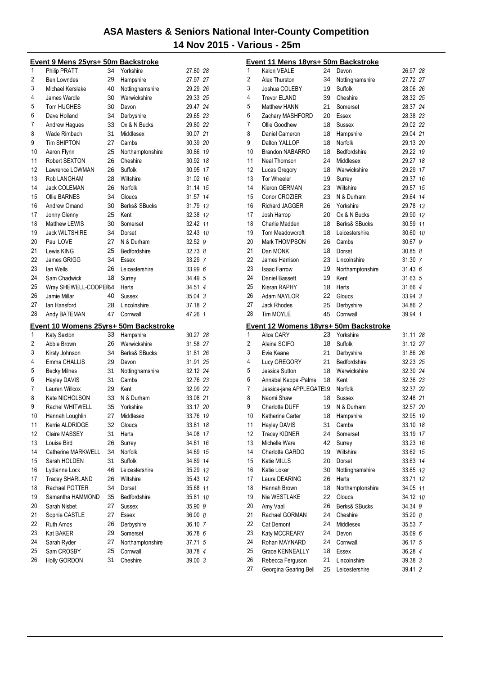|    | <u>Event 9 Mens 25yrs+ 50m Backstroke</u>            |          |                  |          |    |
|----|------------------------------------------------------|----------|------------------|----------|----|
| 1  | Philip PRATT                                         | 34       | Yorkshire        | 27.80 28 |    |
| 2  | Ben Lowndes                                          | 29       | Hampshire        | 27.97 27 |    |
| 3  | Michael Kerslake                                     | 40       | Nottinghamshire  | 29.29 26 |    |
| 4  | James Wardle                                         | 30       | Warwickshire     | 29.33 25 |    |
| 5  | <b>Tom HUGHES</b>                                    | 30       | Devon            | 29.47 24 |    |
| 6  | Dave Holland                                         | 34       | Derbyshire       | 29.65 23 |    |
| 7  | Andrew Hagues                                        | 33       | Ox & N Bucks     | 29.80 22 |    |
| 8  | Wade Rimbach                                         | 31       | Middlesex        | 30.07 21 |    |
| 9  | <b>Tim SHIPTON</b>                                   | 27       | Cambs            | 30.39 20 |    |
| 10 | Aaron Flynn                                          | 25       | Northamptonshire | 30.86 19 |    |
| 11 | Robert SEXTON                                        | 26       | Cheshire         | 30.92 18 |    |
| 12 | Lawrence LOWMAN                                      | 26       | Suffolk          | 30.95 17 |    |
| 13 | Rob LANGHAM                                          | 28       | Wiltshire        | 31.02 16 |    |
| 14 | Jack COLEMAN                                         | 26       | Norfolk          | 31.14 15 |    |
| 15 | <b>Ollie BARNES</b>                                  | 34       | Gloucs           | 31.57 14 |    |
| 16 | Andrew Omand                                         | 30       | Berks& SBucks    | 31.79 13 |    |
| 17 | Jonny Glenny                                         | 25       | Kent             | 32.38 12 |    |
| 18 | Matthew LEWIS                                        | 30       |                  | 32.42 11 |    |
| 19 |                                                      |          | Somerset         | 32.43 10 |    |
| 20 | <b>Jack WILTSHIRE</b>                                | 34       | Dorset           | 32.52 9  |    |
|    | Paul LOVE                                            | 27       | N & Durham       |          |    |
| 21 | Lewis KING                                           | 25       | Bedfordshire     | 32.73 8  |    |
| 22 | James GRIGG                                          | 34       | Essex            | 33.29 7  |    |
| 23 | lan Wells                                            | 26       | Leicestershire   | 33.99 6  |    |
| 24 | Sam Chadwick                                         | 18       | Surrey           | 34.49 5  |    |
| 25 | Wray SHEWELL-COOPER54                                |          | Herts            | 34.51 4  |    |
| 26 | Jamie Millar                                         | 40       | <b>Sussex</b>    | 35.04 3  |    |
| 27 | lan Hansford                                         | 28       | Lincolnshire     | 37.18 2  |    |
| 28 | Andy BATEMAN                                         | 47       | Cornwall         | 47.26 1  |    |
|    |                                                      |          |                  |          |    |
|    |                                                      |          |                  |          |    |
| 1  | Event 10 Womens 25yrs+ 50m Backstroke<br>Katy Sexton | 33       | Hampshire        | 30.27 28 |    |
| 2  | Abbie Brown                                          | 26       | Warwickshire     | 31.58 27 |    |
| 3  |                                                      | 34       | Berks& SBucks    | 31.81 26 |    |
| 4  | Kirsty Johnson                                       |          |                  |          |    |
|    | Emma CHALLIS                                         | 29<br>31 | Devon            | 31.91 25 |    |
| 5  | <b>Becky Milnes</b>                                  |          | Nottinghamshire  | 32.12 24 |    |
| 6  | Hayley DAVIS                                         | 31       | Cambs            | 32.76 23 |    |
| 7  | Lauren Willcox                                       | 29       | Kent             | 32.99 22 |    |
| 8  | Kate NICHOLSON                                       | 33       | N & Durham       | 33.08 21 |    |
| 9  | Rachel WHITWELL                                      | 35       | Yorkshire        | 33.17 20 |    |
| 10 | Hannah Loughlin                                      | 27       | Middlesex        | 33.76 19 |    |
| 11 | Kerrie ALDRIDGE                                      | 32       | Gloucs           | 33.81    | 18 |
| 12 | Claire MASSEY                                        | 31       | Herts            | 34.08    | 17 |
| 13 | Louise Bird                                          | 26       | Surrey           | 34.61    | 16 |
| 14 | Catherine MARKWELL                                   | 34       | Norfolk          | 34.69 15 |    |
| 15 | Sarah HOLDEN                                         | 31       | <b>Suffolk</b>   | 34.89    | 14 |
| 16 | Lydianne Lock                                        | 46       | Leicestershire   | 35.29 13 |    |
| 17 | Tracey SHARLAND                                      | 26       | Wiltshire        | 35.43 12 |    |
| 18 | Rachael POTTER                                       | 34       | Dorset           | 35.68 11 |    |
| 19 | Samantha HAMMOND                                     | 35       | Bedfordshire     | 35.81    | 10 |
| 20 | Sarah Nisbet                                         | 27       | <b>Sussex</b>    | 35.90 9  |    |
| 21 | Sophie CASTLE                                        | 27       | Essex            | 36.00 8  |    |
| 22 | <b>Ruth Amos</b>                                     | 26       | Derbyshire       | 36.10 7  |    |
| 23 | Kat BAKER                                            | 29       | Somerset         | 36.78 6  |    |
| 24 | Sarah Ryder                                          | 27       | Northamptonshire | 37.71 5  |    |
| 25 | Sam CROSBY                                           | 25       | Cornwall         | 38.78 4  |    |
| 26 | Holly GORDON                                         | 31       | Cheshire         | 39.00 3  |    |

|        | Event 11 Mens 18yrs+ 50m Backstroke    |          |                            |                      |    |
|--------|----------------------------------------|----------|----------------------------|----------------------|----|
| 1      | Kalon VEALE                            | 24       | Devon                      | 26.97 28             |    |
| 2      | Alex Thurston                          | 34       | Nottinghamshire            | 27.72 27             |    |
| 3      | Joshua COLEBY                          | 19       | Suffolk                    | 28.06 26             |    |
| 4      | <b>Trevor ELAND</b>                    | 39       | Cheshire                   | 28.32 25             |    |
| 5      | <b>Matthew HANN</b>                    | 21       | Somerset                   | 28.37 24             |    |
| 6      | Zachary MASHFORD                       | 20       | <b>Essex</b>               | 28.38 23             |    |
| 7      | Ollie Goodhew                          | 18       | Sussex                     | 29.02 22             |    |
| 8      | Daniel Cameron                         | 18       | Hampshire                  | 29.04 21             |    |
| 9      | Dalton YALLOP                          | 18       | Norfolk                    | 29.13 20             |    |
| 10     | <b>Brandon NABARRO</b>                 | 18       | Bedfordshire               | 29.22 19             |    |
| 11     | Neal Thomson                           | 24       | Middlesex                  | 29.27 18             |    |
| 12     | Lucas Gregory                          | 18       | Warwickshire               | 29.29 17             |    |
| 13     | <b>Tor Wheeler</b>                     | 19       | Surrey                     | 29.37 16             |    |
| 14     | Kieron GERMAN                          | 23       | Wiltshire                  | 29.57 15             |    |
| 15     | Conor CROZIER                          | 23       | N & Durham                 | 29.64 14             |    |
| 16     | Richard JAGGER                         | 26       | Yorkshire                  | 29.78 13             |    |
| 17     | Josh Harrop                            | 20       | Ox & N Bucks               | 29.90 12             |    |
| 18     | Charlie Madden                         | 18       | Berks& SBucks              | 30.59 11             |    |
| 19     | Tom Meadowcroft                        | 18       | Leicestershire             | 30.60 10             |    |
| 20     | Mark THOMPSON                          | 26       | Cambs                      | 30.67 9              |    |
| 21     | Dan MONK                               | 18       | Dorset                     | 30.85 8              |    |
| 22     | James Harrison                         | 23       | Lincolnshire               | 31.30 7              |    |
| 23     | <b>Isaac Farrow</b>                    | 19       | Northamptonshire           | 31.43 6              |    |
| 24     | Daniel Bassett                         | 19       | Kent                       | 31.63 5              |    |
| 25     | Kieran RAPHY                           | 18       | Herts                      | 31.66 4              |    |
| 26     | Adam NAYLOR                            | 22       | Gloucs                     | 33.94 3              |    |
| 27     | <b>Jack Rhodes</b>                     | 25       | Derbyshire                 | 34.86 2              |    |
|        |                                        |          |                            |                      |    |
| 28     | <b>Tim MOYLE</b>                       | 45       | Cornwall                   | 39.94 1              |    |
|        |                                        |          |                            |                      |    |
| 1      | Event 12 Womens 18yrs+ 50m Backstroke  | 23       | Yorkshire                  |                      |    |
|        | <b>Alice CARY</b>                      | 18       |                            | 31.11 28             |    |
| 2      | Alaina SCIFO<br>Evie Keane             | 21       | Suffolk                    | 31.12 27             |    |
| 3<br>4 |                                        |          | Derbyshire<br>Bedfordshire | 31.86 26             |    |
|        | Lucy GREGORY                           | 21<br>18 | Warwickshire               | 32.23 25             |    |
| 5      | Jessica Sutton                         | 18       | Kent                       | 32.30 24<br>32.36 23 |    |
| 6<br>7 | Annabel Keppel-Palme                   |          | Norfolk                    | 32.37 22             |    |
| 8      | Jessica-jane APPLEGATE19<br>Naomi Shaw | 18       | Sussex                     |                      |    |
| 9      | <b>Charlotte DUFF</b>                  | 19       | N & Durham                 | 32.48 21<br>32.57 20 |    |
| 10     | Katherine Carter                       | 18       |                            | 32.95 19             |    |
| 11     | Hayley DAVIS                           | 31       | Hampshire<br>Cambs         | 33.10 <i>18</i>      |    |
| 12     | <b>Tracey KIDNER</b>                   | 24       | Somerset                   | 33.19                | 17 |
| 13     | Michelle Ware                          | 42       | Surrey                     | 33.23 16             |    |
| 14     | Charlotte GARDO                        | 19       | Wiltshire                  | 33.62 15             |    |
| 15     | Katie MILLS                            | 20       | Dorset                     | 33.63 14             |    |
| 16     | Katie Loker                            | 30       | Nottinghamshire            | 33.65 13             |    |
| 17     | Laura DEARING                          | 26       | Herts                      | 33.71                | 12 |
| 18     | Hannah Brown                           | 18       | Northamptonshire           | 34.05 11             |    |
| 19     | Nia WESTLAKE                           | 22       | Gloucs                     | 34.12 10             |    |
| 20     | Amy Vaal                               | 26       | Berks& SBucks              | 34.34 9              |    |
| 21     | Rachael GORMAN                         | 24       | Cheshire                   | 35.20 8              |    |
| 22     | Cat Demont                             | 24       | Middlesex                  | 35.53 7              |    |
| 23     | Katy MCCREARY                          | 24       | Devon                      | 35.69 6              |    |
| 24     | Rohan MAYNARD                          | 24       | Cornwall                   | 36.17 5              |    |
| 25     | <b>Grace KENNEALLY</b>                 | 18       | Essex                      | 36.28 4              |    |
| 26     | Rebecca Ferguson                       | 21       | Lincolnshire               | 39.38 3              |    |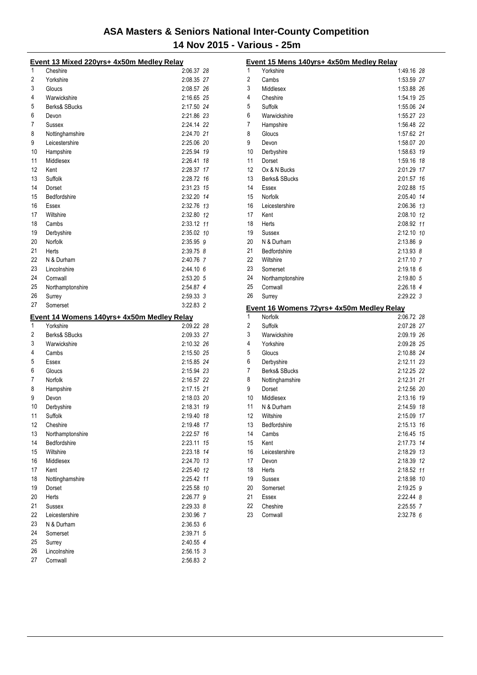|    | Event 13 Mixed 220yrs+ 4x50m Medley Relay  |               |  |
|----|--------------------------------------------|---------------|--|
| 1  | Cheshire                                   | 2:06.37 28    |  |
| 2  | Yorkshire                                  | 2:08.35 27    |  |
| 3  | Gloucs                                     | 2:08.57 26    |  |
| 4  | Warwickshire                               | 2:16.65 25    |  |
| 5  | Berks& SBucks                              | 2:17.50 24    |  |
| 6  | Devon                                      | 2:21.86 23    |  |
| 7  | Sussex                                     | 2:24.14 22    |  |
| 8  | Nottinghamshire                            | 2:24.70 21    |  |
| 9  | Leicestershire                             | 2:25.06 20    |  |
| 10 | Hampshire                                  | 2:25.94 19    |  |
| 11 | Middlesex                                  | 2:26.41 18    |  |
| 12 | Kent                                       | 2:28.37 17    |  |
| 13 | Suffolk                                    | 2:28.72 16    |  |
| 14 | Dorset                                     | 2:31.23 15    |  |
| 15 | Bedfordshire                               | 2:32.20 14    |  |
| 16 | Essex                                      | 2:32.76 13    |  |
| 17 | Wiltshire                                  | 2:32.80 12    |  |
| 18 | Cambs                                      | 2:33.12 11    |  |
| 19 | Derbyshire                                 | 2:35.02 10    |  |
| 20 | Norfolk                                    | 2:35.95 9     |  |
| 21 | Herts                                      | 2:39.75 8     |  |
| 22 | N & Durham                                 | 2:40.76 7     |  |
| 23 | Lincolnshire                               | 2:44.10 6     |  |
| 24 | Cornwall                                   | 2:53.20 5     |  |
| 25 |                                            | 2:54.87 4     |  |
| 26 | Northamptonshire                           | 2:59.33 3     |  |
|    | Surrey<br>Somerset                         | 3:22.83 2     |  |
|    |                                            |               |  |
| 27 |                                            |               |  |
|    | Event 14 Womens 140yrs+ 4x50m Medley Relay |               |  |
| 1  | Yorkshire                                  | 2:09.22 28    |  |
| 2  | Berks& SBucks                              | 2:09.33 27    |  |
| 3  | Warwickshire                               | 2:10.32 26    |  |
| 4  | Cambs                                      | 2:15.50 25    |  |
| 5  | Essex                                      | 2:15.85 24    |  |
| 6  | Gloucs                                     | 2:15.94 23    |  |
| 7  | Norfolk                                    | 2:16.57 22    |  |
| 8  | Hampshire                                  | 2:17.15 21    |  |
| 9  | Devon                                      | 2:18.03 20    |  |
| 10 | Derbyshire                                 | 2:18.31 19    |  |
| 11 | Suffolk                                    | 2:19.40 18    |  |
| 12 | Cheshire                                   | 2:19.48 17    |  |
| 13 | Northamptonshire                           | 2:22.57 16    |  |
| 14 | Bedfordshire                               | 2:23.11 15    |  |
| 15 | Wiltshire                                  | 2:23.18 14    |  |
| 16 | Middlesex                                  | 2:24.70 13    |  |
| 17 | Kent                                       | 2:25.40 12    |  |
| 18 | Nottinghamshire                            | 2:25.42 11    |  |
| 19 | Dorset                                     | 2:25.58 10    |  |
| 20 | Herts                                      | 2:26.77 9     |  |
| 21 | Sussex                                     | $2:29.33$ $8$ |  |
| 22 | Leicestershire                             | 2:30.96 7     |  |
| 23 | N & Durham                                 | 2:36.53 6     |  |
| 24 | Somerset                                   | 2:39.71 5     |  |
| 25 | Surrey                                     | 2:40.55 4     |  |
| 26 | Lincolnshire                               | 2:56.15 3     |  |

| 1<br>Yorkshire<br>1:49.16 28<br>2<br>1:53.59 27<br>Cambs<br>3<br>Middlesex<br>1:53.88 26<br>4<br>Cheshire<br>1:54.19 25<br>5<br>Suffolk<br>1:55.06 24<br>6<br>Warwickshire<br>1:55.27 23<br>7<br>Hampshire<br>1:56.48 22<br>8<br>Gloucs<br>1:57.62 21<br>9<br>1:58.07 20<br>Devon<br>10<br>1:58.63 19<br>Derbyshire<br>11<br>Dorset<br>1:59.16 18<br>12<br>Ox & N Bucks<br>2:01.29 17<br>13<br>Berks& SBucks<br>2:01.57<br>16<br>14<br>Essex<br>2:02.88 15<br>15<br>Norfolk<br>2:05.40 14<br>16<br>Leicestershire<br>2:06.36 13<br>17<br>Kent<br>2:08.10 12<br>18<br>2:08.92 11<br>Herts<br>19<br>2:12.10 10<br>Sussex<br>20<br>N & Durham<br>2:13.86 9<br>21<br>Bedfordshire<br>2:13.93 8<br>22<br>Wiltshire<br>2:17.10 7<br>23<br>2:19.18 6<br>Somerset<br>24<br>2:19.80 5<br>Northamptonshire<br>25<br>2:26.18 4<br>Cornwall<br>26<br>$2:29.22$ 3<br>Surrey<br>Event 16 Womens 72yrs+ 4x50m Medley Relay<br>1<br>Norfolk<br>2:06.72 28<br>2<br>Suffolk<br>2:07.28 27<br>3<br>Warwickshire<br>2:09.19 26<br>4<br>Yorkshire<br>2:09.28 25<br>5<br>Gloucs<br>2:10.88 24<br>6<br>2:12.11 23<br>Derbyshire<br>7<br>Berks& SBucks<br>2:12.25 22<br>8<br>2:12.31 21<br>Nottinghamshire<br>9<br>2:12.56 20<br>Dorset<br>10<br>Middlesex<br>2:13.16 19<br>11<br>N & Durham<br>2:14.59 18<br>12<br>2:15.09 17<br>Wiltshire<br>13<br>2:15.13 16<br>Bedfordshire<br>14<br>2:16.45 15<br>Cambs<br>15<br>Kent<br>2:17.73 14<br>16<br>Leicestershire<br>2:18.29 13<br>17<br>2:18.39 12<br>Devon<br>18<br>2:18.52 11<br>Herts<br>19<br>Sussex<br>2:18.98 10<br>20<br>2:19.25 9<br>Somerset<br>21<br>2:22.44 8<br>Essex<br>22<br>Cheshire<br>2:25.55 7<br>23<br>2:32.78 6<br>Cornwall | Event 15 Mens 140yrs+ 4x50m Medley Relay |  |
|-------------------------------------------------------------------------------------------------------------------------------------------------------------------------------------------------------------------------------------------------------------------------------------------------------------------------------------------------------------------------------------------------------------------------------------------------------------------------------------------------------------------------------------------------------------------------------------------------------------------------------------------------------------------------------------------------------------------------------------------------------------------------------------------------------------------------------------------------------------------------------------------------------------------------------------------------------------------------------------------------------------------------------------------------------------------------------------------------------------------------------------------------------------------------------------------------------------------------------------------------------------------------------------------------------------------------------------------------------------------------------------------------------------------------------------------------------------------------------------------------------------------------------------------------------------------------------------------------------------------------------------------------------------------------|------------------------------------------|--|
|                                                                                                                                                                                                                                                                                                                                                                                                                                                                                                                                                                                                                                                                                                                                                                                                                                                                                                                                                                                                                                                                                                                                                                                                                                                                                                                                                                                                                                                                                                                                                                                                                                                                         |                                          |  |
|                                                                                                                                                                                                                                                                                                                                                                                                                                                                                                                                                                                                                                                                                                                                                                                                                                                                                                                                                                                                                                                                                                                                                                                                                                                                                                                                                                                                                                                                                                                                                                                                                                                                         |                                          |  |
|                                                                                                                                                                                                                                                                                                                                                                                                                                                                                                                                                                                                                                                                                                                                                                                                                                                                                                                                                                                                                                                                                                                                                                                                                                                                                                                                                                                                                                                                                                                                                                                                                                                                         |                                          |  |
|                                                                                                                                                                                                                                                                                                                                                                                                                                                                                                                                                                                                                                                                                                                                                                                                                                                                                                                                                                                                                                                                                                                                                                                                                                                                                                                                                                                                                                                                                                                                                                                                                                                                         |                                          |  |
|                                                                                                                                                                                                                                                                                                                                                                                                                                                                                                                                                                                                                                                                                                                                                                                                                                                                                                                                                                                                                                                                                                                                                                                                                                                                                                                                                                                                                                                                                                                                                                                                                                                                         |                                          |  |
|                                                                                                                                                                                                                                                                                                                                                                                                                                                                                                                                                                                                                                                                                                                                                                                                                                                                                                                                                                                                                                                                                                                                                                                                                                                                                                                                                                                                                                                                                                                                                                                                                                                                         |                                          |  |
|                                                                                                                                                                                                                                                                                                                                                                                                                                                                                                                                                                                                                                                                                                                                                                                                                                                                                                                                                                                                                                                                                                                                                                                                                                                                                                                                                                                                                                                                                                                                                                                                                                                                         |                                          |  |
|                                                                                                                                                                                                                                                                                                                                                                                                                                                                                                                                                                                                                                                                                                                                                                                                                                                                                                                                                                                                                                                                                                                                                                                                                                                                                                                                                                                                                                                                                                                                                                                                                                                                         |                                          |  |
|                                                                                                                                                                                                                                                                                                                                                                                                                                                                                                                                                                                                                                                                                                                                                                                                                                                                                                                                                                                                                                                                                                                                                                                                                                                                                                                                                                                                                                                                                                                                                                                                                                                                         |                                          |  |
|                                                                                                                                                                                                                                                                                                                                                                                                                                                                                                                                                                                                                                                                                                                                                                                                                                                                                                                                                                                                                                                                                                                                                                                                                                                                                                                                                                                                                                                                                                                                                                                                                                                                         |                                          |  |
|                                                                                                                                                                                                                                                                                                                                                                                                                                                                                                                                                                                                                                                                                                                                                                                                                                                                                                                                                                                                                                                                                                                                                                                                                                                                                                                                                                                                                                                                                                                                                                                                                                                                         |                                          |  |
|                                                                                                                                                                                                                                                                                                                                                                                                                                                                                                                                                                                                                                                                                                                                                                                                                                                                                                                                                                                                                                                                                                                                                                                                                                                                                                                                                                                                                                                                                                                                                                                                                                                                         |                                          |  |
|                                                                                                                                                                                                                                                                                                                                                                                                                                                                                                                                                                                                                                                                                                                                                                                                                                                                                                                                                                                                                                                                                                                                                                                                                                                                                                                                                                                                                                                                                                                                                                                                                                                                         |                                          |  |
|                                                                                                                                                                                                                                                                                                                                                                                                                                                                                                                                                                                                                                                                                                                                                                                                                                                                                                                                                                                                                                                                                                                                                                                                                                                                                                                                                                                                                                                                                                                                                                                                                                                                         |                                          |  |
|                                                                                                                                                                                                                                                                                                                                                                                                                                                                                                                                                                                                                                                                                                                                                                                                                                                                                                                                                                                                                                                                                                                                                                                                                                                                                                                                                                                                                                                                                                                                                                                                                                                                         |                                          |  |
|                                                                                                                                                                                                                                                                                                                                                                                                                                                                                                                                                                                                                                                                                                                                                                                                                                                                                                                                                                                                                                                                                                                                                                                                                                                                                                                                                                                                                                                                                                                                                                                                                                                                         |                                          |  |
|                                                                                                                                                                                                                                                                                                                                                                                                                                                                                                                                                                                                                                                                                                                                                                                                                                                                                                                                                                                                                                                                                                                                                                                                                                                                                                                                                                                                                                                                                                                                                                                                                                                                         |                                          |  |
|                                                                                                                                                                                                                                                                                                                                                                                                                                                                                                                                                                                                                                                                                                                                                                                                                                                                                                                                                                                                                                                                                                                                                                                                                                                                                                                                                                                                                                                                                                                                                                                                                                                                         |                                          |  |
|                                                                                                                                                                                                                                                                                                                                                                                                                                                                                                                                                                                                                                                                                                                                                                                                                                                                                                                                                                                                                                                                                                                                                                                                                                                                                                                                                                                                                                                                                                                                                                                                                                                                         |                                          |  |
|                                                                                                                                                                                                                                                                                                                                                                                                                                                                                                                                                                                                                                                                                                                                                                                                                                                                                                                                                                                                                                                                                                                                                                                                                                                                                                                                                                                                                                                                                                                                                                                                                                                                         |                                          |  |
|                                                                                                                                                                                                                                                                                                                                                                                                                                                                                                                                                                                                                                                                                                                                                                                                                                                                                                                                                                                                                                                                                                                                                                                                                                                                                                                                                                                                                                                                                                                                                                                                                                                                         |                                          |  |
|                                                                                                                                                                                                                                                                                                                                                                                                                                                                                                                                                                                                                                                                                                                                                                                                                                                                                                                                                                                                                                                                                                                                                                                                                                                                                                                                                                                                                                                                                                                                                                                                                                                                         |                                          |  |
|                                                                                                                                                                                                                                                                                                                                                                                                                                                                                                                                                                                                                                                                                                                                                                                                                                                                                                                                                                                                                                                                                                                                                                                                                                                                                                                                                                                                                                                                                                                                                                                                                                                                         |                                          |  |
|                                                                                                                                                                                                                                                                                                                                                                                                                                                                                                                                                                                                                                                                                                                                                                                                                                                                                                                                                                                                                                                                                                                                                                                                                                                                                                                                                                                                                                                                                                                                                                                                                                                                         |                                          |  |
|                                                                                                                                                                                                                                                                                                                                                                                                                                                                                                                                                                                                                                                                                                                                                                                                                                                                                                                                                                                                                                                                                                                                                                                                                                                                                                                                                                                                                                                                                                                                                                                                                                                                         |                                          |  |
|                                                                                                                                                                                                                                                                                                                                                                                                                                                                                                                                                                                                                                                                                                                                                                                                                                                                                                                                                                                                                                                                                                                                                                                                                                                                                                                                                                                                                                                                                                                                                                                                                                                                         |                                          |  |
|                                                                                                                                                                                                                                                                                                                                                                                                                                                                                                                                                                                                                                                                                                                                                                                                                                                                                                                                                                                                                                                                                                                                                                                                                                                                                                                                                                                                                                                                                                                                                                                                                                                                         |                                          |  |
|                                                                                                                                                                                                                                                                                                                                                                                                                                                                                                                                                                                                                                                                                                                                                                                                                                                                                                                                                                                                                                                                                                                                                                                                                                                                                                                                                                                                                                                                                                                                                                                                                                                                         |                                          |  |
|                                                                                                                                                                                                                                                                                                                                                                                                                                                                                                                                                                                                                                                                                                                                                                                                                                                                                                                                                                                                                                                                                                                                                                                                                                                                                                                                                                                                                                                                                                                                                                                                                                                                         |                                          |  |
|                                                                                                                                                                                                                                                                                                                                                                                                                                                                                                                                                                                                                                                                                                                                                                                                                                                                                                                                                                                                                                                                                                                                                                                                                                                                                                                                                                                                                                                                                                                                                                                                                                                                         |                                          |  |
|                                                                                                                                                                                                                                                                                                                                                                                                                                                                                                                                                                                                                                                                                                                                                                                                                                                                                                                                                                                                                                                                                                                                                                                                                                                                                                                                                                                                                                                                                                                                                                                                                                                                         |                                          |  |
|                                                                                                                                                                                                                                                                                                                                                                                                                                                                                                                                                                                                                                                                                                                                                                                                                                                                                                                                                                                                                                                                                                                                                                                                                                                                                                                                                                                                                                                                                                                                                                                                                                                                         |                                          |  |
|                                                                                                                                                                                                                                                                                                                                                                                                                                                                                                                                                                                                                                                                                                                                                                                                                                                                                                                                                                                                                                                                                                                                                                                                                                                                                                                                                                                                                                                                                                                                                                                                                                                                         |                                          |  |
|                                                                                                                                                                                                                                                                                                                                                                                                                                                                                                                                                                                                                                                                                                                                                                                                                                                                                                                                                                                                                                                                                                                                                                                                                                                                                                                                                                                                                                                                                                                                                                                                                                                                         |                                          |  |
|                                                                                                                                                                                                                                                                                                                                                                                                                                                                                                                                                                                                                                                                                                                                                                                                                                                                                                                                                                                                                                                                                                                                                                                                                                                                                                                                                                                                                                                                                                                                                                                                                                                                         |                                          |  |
|                                                                                                                                                                                                                                                                                                                                                                                                                                                                                                                                                                                                                                                                                                                                                                                                                                                                                                                                                                                                                                                                                                                                                                                                                                                                                                                                                                                                                                                                                                                                                                                                                                                                         |                                          |  |
|                                                                                                                                                                                                                                                                                                                                                                                                                                                                                                                                                                                                                                                                                                                                                                                                                                                                                                                                                                                                                                                                                                                                                                                                                                                                                                                                                                                                                                                                                                                                                                                                                                                                         |                                          |  |
|                                                                                                                                                                                                                                                                                                                                                                                                                                                                                                                                                                                                                                                                                                                                                                                                                                                                                                                                                                                                                                                                                                                                                                                                                                                                                                                                                                                                                                                                                                                                                                                                                                                                         |                                          |  |
|                                                                                                                                                                                                                                                                                                                                                                                                                                                                                                                                                                                                                                                                                                                                                                                                                                                                                                                                                                                                                                                                                                                                                                                                                                                                                                                                                                                                                                                                                                                                                                                                                                                                         |                                          |  |
|                                                                                                                                                                                                                                                                                                                                                                                                                                                                                                                                                                                                                                                                                                                                                                                                                                                                                                                                                                                                                                                                                                                                                                                                                                                                                                                                                                                                                                                                                                                                                                                                                                                                         |                                          |  |
|                                                                                                                                                                                                                                                                                                                                                                                                                                                                                                                                                                                                                                                                                                                                                                                                                                                                                                                                                                                                                                                                                                                                                                                                                                                                                                                                                                                                                                                                                                                                                                                                                                                                         |                                          |  |
|                                                                                                                                                                                                                                                                                                                                                                                                                                                                                                                                                                                                                                                                                                                                                                                                                                                                                                                                                                                                                                                                                                                                                                                                                                                                                                                                                                                                                                                                                                                                                                                                                                                                         |                                          |  |
|                                                                                                                                                                                                                                                                                                                                                                                                                                                                                                                                                                                                                                                                                                                                                                                                                                                                                                                                                                                                                                                                                                                                                                                                                                                                                                                                                                                                                                                                                                                                                                                                                                                                         |                                          |  |
|                                                                                                                                                                                                                                                                                                                                                                                                                                                                                                                                                                                                                                                                                                                                                                                                                                                                                                                                                                                                                                                                                                                                                                                                                                                                                                                                                                                                                                                                                                                                                                                                                                                                         |                                          |  |
|                                                                                                                                                                                                                                                                                                                                                                                                                                                                                                                                                                                                                                                                                                                                                                                                                                                                                                                                                                                                                                                                                                                                                                                                                                                                                                                                                                                                                                                                                                                                                                                                                                                                         |                                          |  |
|                                                                                                                                                                                                                                                                                                                                                                                                                                                                                                                                                                                                                                                                                                                                                                                                                                                                                                                                                                                                                                                                                                                                                                                                                                                                                                                                                                                                                                                                                                                                                                                                                                                                         |                                          |  |
|                                                                                                                                                                                                                                                                                                                                                                                                                                                                                                                                                                                                                                                                                                                                                                                                                                                                                                                                                                                                                                                                                                                                                                                                                                                                                                                                                                                                                                                                                                                                                                                                                                                                         |                                          |  |
|                                                                                                                                                                                                                                                                                                                                                                                                                                                                                                                                                                                                                                                                                                                                                                                                                                                                                                                                                                                                                                                                                                                                                                                                                                                                                                                                                                                                                                                                                                                                                                                                                                                                         |                                          |  |
|                                                                                                                                                                                                                                                                                                                                                                                                                                                                                                                                                                                                                                                                                                                                                                                                                                                                                                                                                                                                                                                                                                                                                                                                                                                                                                                                                                                                                                                                                                                                                                                                                                                                         |                                          |  |
|                                                                                                                                                                                                                                                                                                                                                                                                                                                                                                                                                                                                                                                                                                                                                                                                                                                                                                                                                                                                                                                                                                                                                                                                                                                                                                                                                                                                                                                                                                                                                                                                                                                                         |                                          |  |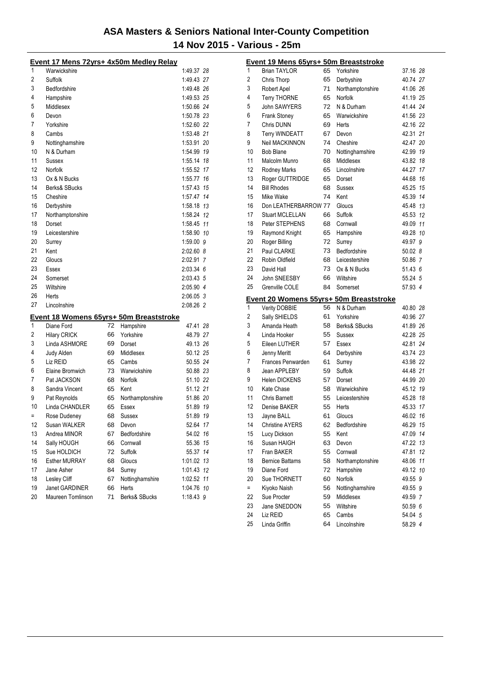|    | Event 17 Mens 72yrs+ 4x50m Medley Relay |    |                  |            |    |
|----|-----------------------------------------|----|------------------|------------|----|
| 1  | Warwickshire                            |    |                  | 1:49.37 28 |    |
| 2  | Suffolk                                 |    |                  | 1:49.43 27 |    |
| 3  | Bedfordshire                            |    |                  | 1:49.48 26 |    |
| 4  | Hampshire                               |    |                  | 1:49.53 25 |    |
| 5  | Middlesex                               |    |                  | 1:50.66 24 |    |
| 6  | Devon                                   |    |                  | 1:50.78 23 |    |
| 7  | Yorkshire                               |    |                  | 1:52.60 22 |    |
| 8  | Cambs                                   |    |                  | 1:53.48 21 |    |
| 9  | Nottinghamshire                         |    |                  | 1:53.91 20 |    |
| 10 | N & Durham                              |    |                  | 1:54.99 19 |    |
| 11 | Sussex                                  |    |                  | 1:55.14 18 |    |
| 12 | Norfolk                                 |    |                  | 1:55.52 17 |    |
| 13 | Ox & N Bucks                            |    |                  | 1:55.77 16 |    |
| 14 | Berks& SBucks                           |    |                  | 1:57.43 15 |    |
| 15 | Cheshire                                |    |                  | 1:57.47 14 |    |
| 16 | Derbyshire                              |    |                  | 1:58.18 13 |    |
| 17 | Northamptonshire                        |    |                  | 1:58.24 12 |    |
| 18 | Dorset                                  |    |                  | 1:58.45 11 |    |
| 19 | Leicestershire                          |    |                  | 1:58.90 10 |    |
| 20 | Surrey                                  |    |                  | 1:59.00 9  |    |
| 21 | Kent                                    |    |                  | 2:02.60 8  |    |
| 22 | Gloucs                                  |    |                  | 2:02.91 7  |    |
| 23 | Essex                                   |    |                  | 2:03.34 6  |    |
| 24 | Somerset                                |    |                  | 2:03.43 5  |    |
| 25 | Wiltshire                               |    |                  | 2:05.90 4  |    |
| 26 | Herts                                   |    |                  | 2:06.05 3  |    |
| 27 | Lincolnshire                            |    |                  | 2:08.26 2  |    |
|    | Event 18 Womens 65yrs+ 50m Breaststroke |    |                  |            |    |
| 1  | Diane Ford                              | 72 | Hampshire        | 47.41 28   |    |
| 2  | <b>Hilary CRICK</b>                     | 66 | Yorkshire        | 48.79 27   |    |
| 3  | Linda ASHMORE                           | 69 | Dorset           | 49.13 26   |    |
| 4  | Judy Alden                              | 69 | Middlesex        | 50.12 25   |    |
| 5  | Liz REID                                | 65 | Cambs            | 50.55 24   |    |
| 6  | Elaine Bromwich                         | 73 | Warwickshire     | 50.88 23   |    |
| 7  | Pat JACKSON                             | 68 | <b>Norfolk</b>   | 51.10 22   |    |
| 8  | Sandra Vincent                          | 65 | Kent             | 51.12 21   |    |
| 9  | Pat Reynolds                            | 65 | Northamptonshire | 51.86 20   |    |
| 10 | Linda CHANDLER                          | 65 | Essex            | 51.89 19   |    |
| Ξ  | Rose Dudeney                            | 68 | <b>Sussex</b>    | 51.89 19   |    |
| 12 | Susan WALKER                            | 68 | Devon            | 52.64 17   |    |
| 13 | Andrea MINOR                            | 67 | Bedfordshire     | 54.02 16   |    |
| 14 | Sally HOUGH                             | 66 | Cornwall         | 55.36      | 15 |
| 15 | Sue HOLDICH                             | 72 | Suffolk          | 55.37 14   |    |
| 16 | <b>Esther MURRAY</b>                    | 68 | Gloucs           | 1:01.02 13 |    |
| 17 | Jane Asher                              | 84 | Surrey           | 1:01.43 12 |    |
| 18 | Lesley Cliff                            | 67 | Nottinghamshire  | 1:02.52 11 |    |
| 19 | Janet GARDINER                          | 66 | Herts            | 1:04.76 10 |    |
| 20 | Maureen Tomlinson                       | 71 | Berks& SBucks    | 1:18.43 9  |    |

|          | Event 19 Mens 65yrs+ 50m Breaststroke   |          |                    |                    |    |
|----------|-----------------------------------------|----------|--------------------|--------------------|----|
| 1        | <b>Brian TAYLOR</b>                     | 65       | Yorkshire          | 37.16 28           |    |
| 2        | Chris Thorp                             | 65       | Derbyshire         | 40.74 27           |    |
| 3        | Robert Apel                             | 71       | Northamptonshire   | 41.06 26           |    |
| 4        | <b>Terry THORNE</b>                     | 65       | Norfolk            | 41.19 25           |    |
| 5        | John SAWYERS                            | 72       | N & Durham         | 41.44 24           |    |
| 6        | <b>Frank Stoney</b>                     | 65       | Warwickshire       | 41.56 23           |    |
| 7        | Chris DUNN                              | 69       | Herts              | 42.16 22           |    |
| 8        | Terry WINDEATT                          | 67       | Devon              | 42.31 21           |    |
| 9        | Neil MACKINNON                          | 74       | Cheshire           | 42.47 20           |    |
| 10       | <b>Bob Blane</b>                        | 70       | Nottinghamshire    | 42.99 19           |    |
| 11       | Malcolm Munro                           | 68       | Middlesex          | 43.82 18           |    |
| 12       | Rodney Marks                            | 65       | Lincolnshire       | 44.27 17           |    |
| 13       | Roger GUTTRIDGE                         | 65       | Dorset             | 44.68 16           |    |
| 14       | <b>Bill Rhodes</b>                      | 68       | <b>Sussex</b>      | 45.25 15           |    |
| 15       | Mike Wake                               | 74       | Kent               | 45.39 14           |    |
| 16       | Don LEATHERBARROW 77                    |          | Gloucs             | 45.48 13           |    |
| 17       | <b>Stuart MCLELLAN</b>                  | 66       | Suffolk            | 45.53 12           |    |
| 18       | Peter STEPHENS                          | 68       | Cornwall           | 49.09 11           |    |
| 19       | Raymond Knight                          | 65       | Hampshire          | 49.28 10           |    |
| 20       | Roger Billing                           | 72       | Surrey             | 49.97 9            |    |
| 21       | Paul CLARKE                             | 73       | Bedfordshire       | 50.02 8            |    |
| 22       | Robin Oldfield                          | 68       | Leicestershire     | 50.86 7            |    |
| 23       | David Hall                              | 73       | Ox & N Bucks       | 51.43 6            |    |
| 24       | John SNEESBY                            | 66       | Wiltshire          | 55.24 5            |    |
|          |                                         |          |                    |                    |    |
| 25       | Grenville COLE                          | 84       | Somerset           | 57.93 4            |    |
|          |                                         |          |                    |                    |    |
|          | Event 20 Womens 55yrs+ 50m Breaststroke |          |                    |                    |    |
| 1        | Verity DOBBIE                           | 56       | N & Durham         | 40.80 28           |    |
| 2        | Sally SHIELDS                           | 61       | Yorkshire          | 40.96 27           |    |
| 3        | Amanda Heath                            | 58       | Berks& SBucks      | 41.89 26           |    |
| 4        | Linda Hooker                            | 55       | Sussex             | 42.28 25           |    |
| 5        | Eileen LUTHER                           | 57       | Essex              | 42.81 24           |    |
| 6        | Jenny Meritt                            | 64       | Derbyshire         | 43.74 23           |    |
| 7        | Frances Penwarden                       | 61       | Surrey             | 43.98 22           |    |
| 8        | Jean APPLEBY                            | 59       | Suffolk            | 44.48 21           |    |
| 9        | <b>Helen DICKENS</b>                    | 57       | Dorset             | 44.99 20           |    |
| 10       | Kate Chase                              | 58       | Warwickshire       | 45.12 19           |    |
| 11       | <b>Chris Barnett</b>                    | 55       | Leicestershire     | 45.28 18           |    |
| 12       | Denise BAKER                            | 55       | Herts              | 45.33 17           |    |
| 13       | Jayne BALL                              | 61       | Gloucs             | 46.02 16           |    |
| 14       | <b>Christine AYERS</b>                  | 62       | Bedfordshire       | 46.29 15           |    |
| 15       | Lucy Dickson                            | 55       | Kent               | 47.09              | 14 |
| 16       | Susan HAIGH                             | 63       | Devon              | 47.22              | 13 |
| 17       | Fran BAKER                              | 55       | Cornwall           | 47.81              | 12 |
| 18       | <b>Bernice Battams</b>                  | 58       | Northamptonshire   | 48.06              | 11 |
| 19       | Diane Ford                              | 72       | Hampshire          | 49.12 10           |    |
| 20       | Sue THORNETT                            | 60       | Norfolk            | 49.55 9            |    |
| $=$      | Kiyoko Naish                            | 56       | Nottinghamshire    | 49.55 9            |    |
| 22       | Sue Procter                             | 59       | Middlesex          | 49.59 7            |    |
| 23<br>24 | Jane SNEDDON<br>Liz REID                | 55<br>65 | Wiltshire<br>Cambs | 50.59 6<br>54.04 5 |    |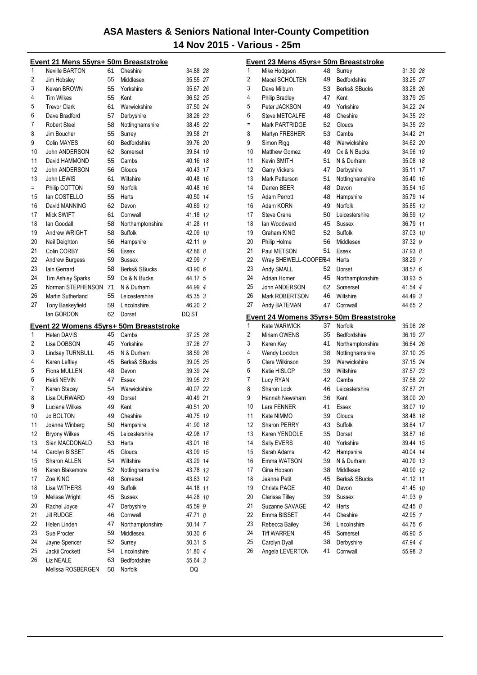|     | Event 21 Mens 55yrs+ 50m Breaststroke          |          |                                |               |
|-----|------------------------------------------------|----------|--------------------------------|---------------|
| 1   | <b>Neville BARTON</b>                          | 61       | Cheshire                       | 34.88 28      |
| 2   | Jim Hobsley                                    | 55       | Middlesex                      | 35.55 27      |
| 3   | Kevan BROWN                                    | 55       | Yorkshire                      | 35.67 26      |
| 4   | <b>Tim Wilkes</b>                              | 55       | Kent                           | 36.52 25      |
| 5   | <b>Trevor Clark</b>                            | 61       | Warwickshire                   | 37.50 24      |
| 6   | Dave Bradford                                  | 57       | Derbyshire                     | 38.26 23      |
| 7   | <b>Robert Steel</b>                            | 58       | Nottinghamshire                | 38.45 22      |
| 8   | Jim Boucher                                    | 55       | Surrey                         | 39.58 21      |
| 9   | <b>Colin MAYES</b>                             | 60       | Bedfordshire                   | 39.76 20      |
| 10  | John ANDERSON                                  | 62       | Somerset                       | 39.84 19      |
| 11  | David HAMMOND                                  | 55       | Cambs                          | 40.16 18      |
| 12  | John ANDERSON                                  | 56       | Gloucs                         | 40.43 17      |
| 13  | John LEWIS                                     | 61       | Wiltshire                      | 40.48 16      |
| $=$ | Philip COTTON                                  | 59       | Norfolk                        | 40.48 16      |
| 15  | lan COSTELLO                                   | 55       | Herts                          | 40.50 14      |
| 16  | David MANNING                                  | 62       | Devon                          | 40.69 13      |
| 17  | Mick SWIFT                                     | 61       | Cornwall                       | 41.18 12      |
| 18  | lan Goodall                                    | 58       | Northamptonshire               | 41.28 11      |
| 19  | Andrew WRIGHT                                  | 58       | Suffolk                        | 42.09 10      |
| 20  | Neil Deighton                                  | 56       | Hampshire                      | 42.11 9       |
| 21  | Colin CORBY                                    | 56       | Essex                          | 42.86 8       |
| 22  | <b>Andrew Burgess</b>                          | 59       | <b>Sussex</b>                  | 42.99 7       |
| 23  | lain Gerrard                                   | 58       | Berks& SBucks                  | 43.90 6       |
| 24  | <b>Tim Ashley Sparks</b>                       | 59       | Ox & N Bucks                   | 44.17 5       |
| 25  | Norman STEPHENSON                              | 71       | N & Durham                     | 44.99 4       |
| 26  | Martin Sutherland                              | 55       | Leicestershire                 | 45.35 3       |
| 27  | <b>Tony Baskeyfield</b>                        | 59       | Lincolnshire                   | 46.20 2       |
|     | lan GORDON                                     | 62       | Dorset                         | DQ ST         |
|     |                                                |          |                                |               |
|     | <b>Event 22 Womens 45yrs+ 50m Breaststroke</b> |          |                                |               |
| 1   | <b>Helen DAVIS</b>                             | 45       | Cambs                          | 37.25 28      |
| 2   | Lisa DOBSON                                    | 45       | Yorkshire                      | 37.26 27      |
| 3   | Lindsay TURNBULL                               | 45       | N & Durham                     | 38.59 26      |
| 4   | Karen Leftley                                  | 45       | Berks& SBucks                  | 39.05 25      |
| 5   | Fiona MULLEN                                   | 48       | Devon                          | 39.39 24      |
| 6   | Heidi NEVIN                                    | 47       | Essex                          | 39.95 23      |
| 7   | Karen Stacey                                   | 54       | Warwickshire                   | 40.07 22      |
| 8   | Lisa DURWARD                                   | 49       | Dorset                         | 40.49 21      |
| 9   | Luciana Wilkes                                 | 49       | Kent                           | 40.51 20      |
| 10  | Jo BOLTON                                      | 49       | Cheshire                       | 40.75<br>19   |
| 11  | Joanne Winberg                                 | 50       | Hampshire                      | 41.90 18      |
| 12  | <b>Bryony Wilkes</b>                           | 45       | Leicestershire                 | 42.98 17      |
| 13  | Sian MACDONALD                                 | 53       | Herts                          | 43.01 16      |
| 14  | Carolyn BISSET                                 | 45       | Gloucs                         | 43.09 15      |
| 15  | Sharon ALLEN                                   | 54       | Wiltshire                      | 43.29 14      |
| 16  | Karen Blakemore                                | 52       | Nottinghamshire                | 43.78 13      |
| 17  | Zoe KING                                       | 48       | Somerset                       | 43.83 12      |
| 18  | Lisa WITHERS                                   | 49       | Suffolk                        | 44.18 11      |
| 19  | Melissa Wright                                 | 45       | Sussex                         | 44.28 10      |
| 20  | Rachel Joyce                                   | 47       | Derbyshire                     | 45.59 9       |
| 21  | <b>Jill RUDGE</b>                              | 46       | Cornwall                       | 47.71 8       |
| 22  | Helen Linden                                   | 47       | Northamptonshire               | 50.14 7       |
| 23  | Sue Procter                                    | 59       | Middlesex                      | 50.30 6       |
| 24  | Jayne Spencer                                  | 52       | Surrey                         | 50.31 5       |
| 25  | Jackii Crockett                                | 54       | Lincolnshire                   | 51.80 4       |
| 26  | Liz NEALE<br>Melissa ROSBERGEN                 | 63<br>50 | Bedfordshire<br><b>Norfolk</b> | 55.64 3<br>DQ |

|          | <u>Event 23 Mens 45yrs+ 50m Breaststroke</u> |          |                           |                      |    |
|----------|----------------------------------------------|----------|---------------------------|----------------------|----|
| 1        | Mike Hodgson                                 | 48       | Surrey                    | 31.30 28             |    |
| 2        | Macel SCHOLTEN                               | 49       | Bedfordshire              | 33.25 27             |    |
| 3        | Dave Milburn                                 | 53       | Berks& SBucks             | 33.28 26             |    |
| 4        | <b>Philip Bradley</b>                        | 47       | Kent                      | 33.79 25             |    |
| 5        | Peter JACKSON                                | 49       | Yorkshire                 | 34.22 24             |    |
| 6        | <b>Steve METCALFE</b>                        | 48       | Cheshire                  | 34.35 23             |    |
| Ξ        | Mark PARTRIDGE                               | 52       | Gloucs                    | 34.35 23             |    |
| 8        | Martyn FRESHER                               | 53       | Cambs                     | 34.42 21             |    |
| 9        | Simon Rigg                                   | 48       | Warwickshire              | 34.62 20             |    |
| 10       | <b>Matthew Gomez</b>                         | 49       | Ox & N Bucks              | 34.96 19             |    |
| 11       | Kevin SMITH                                  | 51       | N & Durham                | 35.08 18             |    |
| 12       | <b>Garry Vickers</b>                         | 47       | Derbyshire                | 35.11                | 17 |
| 13       | Mark Patterson                               | 51       | Nottinghamshire           | 35.40 16             |    |
| 14       | Darren BEER                                  | 48       | Devon                     | 35.54 15             |    |
| 15       | Adam Perrott                                 | 48       | Hampshire                 | 35.79 14             |    |
| 16       | Adam KORN                                    | 49       | Norfolk                   | 35.85 13             |    |
| 17       | <b>Steve Crane</b>                           | 50       | Leicestershire            | 36.59 12             |    |
| 18       | lan Woodward                                 | 45       | Sussex                    | 36.79 11             |    |
| 19       | Graham KING                                  | 52       | Suffolk                   | 37.03 10             |    |
| 20       | Philip Holme                                 | 56       | Middlesex                 | 37.32 9              |    |
| 21       | Paul METSON                                  | 51       | Essex                     | 37.93 8              |    |
| 22       | Wray SHEWELL-COOPER54                        |          | Herts                     | 38.29 7              |    |
| 23       | Andy SMALL                                   | 52       | Dorset                    | 38.57 6              |    |
| 24       | Adrian Homer                                 | 45       | Northamptonshire          | 38.93 5              |    |
| 25       | John ANDERSON                                | 62       | Somerset                  | 41.54 4              |    |
| 26       | Mark ROBERTSON                               | 46       | Wiltshire                 | 44.49 3              |    |
|          |                                              |          |                           |                      |    |
| 27       | Andy BATEMAN                                 | 47       | Cornwall                  | 44.65 2              |    |
|          |                                              |          |                           |                      |    |
| 1        | Event 24 Womens 35yrs+ 50m Breaststroke      |          |                           |                      |    |
| 2        | Kate WARWICK<br>Miriam OWENS                 | 37<br>35 | Norfolk<br>Bedfordshire   | 35.96 28             |    |
|          |                                              | 41       |                           | 36.19 27             |    |
| 3<br>4   | Karen Key                                    | 38       | Northamptonshire          | 36.64 26             |    |
|          | Wendy Lockton                                |          | Nottinghamshire           | 37.10 25             |    |
| 5<br>6   | Clare Wilkinson                              | 39<br>39 | Warwickshire<br>Wiltshire | 37.15 24             |    |
| 7        | Katie HISLOP                                 | 42       | Cambs                     | 37.57 23             |    |
| 8        | Lucy RYAN                                    | 46       |                           | 37.58 22             |    |
| 9        | Sharon Lock<br>Hannah Newsham                |          | Leicestershire            | 37.87 21             |    |
| 10       | Lara FENNER                                  | 36<br>41 | Kent                      | 38.00 20<br>38.07 19 |    |
| 11       |                                              | 39       | Essex                     |                      | 18 |
| 12       | Kate NIMMO<br><b>Sharon PERRY</b>            |          | Gloucs                    | 38.48                |    |
| 13       |                                              | 43       | Suffolk                   | 38.64 17             |    |
| 14       | Karen YENDOLE                                | 35<br>40 | Dorset                    | 38.87                | 16 |
|          | Sally EVERS                                  |          | Yorkshire                 | 39.44                | 15 |
| 15       | Sarah Adams                                  | 42       | Hampshire                 | 40.04                | 14 |
| 16       | Emma WATSON                                  | 39       | N & Durham                | 40.70 13             |    |
| 17       | Gina Hobson                                  | 38       | Middlesex                 | 40.90 12             |    |
| 18       | Jeanne Petit                                 | 45       | Berks& SBucks             | 41.12 11             |    |
| 19       | Christa PAGE                                 | 40       | Devon                     | 41.45 10             |    |
| 20       | Clarissa Tilley<br>Suzanne SAVAGE            | 39<br>42 | Sussex<br>Herts           | 41.93 9              |    |
| 21       | Emma BISSET                                  | 44       | Cheshire                  | 42.45 8              |    |
| 22       |                                              |          | Lincolnshire              | 42.95 7              |    |
| 23<br>24 | Rebecca Bailey<br><b>Tiff WARREN</b>         | 36<br>45 | Somerset                  | 44.75 6              |    |
| 25       | Carolyn Dyall                                | 38       | Derbyshire                | 46.90 5<br>47.94 4   |    |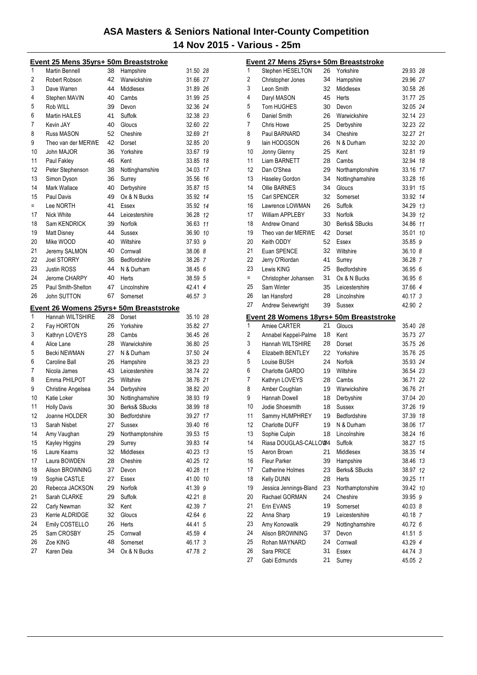|          | Event 25 Mens 35yrs+ 50m Breaststroke |    |                                         |                      |    |
|----------|---------------------------------------|----|-----------------------------------------|----------------------|----|
| 1        | Martin Bennell                        | 38 | Hampshire                               | 31.50 28             |    |
| 2        | Robert Robson                         | 42 | Warwickshire                            | 31.66 27             |    |
| 3        | Dave Warren                           | 44 | Middlesex                               | 31.89 26             |    |
| 4        | Stephen MAVIN                         | 40 | Cambs                                   | 31.99 25             |    |
| 5        | Rob WILL                              | 39 | Devon                                   | 32.36 24             |    |
| 6        | <b>Martin HAILES</b>                  | 41 | Suffolk                                 | 32.38 23             |    |
| 7        | Kevin JAY                             | 40 | Gloucs                                  | 32.60 22             |    |
| 8        | Russ MASON                            | 52 | Cheshire                                | 32.69 21             |    |
| 9        | Theo van der MERWE                    | 42 | Dorset                                  | 32.85 20             |    |
| 10       | John MAJOR                            | 36 | Yorkshire                               | 33.67 19             |    |
| 11       | Paul Fakley                           | 46 | Kent                                    | 33.85 18             |    |
| 12       | Peter Stephenson                      | 38 | Nottinghamshire                         | 34.03 17             |    |
| 13       | Simon Dyson                           | 36 | Surrey                                  | 35.56 16             |    |
| 14       | Mark Wallace                          | 40 | Derbyshire                              | 35.87 15             |    |
| 15       | Paul Davis                            | 49 | Ox & N Bucks                            | 35.92 14             |    |
| $=$      | Lee NORTH                             | 41 | Essex                                   | 35.92 14             |    |
| 17       | Nick White                            | 44 | Leicestershire                          | 36.28 12             |    |
| 18       | Sam KENDRICK                          | 39 | <b>Norfolk</b>                          | 36.63 11             |    |
| 19       | Matt Disney                           | 44 | Sussex                                  | 36.90 10             |    |
| 20       | Mike WOOD                             | 40 | Wiltshire                               | 37.93 9              |    |
| 21       | Jeremy SALMON                         | 40 | Cornwall                                | 38.06 8              |    |
| 22       | <b>Joel STORRY</b>                    | 36 | Bedfordshire                            | 38.26 7              |    |
| 23       | <b>Justin ROSS</b>                    | 44 | N & Durham                              | 38.45 6              |    |
| 24       | Jerome CHARPY                         | 40 | Herts                                   | 38.59 5              |    |
| 25       | Paul Smith-Shelton                    | 47 | Lincolnshire                            | 42.41 4              |    |
| 26       | John SUTTON                           | 67 | Somerset                                | 46.57 3              |    |
|          |                                       |    | Event 26 Womens 25yrs+ 50m Breaststroke |                      |    |
| 1        | Hannah WILTSHIRE                      | 28 | Dorset                                  | 35.10 28             |    |
| 2        | Fay HORTON                            | 26 | Yorkshire                               | 35.82 27             |    |
| 3        | Kathryn LOVEYS                        | 28 | Cambs                                   | 36.45 26             |    |
| 4        | Alice Lane                            | 28 | Warwickshire                            | 36.80 25             |    |
| 5        | Becki NEWMAN                          | 27 | N & Durham                              | 37.50 24             |    |
| 6        | Caroline Ball                         | 26 | Hampshire                               | 38.23 23             |    |
| 7        | Nicola James                          | 43 | Leicestershire                          | 38.74 22             |    |
| 8        | Emma PHILPOT                          | 25 | Wiltshire                               | 38.76 21             |    |
| 9        | Christine Angelsea                    | 34 | Derbyshire                              | 38.82 20             |    |
| 10       | Katie Loker                           | 30 | Nottinghamshire                         | 38.93 19             |    |
| 11       | <b>Holly Davis</b>                    | 30 | Berks& SBucks                           |                      |    |
| 12       |                                       |    |                                         | 38.99 18             |    |
| 13       |                                       | 30 | Bedfordshire                            |                      |    |
|          | Joanne HOLDER<br>Sarah Nisbet         | 27 | Sussex                                  | 39.27 17<br>39.40 16 |    |
| 14       | Amy Vaughan                           | 29 |                                         |                      | 15 |
| 15       |                                       | 29 | Northamptonshire<br>Surrey              | 39.53<br>39.83 14    |    |
| 16       | Kayley Higgins<br>Laure Kearns        | 32 | Middlesex                               | 40.23 13             |    |
| 17       | Laura BOWDEN                          | 28 | Cheshire                                | 40.25 12             |    |
| 18       | Alison BROWNING                       | 37 | Devon                                   |                      |    |
| 19       |                                       | 27 | Essex                                   | 40.28 11<br>41.00 10 |    |
| 20       | Sophie CASTLE<br>Rebecca JACKSON      | 29 | Norfolk                                 |                      |    |
|          | Sarah CLARKE                          | 29 |                                         | 41.39 9              |    |
| 21<br>22 | Carly Newman                          | 32 | Suffolk<br>Kent                         | 42.21 8<br>42.39 7   |    |
| 23       | Kerrie ALDRIDGE                       | 32 | Gloucs                                  | 42.64 6              |    |
| 24       | Emily COSTELLO                        | 26 | Herts                                   | 44.41 5              |    |
| 25       | Sam CROSBY                            | 25 | Cornwall                                | 45.59 4              |    |
| 26       | Zoe KING                              | 48 | Somerset                                | 46.17 3              |    |
| 27       | Karen Dela                            | 34 | Ox & N Bucks                            | 47.78 2              |    |

|          | <u>Event 27 Mens 25yrs+ 50m Breaststroke</u> |          |                  |                    |  |
|----------|----------------------------------------------|----------|------------------|--------------------|--|
| 1        | Stephen HESELTON                             | 26       | Yorkshire        | 29.93 28           |  |
| 2        | Christopher Jones                            | 34       | Hampshire        | 29.96 27           |  |
| 3        | Leon Smith                                   | 32       | Middlesex        | 30.58 26           |  |
| 4        | Daryl MASON                                  | 45       | Herts            | 31.77 25           |  |
| 5        | <b>Tom HUGHES</b>                            | 30       | Devon            | 32.05 24           |  |
| 6        | Daniel Smith                                 | 26       | Warwickshire     | 32.14 23           |  |
| 7        | Chris Howe                                   | 25       | Derbyshire       | 32.23 22           |  |
| 8        | Paul BARNARD                                 | 34       | Cheshire         | 32.27 21           |  |
| 9        | lain HODGSON                                 | 26       | N & Durham       | 32.32 20           |  |
| 10       | Jonny Glenny                                 | 25       | Kent             | 32.81 19           |  |
| 11       | <b>Liam BARNETT</b>                          | 28       | Cambs            | 32.94 18           |  |
| 12       | Dan O'Shea                                   | 29       | Northamptonshire | 33.16 17           |  |
| 13       | Haseley Gordon                               | 34       | Nottinghamshire  | 33.28 16           |  |
| 14       | <b>Ollie BARNES</b>                          | 34       | Gloucs           | 33.91 15           |  |
| 15       | Carl SPENCER                                 | 32       | Somerset         | 33.92 14           |  |
| 16       | Lawrence LOWMAN                              | 26       | Suffolk          | 34.29 13           |  |
| 17       | William APPLEBY                              | 33       | Norfolk          | 34.39 12           |  |
| 18       | Andrew Omand                                 | 30       | Berks& SBucks    | 34.86 11           |  |
| 19       | Theo van der MERWE                           | 42       | Dorset           | 35.01 10           |  |
| 20       | Keith ODDY                                   | 52       | Essex            | 35.85 9            |  |
| 21       | Euan SPENCE                                  | 32       | Wiltshire        | 36.10 8            |  |
| 22       | Jerry O'Riordan                              | 41       | Surrey           | 36.28 7            |  |
| 23       | Lewis KING                                   | 25       | Bedfordshire     | 36.95 6            |  |
| Ξ        | Christopher Johansen                         | 31       | Ox & N Bucks     | 36.95 6            |  |
| 25       | Sam Winter                                   | 35       | Leicestershire   | 37.66 4            |  |
| 26       | lan Hansford                                 | 28       | Lincolnshire     | 40.17 3            |  |
| 27       | Andrew Seivewright                           | 39       | Sussex           | 42.90 2            |  |
|          |                                              |          |                  |                    |  |
|          | Event 28 Womens 18yrs+ 50m Breaststroke      |          |                  |                    |  |
| 1        | Amiee CARTER                                 | 21       | Gloucs           | 35.40 28           |  |
| 2        | Annabel Keppel-Palme                         | 18       | Kent             | 35.73 27           |  |
| 3        | Hannah WILTSHIRE                             | 28       | Dorset           | 35.75 26           |  |
| 4        | Elizabeth BENTLEY                            | 22       | Yorkshire        | 35.76 25           |  |
| 5        | Louise BUSH                                  | 24       | Norfolk          | 35.93 24           |  |
| 6        | Charlotte GARDO                              | 19       | Wiltshire        | 36.54 23           |  |
| 7        | Kathryn LOVEYS                               | 28       | Cambs            | 36.71 22           |  |
| 8        | Amber Coughlan                               | 19       | Warwickshire     | 36.76 21           |  |
| 9        | Hannah Dowell                                | 18       | Derbyshire       | 37.04 20           |  |
| 10       | Jodie Shoesmith                              | 18       | <b>Sussex</b>    | 37.26 19           |  |
| 11       | Sammy HUMPHREY                               | 19       | Bedfordshire     | 37.39 18           |  |
| 12       | Charlotte DUFF                               | 19       | N & Durham       | 38.06 17           |  |
| 13       | Sophie Culpin                                | 18       | Lincolnshire     | 38.24 16           |  |
| 14       | Riasa DOUGLAS-CALLOW4                        |          | Suffolk          | 38.27 15           |  |
| 15       | Aeron Brown                                  | 21       | Middlesex        | 38.35 14           |  |
| 16       | Fleur Parker                                 | 39       | Hampshire        | 38.46 13           |  |
| 17       | Catherine Holmes                             | 23       | Berks& SBucks    | 38.97 12           |  |
| 18       | Kelly DUNN                                   | 28       | Herts            | 39.25 11           |  |
| 19       | Jessica Jennings-Bland                       | 23       | Northamptonshire | 39.42 10           |  |
| 20       | Rachael GORMAN                               | 24       | Cheshire         | 39.95 9            |  |
| 21       | Erin EVANS                                   | 19       | Somerset         | 40.03 8            |  |
| 22       | Anna Sharp                                   | 19       | Leicestershire   | 40.18 7            |  |
| 23       | Amy Konowalik                                | 29       | Nottinghamshire  | 40.72 6            |  |
| 24       | Alison BROWNING                              | 37       | Devon            | 41.51 5            |  |
| 25       | Rohan MAYNARD                                | 24       | Cornwall         | 43.29 4            |  |
| 26<br>27 | Sara PRICE<br>Gabi Edmunds                   | 31<br>21 | Essex<br>Surrey  | 44.74 3<br>45.05 2 |  |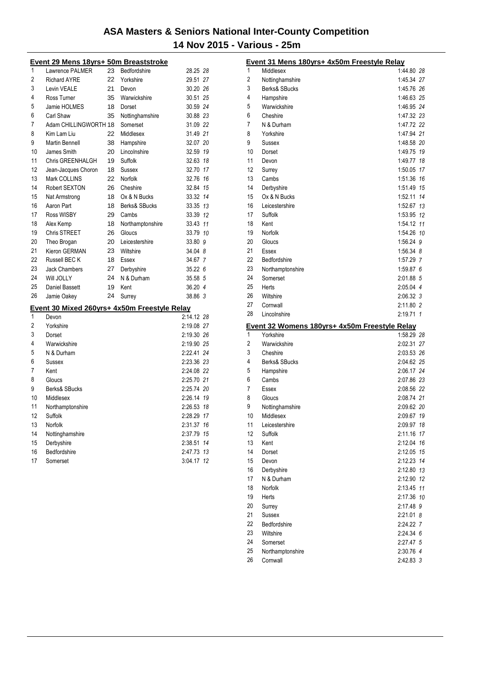|    | <u> Event 29 Mens 18yrs+ 50m Breaststroke</u> |    |                  |            |    |
|----|-----------------------------------------------|----|------------------|------------|----|
| 1  | Lawrence PALMER                               | 23 | Bedfordshire     | 28.25 28   |    |
| 2  | <b>Richard AYRE</b>                           | 22 | Yorkshire        | 29.51 27   |    |
| 3  | Levin VEALE                                   | 21 | Devon            | 30.20 26   |    |
| 4  | Ross Turner                                   | 35 | Warwickshire     | 30.51 25   |    |
| 5  | Jamie HOLMES                                  | 18 | Dorset           | 30.59 24   |    |
| 6  | Carl Shaw                                     | 35 | Nottinghamshire  | 30.88 23   |    |
| 7  | Adam CHILLINGWORTH 18                         |    | Somerset         | 31.09 22   |    |
| 8  | Kim Lam Liu                                   | 22 | Middlesex        | 31.49 21   |    |
| 9  | Martin Bennell                                | 38 | Hampshire        | 32.07 20   |    |
| 10 | James Smith                                   | 20 | Lincolnshire     | 32.59 19   |    |
| 11 | Chris GREENHALGH                              | 19 | Suffolk          | 32.63 18   |    |
| 12 | Jean-Jacques Choron                           | 18 | <b>Sussex</b>    | 32.70 17   |    |
| 13 | Mark COLLINS                                  | 22 | Norfolk          | 32.76 16   |    |
| 14 | Robert SEXTON                                 | 26 | Cheshire         | 32.84 15   |    |
| 15 | Nat Armstrong                                 | 18 | Ox & N Bucks     | 33.32 14   |    |
| 16 | Aaron Part                                    | 18 | Berks& SBucks    | 33.35 13   |    |
| 17 | Ross WISBY                                    | 29 | Cambs            | 33.39 12   |    |
| 18 | Alex Kemp                                     | 18 | Northamptonshire | 33.43 11   |    |
| 19 | Chris STREET                                  | 26 | Gloucs           | 33.79 10   |    |
| 20 | Theo Brogan                                   | 20 | Leicestershire   | 33.80 9    |    |
| 21 | Kieron GERMAN                                 | 23 | Wiltshire        | 34.04 8    |    |
| 22 | Russell BEC K                                 | 18 | Essex            | 34.67 7    |    |
| 23 | <b>Jack Chambers</b>                          | 27 | Derbyshire       | 35.22 6    |    |
| 24 | Will JOLLY                                    | 24 | N & Durham       | 35.58 5    |    |
| 25 | <b>Daniel Bassett</b>                         | 19 | Kent             | 36.20 4    |    |
| 26 | Jamie Oakey                                   | 24 | Surrey           | 38.86 3    |    |
|    | Event 30 Mixed 260yrs+ 4x50m Freestyle Relay  |    |                  |            |    |
| 1  | Devon                                         |    |                  | 2:14.12 28 |    |
| 2  | Yorkshire                                     |    |                  | 2:19.08 27 |    |
| 3  | Dorset                                        |    |                  | 2:19.30 26 |    |
| 4  | Warwickshire                                  |    |                  | 2:19.90 25 |    |
| 5  | N & Durham                                    |    |                  | 2:22.41 24 |    |
| 6  | Sussex                                        |    |                  | 2:23.36 23 |    |
| 7  | Kent                                          |    |                  | 2:24.08 22 |    |
| 8  | Gloucs                                        |    |                  | 2:25.70 21 |    |
| 9  | <b>Berks&amp; SBucks</b>                      |    |                  | 2:25.74 20 |    |
| 10 | Middlesex                                     |    |                  | 2:26.14 19 |    |
| 11 | Northamptonshire                              |    |                  | 2:26.53 18 |    |
| 12 | Suffolk                                       |    |                  | 2:28.29    | 17 |
| 13 | Norfolk                                       |    |                  | 2:31.37    | 16 |
| 14 | Nottinghamshire                               |    |                  | 2:37.79    | 15 |
| 15 | Derbyshire                                    |    |                  | 2:38.51    | 14 |
| 16 | Bedfordshire                                  |    |                  | 2:47.73 13 |    |
| 17 | Somerset                                      |    |                  | 3:04.17 12 |    |
|    |                                               |    |                  |            |    |

|                | Event 31 Mens 180yrs+ 4x50m Freestyle Relay          |                        |    |
|----------------|------------------------------------------------------|------------------------|----|
| 1              | Middlesex                                            | 1:44.80 28             |    |
| $\overline{2}$ | Nottinghamshire                                      | 1:45.34 27             |    |
| 3              | Berks& SBucks                                        | 1:45.76 26             |    |
| 4              | Hampshire                                            | 1:46.63 25             |    |
| 5              | Warwickshire                                         | 1:46.95 24             |    |
| 6              | Cheshire                                             | 1:47.32 23             |    |
| 7              | N & Durham                                           | 1:47.72 22             |    |
| 8              | Yorkshire                                            | 1:47.94 21             |    |
| 9              | Sussex                                               | 1:48.58 20             |    |
| 10             | Dorset                                               | 1:49.75 19             |    |
| 11             | Devon                                                | 1:49.77 18             |    |
| 12             | Surrey                                               | 1:50.05 17             |    |
| 13             | Cambs                                                | 1:51.36 16             |    |
| 14             | Derbyshire                                           | 1:51.49 15             |    |
| 15             | Ox & N Bucks                                         | 1:52.11 14             |    |
| 16             | Leicestershire                                       | 1:52.67 13             |    |
| 17             | Suffolk                                              | 1:53.95 12             |    |
| 18             | Kent                                                 | 1:54.12 11             |    |
| 19             | Norfolk                                              | 1:54.26 10             |    |
| 20             | Gloucs                                               | 1:56.24 9              |    |
| 21             | Essex                                                | 1:56.34 8              |    |
| 22             | Bedfordshire                                         | 1:57.29 7              |    |
| 23             | Northamptonshire                                     | 1:59.876               |    |
| 24             | Somerset                                             | 2:01.88 5              |    |
| 25             | Herts                                                | 2:05.04 4              |    |
| 26             | Wiltshire                                            | $2:06.32$ 3            |    |
| 27             | Cornwall                                             | 2:11.80 2              |    |
| 28             | Lincolnshire                                         | 2:19.71 1              |    |
|                |                                                      |                        |    |
|                | <u>Event 32 Womens 180yrs+ 4x50m Freestyle Relay</u> |                        |    |
| 1              | Yorkshire                                            | 1:58.29 28             |    |
| 2              | Warwickshire                                         | 2:02.31 27             |    |
| 3              | Cheshire                                             | 2:03.53 26             |    |
| 4              | Berks& SBucks                                        | 2:04.62 25             |    |
| 5              | Hampshire                                            | 2:06.17 24             |    |
| 6              | Cambs                                                | 2:07.86 23             |    |
| 7              | Essex                                                | 2:08.56 22             |    |
| 8              | Gloucs                                               | 2:08.74 21             |    |
| 9              | Nottinghamshire                                      | 2:09.62 20             |    |
| 10             | Middlesex                                            | 2:09.67 19             |    |
| 11             | Leicestershire                                       | 2:09.97 18             |    |
| 12             | Suffolk                                              | 2:11.16                | 17 |
| 13             | Kent                                                 | 2:12.04                | 16 |
| 14             | Dorset                                               | 2:12.05 15             |    |
| 15             | Devon                                                | 2:12.23                | 14 |
| 16             | Derbyshire                                           | 2:12.80 13             |    |
| 17             | N & Durham                                           | 2:12.90 12             |    |
| 18             | Norfolk                                              | 2:13.45 11             |    |
| 19             | Herts                                                | 2:17.36 10             |    |
| 20             | Surrey                                               | 2:17.48 9              |    |
| 21             | Sussex                                               | 2:21.01 8              |    |
| 22             | Bedfordshire                                         | 2:24.22 7              |    |
| 23             | Wiltshire                                            | 2:24.34 6              |    |
| 24             | Somerset                                             | 2:27.47 5              |    |
| 25<br>26       | Northamptonshire<br>Cornwall                         | 2:30.76 4<br>2:42.83 3 |    |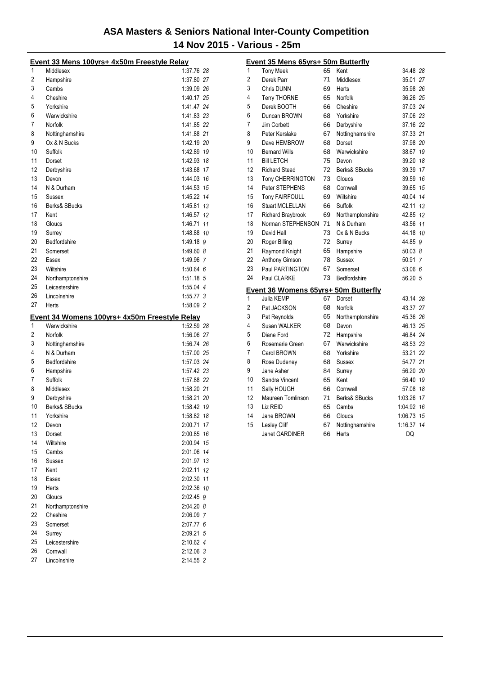|          | Event 33 Mens 100yrs+ 4x50m Freestyle Relay                   |                        |    |
|----------|---------------------------------------------------------------|------------------------|----|
| 1        | Middlesex                                                     | 1:37.76 28             |    |
| 2        | Hampshire                                                     | 1:37.80 27             |    |
| 3        | Cambs                                                         | 1:39.09 26             |    |
| 4        | Cheshire                                                      | 1:40.17 25             |    |
| 5        | Yorkshire                                                     | 1:41.47 24             |    |
| 6        | Warwickshire                                                  | 1:41.83 23             |    |
| 7        | Norfolk                                                       | 1:41.85 22             |    |
| 8        | Nottinghamshire                                               | 1:41.88 21             |    |
| 9        | Ox & N Bucks                                                  | 1:42.19 20             |    |
| 10       | Suffolk                                                       | 1:42.89 19             |    |
| 11       | Dorset                                                        | 1:42.93 18             |    |
| 12       | Derbyshire                                                    | 1:43.68 17             |    |
| 13       | Devon                                                         | 1:44.03 16             |    |
| 14       | N & Durham                                                    | 1:44.53 15             |    |
| 15       | Sussex                                                        | 1:45.22 14             |    |
| 16       | Berks& SBucks                                                 | 1:45.81 13             |    |
| 17       | Kent                                                          | 1:46.57 12             |    |
| 18       | Gloucs                                                        | 1:46.71 11             |    |
| 19       | Surrey                                                        | 1:48.88 10             |    |
| 20       | Bedfordshire                                                  | 1:49.18 9              |    |
| 21       | Somerset                                                      | 1:49.60 8              |    |
| 22       | Essex                                                         | 1:49.96 7              |    |
| 23       | Wiltshire                                                     | 1:50.64 6              |    |
| 24       | Northamptonshire                                              | 1:51.18 5              |    |
| 25       | Leicestershire                                                | 1:55.04 4              |    |
| 26       | Lincolnshire                                                  | $1:55.77$ 3            |    |
| 27       | Herts                                                         | 1:58.09 2              |    |
|          |                                                               |                        |    |
|          |                                                               |                        |    |
| 1        | Event 34 Womens 100yrs+ 4x50m Freestyle Relay<br>Warwickshire | 1:52.59 28             |    |
| 2        | Norfolk                                                       | 1:56.06 27             |    |
| 3        | Nottinghamshire                                               | 1:56.74 26             |    |
| 4        | N & Durham                                                    | 1:57.00 25             |    |
| 5        | Bedfordshire                                                  | 1:57.03 24             |    |
| 6        | Hampshire                                                     | 1:57.42 23             |    |
| 7        | Suffolk                                                       | 1:57.88 22             |    |
| 8        | Middlesex                                                     | 1:58.20 21             |    |
| 9        | Derbyshire                                                    | 1:58.21 20             |    |
| 10       | Berks& SBucks                                                 | 1:58.42 19             |    |
| 11       | Yorkshire                                                     | 1:58.82 18             |    |
| 12       | Devon                                                         | 2:00.71 17             |    |
| 13       | Dorset                                                        | 2:00.85                | 16 |
| 14       | Wiltshire                                                     | 2:00.94                | 15 |
| 15       | Cambs                                                         | 2:01.06 14             |    |
| 16       | Sussex                                                        | 2:01.97 13             |    |
| 17       | Kent                                                          | 2:02.11                | 12 |
| 18       | Essex                                                         | 2:02.30 11             |    |
| 19       | Herts                                                         | 2:02.36 10             |    |
| 20       | Gloucs                                                        | 2:02.45 9              |    |
| 21       | Northamptonshire                                              | 2:04.20 8              |    |
| 22       | Cheshire                                                      | 2:06.09 7              |    |
| 23       | Somerset                                                      | 2:07.77 6              |    |
| 24       | Surrey                                                        | 2:09.21 5              |    |
| 25       | Leicestershire                                                | 2:10.62 4              |    |
| 26<br>27 | Cornwall<br>Lincolnshire                                      | 2:12.06 3<br>2:14.55 2 |    |

|             | Event 35 Mens 65yrs+ 50m Butterfly   |    |                  |            |  |
|-------------|--------------------------------------|----|------------------|------------|--|
| $\mathbf 1$ | <b>Tony Meek</b>                     | 65 | Kent             | 34.48 28   |  |
| 2           | Derek Parr                           | 71 | Middlesex        | 35.01 27   |  |
| 3           | Chris DUNN                           | 69 | Herts            | 35.98 26   |  |
| 4           | <b>Terry THORNE</b>                  | 65 | Norfolk          | 36.26 25   |  |
| 5           | Derek BOOTH                          | 66 | Cheshire         | 37.03 24   |  |
| 6           | Duncan BROWN                         | 68 | Yorkshire        | 37.06 23   |  |
| 7           | Jim Corbett                          | 66 | Derbyshire       | 37.16 22   |  |
| 8           | Peter Kerslake                       | 67 | Nottinghamshire  | 37.33 21   |  |
| 9           | Dave HEMBROW                         | 68 | Dorset           | 37.98 20   |  |
| 10          | <b>Bernard Wills</b>                 | 68 | Warwickshire     | 38.67 19   |  |
| 11          | <b>Bill LETCH</b>                    | 75 | Devon            | 39.20 18   |  |
| 12          | <b>Richard Stead</b>                 | 72 | Berks& SBucks    | 39.39 17   |  |
| 13          | Tony CHERRINGTON                     | 73 | Gloucs           | 39.59 16   |  |
| 14          | Peter STEPHENS                       | 68 | Cornwall         | 39.65 15   |  |
| 15          | <b>Tony FAIRFOULL</b>                | 69 | Wiltshire        | 40.04 14   |  |
| 16          | Stuart MCLELLAN                      | 66 | Suffolk          | 42.11 13   |  |
| 17          | <b>Richard Braybrook</b>             | 69 | Northamptonshire | 42.85 12   |  |
| 18          | Norman STEPHENSON                    | 71 | N & Durham       | 43.56 11   |  |
| 19          | David Hall                           | 73 | Ox & N Bucks     | 44.18 10   |  |
| 20          | Roger Billing                        | 72 | Surrey           | 44.85 9    |  |
| 21          | Raymond Knight                       | 65 | Hampshire        | 50.038     |  |
| 22          | Anthony Gimson                       | 78 | <b>Sussex</b>    | 50.91 7    |  |
| 23          | Paul PARTINGTON                      | 67 | Somerset         | 53.06 6    |  |
| 24          | Paul CLARKE                          | 73 | Bedfordshire     | 56.20 5    |  |
|             | Event 36 Womens 65yrs+ 50m Butterfly |    |                  |            |  |
| 1           | Julia KEMP                           | 67 | Dorset           | 43.14 28   |  |
| 2           | Pat JACKSON                          | 68 | Norfolk          | 43.37 27   |  |
| 3           | Pat Reynolds                         | 65 | Northamptonshire | 45.36 26   |  |
| 4           | Susan WALKER                         | 68 | Devon            | 46.13 25   |  |
| 5           | Diane Ford                           | 72 | Hampshire        | 46.84 24   |  |
| 6           | Rosemarie Green                      | 67 | Warwickshire     | 48.53 23   |  |
| 7           | Carol BROWN                          | 68 | Yorkshire        | 53.21 22   |  |
| 8           | Rose Dudeney                         | 68 | <b>Sussex</b>    | 54.77 21   |  |
| 9           | Jane Asher                           | 84 | Surrey           | 56.20 20   |  |
| 10          | Sandra Vincent                       | 65 | Kent             | 56.40 19   |  |
| 11          | Sally HOUGH                          | 66 | Cornwall         | 57.08 18   |  |
| 12          | Maureen Tomlinson                    | 71 | Berks& SBucks    | 1:03.26 17 |  |
| 13          | Liz REID                             | 65 | Cambs            | 1:04.92 16 |  |
| 14          | Jane BROWN                           | 66 | Gloucs           | 1:06.73 15 |  |
| 15          | Lesley Cliff                         | 67 | Nottinghamshire  | 1:16.37 14 |  |
|             | Janet GARDINER                       | 66 | Herts            | DQ         |  |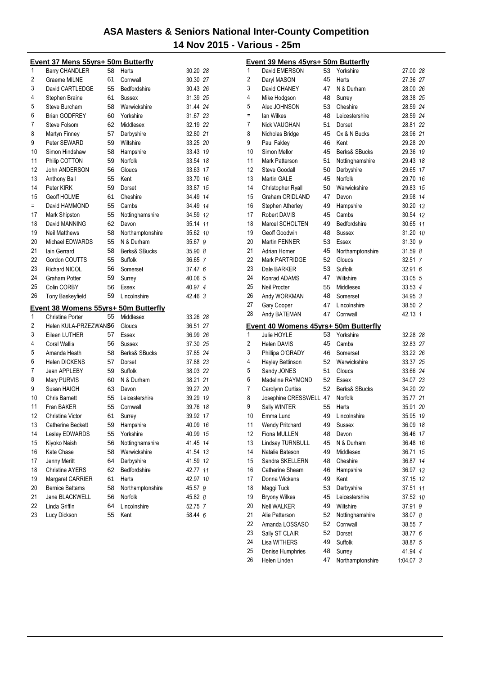|     | Event 37 Mens 55yrs+ 50m Butterfly          |    |                  |          |    |
|-----|---------------------------------------------|----|------------------|----------|----|
| 1   | <b>Barry CHANDLER</b>                       | 58 | Herts            | 30.20 28 |    |
| 2   | <b>Graeme MILNE</b>                         | 61 | Cornwall         | 30.30 27 |    |
| 3   | David CARTLEDGE                             | 55 | Bedfordshire     | 30.43 26 |    |
| 4   | Stephen Braine                              | 61 | Sussex           | 31.39 25 |    |
| 5   | Steve Burcham                               | 58 | Warwickshire     | 31.44 24 |    |
| 6   | <b>Brian GODFREY</b>                        | 60 | Yorkshire        | 31.67 23 |    |
| 7   | Steve Folsom                                | 62 | Middlesex        | 32.19 22 |    |
| 8   | Martyn Finney                               | 57 | Derbyshire       | 32.80 21 |    |
| 9   | Peter SEWARD                                | 59 | Wiltshire        | 33.25 20 |    |
| 10  | Simon Hindshaw                              | 58 | Hampshire        | 33.43 19 |    |
| 11  | Philip COTTON                               | 59 | Norfolk          | 33.54 18 |    |
| 12  | John ANDERSON                               | 56 | Gloucs           | 33.63 17 |    |
| 13  | Anthony Ball                                | 55 | Kent             | 33.70 16 |    |
| 14  | Peter KIRK                                  | 59 | Dorset           | 33.87 15 |    |
| 15  | Geoff HOLME                                 | 61 | Cheshire         | 34.49 14 |    |
| $=$ | David HAMMOND                               | 55 | Cambs            | 34.49 14 |    |
| 17  | Mark Shipston                               | 55 | Nottinghamshire  | 34.59 12 |    |
| 18  | David MANNING                               | 62 | Devon            | 35.14 11 |    |
| 19  | <b>Neil Matthews</b>                        | 58 | Northamptonshire | 35.62 10 |    |
| 20  | Michael EDWARDS                             | 55 | N & Durham       | 35.67 9  |    |
| 21  | lain Gerrard                                | 58 | Berks& SBucks    | 35.90 8  |    |
| 22  | Gordon COUTTS                               | 55 | Suffolk          | 36.65 7  |    |
| 23  | Richard NICOL                               | 56 | Somerset         | 37.47 6  |    |
| 24  | <b>Graham Potter</b>                        | 59 | Surrey           | 40.06 5  |    |
| 25  | Colin CORBY                                 | 56 | Essex            | 40.97 4  |    |
| 26  | Tony Baskeyfield                            | 59 | Lincolnshire     | 42.46 3  |    |
|     | <b>Event 38 Womens 55yrs+ 50m Butterfly</b> |    |                  |          |    |
| 1   | <b>Christine Porter</b>                     | 55 | Middlesex        | 33.26 28 |    |
| 2   | Helen KULA-PRZEZWANS6                       |    | Gloucs           | 36.51 27 |    |
| 3   | Eileen LUTHER                               | 57 | Essex            | 36.99 26 |    |
| 4   | Coral Wallis                                | 56 | Sussex           | 37.30 25 |    |
| 5   | Amanda Heath                                | 58 | Berks& SBucks    | 37.85 24 |    |
| 6   | <b>Helen DICKENS</b>                        | 57 | Dorset           | 37.88 23 |    |
| 7   | Jean APPLEBY                                | 59 | Suffolk          | 38.03 22 |    |
| 8   | Mary PURVIS                                 | 60 | N & Durham       | 38.21 21 |    |
| 9   | Susan HAIGH                                 | 63 | Devon            | 39.27 20 |    |
| 10  | <b>Chris Barnett</b>                        | 55 | Leicestershire   | 39.29 19 |    |
| 11  | Fran BAKER                                  | 55 | Cornwall         | 39.76 18 |    |
| 12  | Christina Victor                            | 61 | Surrey           | 39.92    | 17 |
| 13  | <b>Catherine Beckett</b>                    | 59 | Hampshire        | 40.09 16 |    |
| 14  | Lesley EDWARDS                              | 55 | Yorkshire        | 40.99    | 15 |
| 15  | Kiyoko Naish                                | 56 | Nottinghamshire  | 41.45 14 |    |
| 16  | Kate Chase                                  | 58 | Warwickshire     | 41.54 13 |    |
| 17  | Jenny Meritt                                | 64 | Derbyshire       | 41.59 12 |    |
| 18  | <b>Christine AYERS</b>                      | 62 | Bedfordshire     | 42.77 11 |    |
| 19  | Margaret CARRIER                            | 61 | Herts            | 42.97 10 |    |
| 20  | <b>Bernice Battams</b>                      | 58 | Northamptonshire | 45.57 9  |    |
| 21  | Jane BLACKWELL                              | 56 | Norfolk          | 45.82 8  |    |
| 22  | Linda Griffin                               | 64 | Lincolnshire     | 52.75 7  |    |
| 23  | Lucy Dickson                                | 55 | Kent             | 58.44 6  |    |

|         | <u>Event 39 Mens 45yrs+ 50m Butterfly</u>           |          |                          |             |    |
|---------|-----------------------------------------------------|----------|--------------------------|-------------|----|
| 1       | David EMERSON                                       | 53       | Yorkshire                | 27.00 28    |    |
| 2       | Daryl MASON                                         | 45       | Herts                    | 27.36 27    |    |
| 3       | David CHANEY                                        | 47       | N & Durham               | 28.00 26    |    |
| 4       | Mike Hodgson                                        | 48       | Surrey                   | 28.38 25    |    |
| 5       | Alec JOHNSON                                        | 53       | Cheshire                 | 28.59 24    |    |
| Ξ       | lan Wilkes                                          | 48       | Leicestershire           | 28.59 24    |    |
| 7       | <b>Nick VAUGHAN</b>                                 | 51       | Dorset                   | 28.81 22    |    |
| 8       | Nicholas Bridge                                     | 45       | Ox & N Bucks             | 28.96 21    |    |
| 9       | Paul Fakley                                         | 46       | Kent                     | 29.28 20    |    |
| 10      | Simon Mellor                                        | 45       | Berks& SBucks            | 29.36 19    |    |
| 11      | Mark Patterson                                      | 51       | Nottinghamshire          | 29.43       | 18 |
| 12      | Steve Goodall                                       | 50       | Derbyshire               | 29.65       | 17 |
| 13      | Martin GALE                                         | 45       | Norfolk                  | 29.70 16    |    |
| 14      | Christopher Ryall                                   | 50       | Warwickshire             | 29.83       | 15 |
| 15      | Graham CRIDLAND                                     | 47       | Devon                    | 29.98 14    |    |
| 16      | Stephen Atherley                                    | 49       | Hampshire                | 30.20 13    |    |
| 17      | <b>Robert DAVIS</b>                                 | 45       | Cambs                    | 30.54 12    |    |
| 18      | Marcel SCHOLTEN                                     | 49       | Bedfordshire             | 30.65 11    |    |
| 19      | Geoff Goodwin                                       | 48       | Sussex                   | 31.20 10    |    |
| 20      | Martin FENNER                                       | 53       | Essex                    | 31.30 9     |    |
| 21      | Adrian Homer                                        | 45       | Northamptonshire         | 31.59 8     |    |
| 22      | Mark PARTRIDGE                                      | 52       | Gloucs                   | 32.51 7     |    |
| 23      | Dale BARKER                                         | 53       | Suffolk                  | 32.91 6     |    |
| 24      | Konrad ADAMS                                        | 47       | Wiltshire                | 33.05 5     |    |
| 25      | Neil Procter                                        | 55       | Middlesex                | 33.53 4     |    |
| 26      | Andy WORKMAN                                        | 48       | Somerset                 | 34.95 3     |    |
| 27      | Gary Cooper                                         | 47       | Lincolnshire             | 38.50 2     |    |
| 28      | Andy BATEMAN                                        | 47       | Cornwall                 | 42.13 1     |    |
|         |                                                     |          |                          |             |    |
| 1       | Event 40 Womens 45yrs+ 50m Butterfly<br>Julie HOYLE | 53       | Yorkshire                | 32.28 28    |    |
| 2       | <b>Helen DAVIS</b>                                  | 45       | Cambs                    | 32.83 27    |    |
| 3       | Phillipa O'GRADY                                    | 46       | Somerset                 | 33.22 26    |    |
| 4       |                                                     | 52       | Warwickshire             | 33.37 25    |    |
| 5       | Hayley Bettinson<br>Sandy JONES                     | 51       | Gloucs                   | 33.66 24    |    |
| 6       | Madeline RAYMOND                                    | 52       | Essex                    | 34.07 23    |    |
| 7       |                                                     |          | <b>Berks&amp; SBucks</b> | 34.20 22    |    |
| 8       | Carolynn Curtiss                                    | 52       |                          | 35.77 21    |    |
|         | Josephine CRESSWELL 47                              |          | Norfolk                  |             |    |
| 9<br>10 | Sally WINTER                                        | 55<br>49 | Herts                    | 35.91 20    |    |
|         | Emma Lund                                           |          | Lincolnshire             | 35.95 19    |    |
| 11      | <b>Wendy Pritchard</b>                              | 49       | Sussex                   | 36.09 18    |    |
| 12      | Fiona MULLEN                                        | 48       | Devon                    | 36.46       | 17 |
| 13      | Lindsay TURNBULL                                    | 45       | N & Durham               | 36.48       | 16 |
| 14      | Natalie Bateson                                     | 49       | Middlesex                | 36.71       | 15 |
| 15      | Sandra SKELLERN                                     | 48       | Cheshire                 | 36.87       | 14 |
| 16      | Catherine Shearn                                    | 46       | Hampshire                | 36.97       | 13 |
| 17      | Donna Wickens                                       | 49       | Kent                     | 37.15       | 12 |
| 18      | Maggi Tuck                                          | 53       | Derbyshire               | 37.51       | 11 |
| 19      | <b>Bryony Wilkes</b>                                | 45       | Leicestershire           | 37.52 10    |    |
| 20      | <b>Nell WALKER</b>                                  | 49       | Wiltshire                | 37.91 9     |    |
| 21      | Alie Patterson                                      | 52       | Nottinghamshire          | 38.07 8     |    |
| 22      | Amanda LOSSASO                                      | 52       | Cornwall                 | 38.55 7     |    |
| 23      | Sally ST CLAIR                                      | 52       | Dorset                   | 38.77 6     |    |
| 24      | Lisa WITHERS                                        | 49       | Suffolk                  | 38.87 5     |    |
| 25      | Denise Humphries                                    | 48       | Surrey                   | 41.94 4     |    |
| 26      | Helen Linden                                        | 47       | Northamptonshire         | $1:04.07$ 3 |    |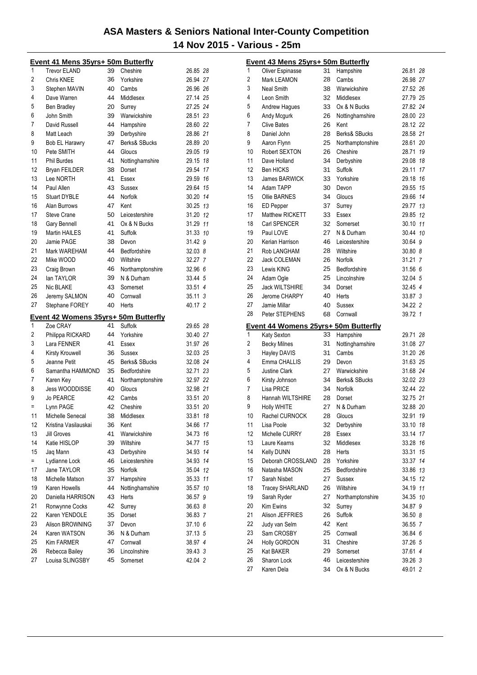|          | <u>Event 41 Mens 35yrs+ 50m Butterfly</u> |          |                          |                    |    |
|----------|-------------------------------------------|----------|--------------------------|--------------------|----|
| 1        | <b>Trevor ELAND</b>                       | 39       | Cheshire                 | 26.85 28           |    |
| 2        | Chris KNEE                                | 36       | Yorkshire                | 26.94 27           |    |
| 3        | Stephen MAVIN                             | 40       | Cambs                    | 26.96 26           |    |
| 4        | Dave Warren                               | 44       | Middlesex                | 27.14 25           |    |
| 5        | <b>Ben Bradley</b>                        | 20       | Surrey                   | 27.25 24           |    |
| 6        | John Smith                                | 39       | Warwickshire             | 28.51 23           |    |
| 7        | David Russell                             | 44       | Hampshire                | 28.60 22           |    |
| 8        | Matt Leach                                | 39       | Derbyshire               | 28.86 21           |    |
| 9        | Bob EL Harawry                            | 47       | Berks& SBucks            | 28.89 20           |    |
| 10       | Pete SMITH                                | 44       | Gloucs                   | 29.05 19           |    |
| 11       | <b>Phil Burdes</b>                        | 41       | Nottinghamshire          | 29.15 18           |    |
| 12       | <b>Bryan FEILDER</b>                      | 38       | Dorset                   | 29.54 17           |    |
| 13       | Lee NORTH                                 | 41       | Essex                    | 29.59 16           |    |
| 14       | Paul Allen                                | 43       | Sussex                   | 29.64 15           |    |
| 15       | <b>Stuart DYBLE</b>                       | 44       | <b>Norfolk</b>           | 30.20 14           |    |
| 16       | Alan Burrows                              | 47       | Kent                     | 30.25 13           |    |
| 17       | <b>Steve Crane</b>                        | 50       | Leicestershire           | 31.20 12           |    |
| 18       | Gary Bennell                              | 41       | Ox & N Bucks             | 31.29 11           |    |
| 19       | <b>Martin HAILES</b>                      | 41       | Suffolk                  | 31.33 10           |    |
| 20       | Jamie PAGE                                | 38       | Devon                    | 31.42 9            |    |
| 21       | Mark WAREHAM                              | 44       | Bedfordshire             | 32.03 8            |    |
| 22       | Mike WOOD                                 | 40       | Wiltshire                | 32.27 7            |    |
| 23       | Craig Brown                               | 46       | Northamptonshire         | 32.96 6            |    |
| 24       | lan TAYLOR                                | 39       | N & Durham               | 33.44 5            |    |
| 25       | Nic BLAKE                                 | 43       | Somerset                 | 33.51 4            |    |
| 26       | Jeremy SALMON                             | 40       | Cornwall                 | 35.11 3            |    |
| 27       | Stephane FOREY                            | 40       | Herts                    | 40.17 2            |    |
|          |                                           |          |                          |                    |    |
|          |                                           |          |                          |                    |    |
|          | Event 42 Womens 35yrs+ 50m Butterfly      |          |                          |                    |    |
| 1        | Zoe CRAY                                  | 41       | Suffolk                  | 29.65 28           |    |
| 2        | Philippa RICKARD                          | 44       | Yorkshire                | 30.40 27           |    |
| 3        | Lara FENNER                               | 41       | Essex                    | 31.97 26           |    |
| 4        | Kirsty Krouwell                           | 36       | Sussex                   | 32.03 25           |    |
| 5        | Jeanne Petit                              | 45       | Berks& SBucks            | 32.08 24           |    |
| 6        | Samantha HAMMOND                          | 35       | Bedfordshire             | 32.71 23           |    |
| 7        | Karen Key                                 | 41       | Northamptonshire         | 32.97 22           |    |
| 8        | Jess WOODDISSE                            | 40       | Gloucs                   | 32.98 21           |    |
| 9        | <b>Jo PEARCE</b>                          | 42       | Cambs                    | 33.51 20           |    |
| Ξ        | Lynn PAGE                                 | 42       | Cheshire                 | 33.51 20           |    |
| 11       | Michelle Senecal                          | 38       | Middlesex                | 33.81              | 18 |
| 12       | Kristina Vasilauskai                      | 36       | Kent                     | 34.66 17           |    |
| 13       | <b>Jill Groves</b>                        | 41       | Warwickshire             | 34.73 16           |    |
| 14       | Katie HISLOP                              | 39       | Wiltshire                | 34.77 15           |    |
| 15       | Jaq Mann                                  | 43       | Derbyshire               | 34.93 14           |    |
| $=$      | Lydianne Lock                             | 46       | Leicestershire           | 34.93 14           |    |
| 17       | Jane TAYLOR                               | 35       | <b>Norfolk</b>           | 35.04 12           |    |
| 18       | Michelle Matson                           | 37       | Hampshire                | 35.33 11           |    |
| 19       | Karen Howells                             | 44       | Nottinghamshire          | 35.57 10           |    |
| 20       | Daniella HARRISON                         | 43       | Herts                    | 36.57 9            |    |
| 21       | Ronwynne Cocks                            | 42       | Surrey                   | 36.63 8            |    |
| 22       | Karen YENDOLE                             | 35       | Dorset                   | 36.83 7            |    |
| 23       | Alison BROWNING                           | 37       | Devon                    | 37.10 6            |    |
| 24       | Karen WATSON                              | 36       | N & Durham               | 37.13 5            |    |
| 25       | <b>Kim FARMER</b>                         | 47       | Cornwall                 | 38.97 4            |    |
| 26<br>27 | Rebecca Bailey<br>Louisa SLINGSBY         | 36<br>45 | Lincolnshire<br>Somerset | 39.43 3<br>42.04 2 |    |

|    | Event 43 Mens 25yrs+ 50m Butterfly   |          |                                |                    |    |
|----|--------------------------------------|----------|--------------------------------|--------------------|----|
| 1  | Oliver Espinasse                     | 31       | Hampshire                      | 26.81 28           |    |
| 2  | <b>Mark LEAMON</b>                   | 28       | Cambs                          | 26.98 27           |    |
| 3  | <b>Neal Smith</b>                    | 38       | Warwickshire                   | 27.52 26           |    |
| 4  | Leon Smith                           | 32       | Middlesex                      | 27.79 25           |    |
| 5  | Andrew Hagues                        | 33       | Ox & N Bucks                   | 27.82 24           |    |
| 6  | Andy Mcgurk                          | 26       | Nottinghamshire                | 28.00 23           |    |
| 7  | <b>Clive Bates</b>                   | 26       | Kent                           | 28.12 22           |    |
| 8  | Daniel John                          | 28       | Berks& SBucks                  | 28.58 21           |    |
| 9  | Aaron Flynn                          | 25       | Northamptonshire               | 28.61 20           |    |
| 10 | Robert SEXTON                        | 26       | Cheshire                       | 28.71              | 19 |
| 11 | Dave Holland                         | 34       | Derbyshire                     | 29.08 18           |    |
| 12 | <b>Ben HICKS</b>                     | 31       | Suffolk                        | 29.11              | 17 |
| 13 | James BARWICK                        | 33       | Yorkshire                      | 29.18 16           |    |
| 14 | Adam TAPP                            | 30       | Devon                          | 29.55              | 15 |
| 15 | <b>Ollie BARNES</b>                  | 34       | Gloucs                         | 29.66              | 14 |
| 16 | <b>ED Pepper</b>                     | 37       | Surrey                         | 29.77 13           |    |
| 17 | Matthew RICKETT                      | 33       | Essex                          | 29.85              | 12 |
| 18 | Carl SPENCER                         | 32       | Somerset                       | 30.10 11           |    |
| 19 | Paul LOVE                            | 27       | N & Durham                     | 30.44 10           |    |
| 20 | Kerian Harrison                      | 46       | Leicestershire                 | 30.64 9            |    |
| 21 | Rob LANGHAM                          | 28       | Wiltshire                      | 30.80 8            |    |
| 22 | <b>Jack COLEMAN</b>                  | 26       | Norfolk                        | 31.21 7            |    |
| 23 | Lewis KING                           | 25       | Bedfordshire                   | 31.56 6            |    |
| 24 | Adam Ogle                            | 25       | Lincolnshire                   | 32.04 5            |    |
| 25 | <b>Jack WILTSHIRE</b>                | 34       | Dorset                         | 32.45 4            |    |
| 26 | Jerome CHARPY                        | 40       | Herts                          | 33.87 3            |    |
| 27 | Jamie Millar                         | 40       | Sussex                         | 34.22 2            |    |
| 28 | Peter STEPHENS                       | 68       | Cornwall                       | 39.72 1            |    |
|    | Event 44 Womens 25yrs+ 50m Butterfly |          |                                |                    |    |
| 1  | Katy Sexton                          | 33       | Hampshire                      | 29.71 28           |    |
| 2  | <b>Becky Milnes</b>                  | 31       | Nottinghamshire                | 31.08 27           |    |
| 3  | Hayley DAVIS                         | 31       | Cambs                          | 31.20 26           |    |
| 4  | Emma CHALLIS                         | 29       | Devon                          | 31.63 25           |    |
| 5  | <b>Justine Clark</b>                 | 27       | Warwickshire                   | 31.68 24           |    |
| 6  | Kirsty Johnson                       | 34       | Berks& SBucks                  | 32.02 23           |    |
| 7  | Lisa PRICE                           | 34       | Norfolk                        | 32.44 22           |    |
| 8  | Hannah WILTSHIRE                     | 28       | Dorset                         | 32.75 21           |    |
| 9  | <b>Holly WHITE</b>                   | 27       | N & Durham                     | 32.88 20           |    |
| 10 | Rachel CURNOCK                       | 28       | Gloucs                         | 32.91 19           |    |
| 11 | Lisa Poole                           | 32       | Derbyshire                     | 33.10 18           |    |
| 12 | Michelle CURRY                       | 28       | <b>Essex</b>                   | 33.14              | 17 |
| 13 | Laure Kearns                         | 32       | Middlesex                      | 33.28              | 16 |
| 14 | Kelly DUNN                           | 28       | Herts                          | 33.31              | 15 |
| 15 | Deborah CROSSLAND                    | 28       | Yorkshire                      | 33.37              | 14 |
| 16 | Natasha MASON                        | 25       | Bedfordshire                   | 33.86              | 13 |
| 17 | Sarah Nisbet                         | 27       | <b>Sussex</b>                  | 34.15 12           |    |
| 18 | <b>Tracey SHARLAND</b>               | 26       | Wiltshire                      | 34.19 11           |    |
| 19 | Sarah Ryder                          | 27       | Northamptonshire               | 34.35 10           |    |
| 20 | Kim Ewins                            | 32       | Surrey                         | 34.87 9            |    |
| 21 | Alison JEFFRIES                      | 26       | Suffolk                        | 36.50 8            |    |
| 22 | Judy van Selm                        | 42       | Kent                           | 36.55 7            |    |
| 23 | Sam CROSBY                           | 25       | Cornwall                       | 36.84 6            |    |
| 24 | Holly GORDON                         | 31       | Cheshire                       | 37.26 5            |    |
| 25 | Kat BAKER                            | 29       | Somerset                       | 37.61 4            |    |
| 26 | Sharon Lock<br>Karen Dela            | 46<br>34 | Leicestershire<br>Ox & N Bucks | 39.26 3<br>49.01 2 |    |
| 27 |                                      |          |                                |                    |    |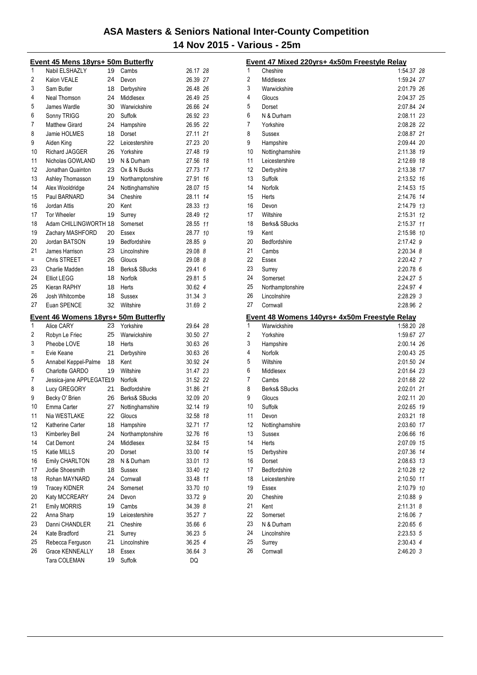|          | Event 45 Mens 18yrs+ 50m Butterfly                 |    |                    |                      |
|----------|----------------------------------------------------|----|--------------------|----------------------|
| 1        | Nabil ELSHAZLY                                     | 19 | Cambs              | 26.17 28             |
| 2        | Kalon VEALE                                        | 24 | Devon              | 26.39 27             |
| 3        | Sam Butler                                         | 18 | Derbyshire         | 26.48 26             |
| 4        | Neal Thomson                                       | 24 | Middlesex          | 26.49 25             |
| 5        | James Wardle                                       | 30 | Warwickshire       | 26.66 24             |
| 6        | Sonny TRIGG                                        | 20 | Suffolk            | 26.92 23             |
| 7        | <b>Matthew Girard</b>                              | 24 | Hampshire          | 26.95 22             |
| 8        | Jamie HOLMES                                       | 18 | Dorset             | 27.11 21             |
| 9        | Aiden King                                         | 22 | Leicestershire     | 27.23 20             |
| 10       | <b>Richard JAGGER</b>                              | 26 | Yorkshire          | 27.48 19             |
| 11       | Nicholas GOWLAND                                   | 19 | N & Durham         | 27.56 18             |
| 12       | Jonathan Quainton                                  | 23 | Ox & N Bucks       | 27.73 17             |
| 13       | Ashley Thomasson                                   | 19 | Northamptonshire   | 27.91<br>16          |
| 14       | Alex Wooldridge                                    | 24 | Nottinghamshire    | 28.07 15             |
| 15       | Paul BARNARD                                       | 34 | Cheshire           | 28.11 14             |
| 16       | Jordan Attis                                       | 20 | Kent               | 28.33 13             |
| 17       | <b>Tor Wheeler</b>                                 | 19 | Surrey             | 28.49 12             |
| 18       | Adam CHILLINGWORTH 18                              |    | Somerset           | 28.55 11             |
| 19       | Zachary MASHFORD                                   | 20 | Essex              | 28.77 10             |
| 20       | Jordan BATSON                                      | 19 | Bedfordshire       | 28.85 9              |
| 21       | James Harrison                                     | 23 | Lincolnshire       | 29.08 8              |
| $=$      | <b>Chris STREET</b>                                | 26 | Gloucs             | 29.08 8              |
| 23       | Charlie Madden                                     | 18 | Berks& SBucks      | 29.41 6              |
| 24       | <b>Elliot LEGG</b>                                 | 18 | Norfolk            | 29.81 5              |
| 25       | Kieran RAPHY                                       | 18 | Herts              | 30.62 4              |
| 26       | Josh Whitcombe                                     | 18 | Sussex             | $31.34 \text{ } 3$   |
| 27       | Euan SPENCE                                        | 32 | Wiltshire          | 31.69 2              |
|          |                                                    |    |                    |                      |
|          |                                                    |    |                    |                      |
| 1        | Event 46 Womens 18yrs+ 50m Butterfly<br>Alice CARY | 23 | Yorkshire          | 29.64 28             |
| 2        |                                                    | 25 | Warwickshire       | 30.50 27             |
| 3        | Robyn Le Friec<br>Pheobe LOVE                      | 18 | Herts              |                      |
| $\equiv$ | Evie Keane                                         | 21 |                    | 30.63 26<br>30.63 26 |
| 5        | Annabel Keppel-Palme                               | 18 | Derbyshire<br>Kent |                      |
| 6        | Charlotte GARDO                                    | 19 | Wiltshire          | 30.92 24<br>31.47 23 |
| 7        | Jessica-jane APPLEGATE19                           |    | Norfolk            | 31.52 22             |
| 8        | Lucy GREGORY                                       | 21 | Bedfordshire       | 31.86 21             |
| 9        | Becky O' Brien                                     | 26 | Berks& SBucks      | 32.09 20             |
| 10       | Emma Carter                                        | 27 | Nottinghamshire    | 32.14 19             |
| 11       | Nia WESTLAKE                                       | 22 | Gloucs             | 32.58 18             |
| 12       | Katherine Carter                                   | 18 | Hampshire          | 32.71<br>17          |
| 13       | Kimberley Bell                                     | 24 | Northamptonshire   | 32.76 16             |
| 14       | Cat Demont                                         | 24 | Middlesex          | 32.84 15             |
| 15       | Katie MILLS                                        | 20 | Dorset             | 33.00 14             |
| 16       | Emily CHARLTON                                     | 28 | N & Durham         | 33.01<br>13          |
| 17       | Jodie Shoesmith                                    | 18 | <b>Sussex</b>      | 33.40 12             |
| 18       | Rohan MAYNARD                                      | 24 | Cornwall           | 33.48 11             |
| 19       | Tracey KIDNER                                      | 24 | Somerset           | 33.70 10             |
| 20       |                                                    | 24 | Devon              |                      |
| 21       | Katy MCCREARY<br><b>Emily MORRIS</b>               | 19 | Cambs              | 33.72 9<br>34.39 8   |
| 22       | Anna Sharp                                         | 19 | Leicestershire     | 35.27 7              |
| 23       | Danni CHANDLER                                     | 21 | Cheshire           | 35.66 6              |
| 24       | Kate Bradford                                      | 21 | Surrey             | 36.23 5              |
| 25       | Rebecca Ferguson                                   | 21 | Lincolnshire       | 36.25 4              |
| 26       | Grace KENNEALLY                                    | 18 | Essex              | 36.64 3              |

|          | Event 47 Mixed 220yrs+ 4x50m Freestyle Relay                  |                          |    |
|----------|---------------------------------------------------------------|--------------------------|----|
| 1        | Cheshire                                                      | 1:54.37 28               |    |
| 2        | Middlesex                                                     | 1:59.24 27               |    |
| 3        | Warwickshire                                                  | 2:01.79 26               |    |
| 4        | Gloucs                                                        | 2:04.37 25               |    |
| 5        | Dorset                                                        | 2:07.84 24               |    |
| 6        | N & Durham                                                    | 2:08.11 23               |    |
| 7        | Yorkshire                                                     | 2:08.28 22               |    |
| 8        | Sussex                                                        | 2:08.87 21               |    |
| 9        | Hampshire                                                     | 2:09.44 20               |    |
| 10       | Nottinghamshire                                               | 2:11.38 19               |    |
| 11       | Leicestershire                                                | 2:12.69 18               |    |
| 12       | Derbyshire                                                    | 2:13.38 17               |    |
| 13       | Suffolk                                                       | 2:13.52 16               |    |
| 14       | Norfolk                                                       | 2:14.53 15               |    |
| 15       | Herts                                                         | 2:14.76 14               |    |
| 16       | Devon                                                         | 2:14.79 13               |    |
| 17       | Wiltshire                                                     | 2:15.31                  | 12 |
| 18       | Berks& SBucks                                                 | 2:15.37 11               |    |
| 19       | Kent                                                          | 2:15.98 10               |    |
| 20       | Bedfordshire                                                  | 2:17.42 9                |    |
| 21       | Cambs                                                         | 2:20.34 8                |    |
| 22       | Essex                                                         | 2:20.42 7                |    |
| 23       | Surrey                                                        | 2:20.78 6                |    |
| 24       | Somerset                                                      | 2:24.27 5                |    |
| 25       | Northamptonshire                                              | 2:24.97 4                |    |
| 26       | Lincolnshire                                                  | $2:28.29$ 3              |    |
| 27       | Cornwall                                                      | 2:28.96 2                |    |
|          |                                                               |                          |    |
|          |                                                               |                          |    |
| 1        | Event 48 Womens 140yrs+ 4x50m Freestyle Relay<br>Warwickshire | 1:58.20 28               |    |
| 2        | Yorkshire                                                     |                          |    |
| 3        |                                                               | 1:59.67 27               |    |
| 4        | Hampshire<br>Norfolk                                          | 2:00.14 26               |    |
| 5        | Wiltshire                                                     | 2:00.43 25<br>2:01.50 24 |    |
| 6        | Middlesex                                                     | 2:01.64 23               |    |
| 7        | Cambs                                                         | 2:01.68 22               |    |
| 8        | Berks& SBucks                                                 | 2:02.01 21               |    |
| 9        | Gloucs                                                        | 2:02.11 20               |    |
| 10       | Suffolk                                                       | 2:02.65 19               |    |
| 11       | Devon                                                         |                          |    |
| 12       |                                                               | 2:03.21 18               |    |
| 13       | Nottinghamshire<br>Sussex                                     | 2:03.60 17<br>2:06.66    | 16 |
| 14       | Herts                                                         |                          |    |
| 15       |                                                               | 2:07.09 15               |    |
| 16       | Derbyshire<br>Dorset                                          | 2:07.36 14               |    |
| 17       |                                                               | 2:08.63 13               |    |
|          | Bedfordshire                                                  | 2:10.28 12               |    |
| 18<br>19 | Leicestershire<br>Essex                                       | 2:10.50 11<br>2:10.79 10 |    |
|          |                                                               |                          |    |
| 20<br>21 | Cheshire<br>Kent                                              | 2:10.88 9<br>$2:11.31$ 8 |    |
|          |                                                               | 2:16.06 7                |    |
| 22<br>23 | Somerset                                                      |                          |    |
| 24       | N & Durham<br>Lincolnshire                                    | 2:20.65 6                |    |
| 25       | Surrey                                                        | 2:23.53 5<br>2:30.43 4   |    |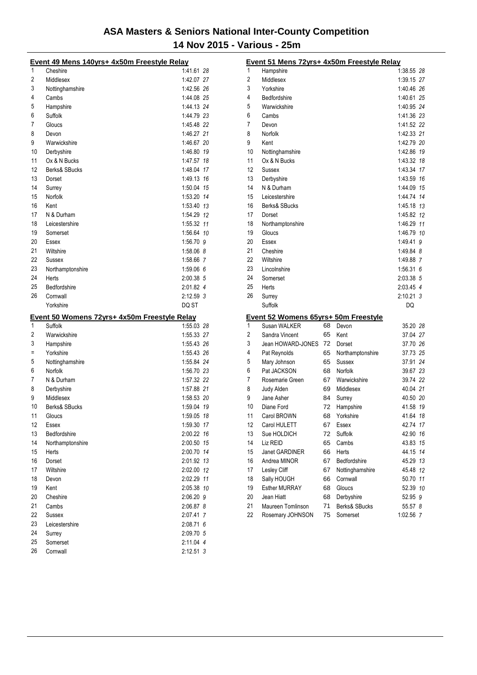|          | Event 49 Mens 140yrs+ 4x50m Freestyle Relay  |                        |  |
|----------|----------------------------------------------|------------------------|--|
| 1        | Cheshire                                     | 1:41.61 28             |  |
| 2        | Middlesex                                    | 1:42.07 27             |  |
| 3        | Nottinghamshire                              | 1:42.56 26             |  |
| 4        | Cambs                                        | 1:44.08 25             |  |
| 5        | Hampshire                                    | 1:44.13 24             |  |
| 6        | Suffolk                                      | 1:44.79 23             |  |
| 7        | Gloucs                                       | 1:45.48 22             |  |
| 8        | Devon                                        | 1:46.27 21             |  |
| 9        | Warwickshire                                 | 1:46.67 20             |  |
| 10       | Derbyshire                                   | 1:46.80 19             |  |
| 11       | Ox & N Bucks                                 | 1:47.57 18             |  |
| 12       | Berks& SBucks                                | 1:48.04 17             |  |
| 13       | Dorset                                       | 1:49.13 16             |  |
| 14       | Surrey                                       | 1:50.04 15             |  |
| 15       | Norfolk                                      | 1:53.20 14             |  |
| 16       | Kent                                         | 1:53.40 13             |  |
| 17       | N & Durham                                   | 1:54.29 12             |  |
| 18       | Leicestershire                               | 1:55.32 11             |  |
| 19       | Somerset                                     | 1:56.64 10             |  |
| 20       | Essex                                        | 1:56.70 9              |  |
| 21       | Wiltshire                                    | 1:58.06 8              |  |
| 22       | Sussex                                       | 1:58.66 7              |  |
| 23       | Northamptonshire                             | 1:59.066               |  |
| 24       | Herts                                        | 2:00.38 5              |  |
| 25       | Bedfordshire                                 | 2:01.82 4              |  |
| 26       | Cornwall                                     | 2:12.59 3              |  |
|          |                                              |                        |  |
|          |                                              |                        |  |
|          | Yorkshire                                    | DQ ST                  |  |
|          | Event 50 Womens 72yrs+ 4x50m Freestyle Relay |                        |  |
| 1        | Suffolk                                      | 1:55.03 28             |  |
| 2        | Warwickshire                                 | 1:55.33 27             |  |
| 3        | Hampshire                                    | 1:55.43 26             |  |
| Ξ        | Yorkshire                                    | 1:55.43 26             |  |
| 5        | Nottinghamshire                              | 1:55.84 24             |  |
| 6        | Norfolk                                      | 1:56.70 23             |  |
| 7        | N & Durham                                   | 1:57.32 22             |  |
| 8        | Derbyshire                                   | 1:57.88 21             |  |
| 9        | Middlesex                                    | 1:58.53 20             |  |
| 10       | Berks& SBucks                                | 1:59.04 19             |  |
| 11       | Gloucs                                       | 1:59.05 18             |  |
| 12       | Essex                                        | 1:59.30 17             |  |
| 13       | Bedfordshire                                 | 2:00.22 16             |  |
| 14       | Northamptonshire                             | 2:00.50 15             |  |
| 15       | Herts                                        | 2:00.70 14             |  |
| 16       | Dorset                                       | 2:01.92 13             |  |
| 17       | Wiltshire                                    | 2:02.00 12             |  |
| 18       | Devon                                        | 2:02.29 11             |  |
| 19       | Kent                                         | 2:05.38 10             |  |
| 20       | Cheshire                                     | 2:06.20 9              |  |
| 21       | Cambs                                        | 2:06.87 8              |  |
| 22       | <b>Sussex</b>                                | 2:07.41 7              |  |
| 23       | Leicestershire                               | 2:08.71 6              |  |
| 24       | Surrey                                       | 2:09.70 5              |  |
| 25<br>26 | Somerset<br>Cornwall                         | 2:11.04 4<br>2:12.51 3 |  |

| 1<br>1:38.55 28<br>Hampshire<br>2<br>Middlesex<br>1:39.15 27<br>3<br>Yorkshire<br>1:40.46 26<br>4<br>Bedfordshire<br>1:40.61 25<br>5<br>Warwickshire<br>1:40.95 24<br>1:41.36 23<br>6<br>Cambs<br>7<br>1:41.52 22<br>Devon<br>8<br>1:42.33 21<br>Norfolk<br>9<br>Kent<br>1:42.79 20<br>10<br>1:42.86 19<br>Nottinghamshire<br>11<br>1:43.32 18<br>Ox & N Bucks<br>12<br>1:43.34 17<br>Sussex<br>13<br>Derbyshire<br>1:43.59 16<br>14<br>N & Durham<br>1:44.09 15<br>15<br>1:44.74 14<br>Leicestershire<br>16<br>Berks& SBucks<br>1:45.18 13<br>17<br>1:45.82 12<br>Dorset<br>18<br>1:46.29 11<br>Northamptonshire<br>19<br>Gloucs<br>1:46.79 10<br>20<br>1.49.41 9<br>Essex<br>21<br>Cheshire<br>1:49.84 8<br>22<br>Wiltshire<br>1:49.88 7<br>23<br>1:56.31 6<br>Lincolnshire<br>24<br>2:03.38 5<br>Somerset<br>25<br>Herts<br>2:03.45 4<br>26<br>2:10.21 3<br>Surrey<br>Suffolk<br>DQ<br>Event 52 Womens 65yrs+ 50m Freestyle<br>1<br>Susan WALKER<br>68<br>35.20 28<br>Devon<br>65<br>2<br>Sandra Vincent<br>Kent<br>37.04 27<br>3<br>72<br>Jean HOWARD-JONES<br>37.70 26<br>Dorset<br>4<br>Pat Reynolds<br>65<br>Northamptonshire<br>37.73 25<br>5<br>Mary Johnson<br>65<br>37.91 24<br>Sussex<br>6<br>Pat JACKSON<br>68<br>Norfolk<br>39.67 23<br>7<br>39.74 22<br>67<br>Warwickshire<br>Rosemarie Green<br>8<br>Judy Alden<br>Middlesex<br>40.04 21<br>69<br>9<br>Jane Asher<br>40.50 20<br>84<br>Surrey<br>10<br>72<br>Hampshire<br>Diane Ford<br>41.58 19<br>11<br>Carol BROWN<br>68<br>Yorkshire<br>41.64 18<br>12<br>Carol HULETT<br>42.74 17<br>67<br>Essex<br>13<br>Suffolk<br>42.90<br>Sue HOLDICH<br>72<br>16<br>14<br>65<br>43.83<br>15<br>Liz REID<br>Cambs<br>15<br>Janet GARDINER<br>66<br>44.15<br>14<br>Herts<br>16<br>Andrea MINOR<br>Bedfordshire<br>67<br>45.29 13<br>17<br>Lesley Cliff<br>Nottinghamshire<br>45.48<br>12<br>67<br>18<br>Sally HOUGH<br>Cornwall<br>66<br>50.70<br>11<br>19<br><b>Esther MURRAY</b><br>Gloucs<br>52.39 10<br>68<br>20<br>Jean Hiatt<br>Derbyshire<br>52.95 9<br>68<br>21<br>Berks& SBucks<br>Maureen Tomlinson<br>71<br>55.57 8<br>22<br>75<br>1:02.56 7 | Event 51 Mens 72yrs+ 4x50m Freestyle Relay |          |  |
|-----------------------------------------------------------------------------------------------------------------------------------------------------------------------------------------------------------------------------------------------------------------------------------------------------------------------------------------------------------------------------------------------------------------------------------------------------------------------------------------------------------------------------------------------------------------------------------------------------------------------------------------------------------------------------------------------------------------------------------------------------------------------------------------------------------------------------------------------------------------------------------------------------------------------------------------------------------------------------------------------------------------------------------------------------------------------------------------------------------------------------------------------------------------------------------------------------------------------------------------------------------------------------------------------------------------------------------------------------------------------------------------------------------------------------------------------------------------------------------------------------------------------------------------------------------------------------------------------------------------------------------------------------------------------------------------------------------------------------------------------------------------------------------------------------------------------------------------------------------------------------------------------------------------------------------------------------------------------------------------------------------------------------------------------------------------------------------------------------------------|--------------------------------------------|----------|--|
|                                                                                                                                                                                                                                                                                                                                                                                                                                                                                                                                                                                                                                                                                                                                                                                                                                                                                                                                                                                                                                                                                                                                                                                                                                                                                                                                                                                                                                                                                                                                                                                                                                                                                                                                                                                                                                                                                                                                                                                                                                                                                                                 |                                            |          |  |
|                                                                                                                                                                                                                                                                                                                                                                                                                                                                                                                                                                                                                                                                                                                                                                                                                                                                                                                                                                                                                                                                                                                                                                                                                                                                                                                                                                                                                                                                                                                                                                                                                                                                                                                                                                                                                                                                                                                                                                                                                                                                                                                 |                                            |          |  |
|                                                                                                                                                                                                                                                                                                                                                                                                                                                                                                                                                                                                                                                                                                                                                                                                                                                                                                                                                                                                                                                                                                                                                                                                                                                                                                                                                                                                                                                                                                                                                                                                                                                                                                                                                                                                                                                                                                                                                                                                                                                                                                                 |                                            |          |  |
|                                                                                                                                                                                                                                                                                                                                                                                                                                                                                                                                                                                                                                                                                                                                                                                                                                                                                                                                                                                                                                                                                                                                                                                                                                                                                                                                                                                                                                                                                                                                                                                                                                                                                                                                                                                                                                                                                                                                                                                                                                                                                                                 |                                            |          |  |
|                                                                                                                                                                                                                                                                                                                                                                                                                                                                                                                                                                                                                                                                                                                                                                                                                                                                                                                                                                                                                                                                                                                                                                                                                                                                                                                                                                                                                                                                                                                                                                                                                                                                                                                                                                                                                                                                                                                                                                                                                                                                                                                 |                                            |          |  |
|                                                                                                                                                                                                                                                                                                                                                                                                                                                                                                                                                                                                                                                                                                                                                                                                                                                                                                                                                                                                                                                                                                                                                                                                                                                                                                                                                                                                                                                                                                                                                                                                                                                                                                                                                                                                                                                                                                                                                                                                                                                                                                                 |                                            |          |  |
|                                                                                                                                                                                                                                                                                                                                                                                                                                                                                                                                                                                                                                                                                                                                                                                                                                                                                                                                                                                                                                                                                                                                                                                                                                                                                                                                                                                                                                                                                                                                                                                                                                                                                                                                                                                                                                                                                                                                                                                                                                                                                                                 |                                            |          |  |
|                                                                                                                                                                                                                                                                                                                                                                                                                                                                                                                                                                                                                                                                                                                                                                                                                                                                                                                                                                                                                                                                                                                                                                                                                                                                                                                                                                                                                                                                                                                                                                                                                                                                                                                                                                                                                                                                                                                                                                                                                                                                                                                 |                                            |          |  |
|                                                                                                                                                                                                                                                                                                                                                                                                                                                                                                                                                                                                                                                                                                                                                                                                                                                                                                                                                                                                                                                                                                                                                                                                                                                                                                                                                                                                                                                                                                                                                                                                                                                                                                                                                                                                                                                                                                                                                                                                                                                                                                                 |                                            |          |  |
|                                                                                                                                                                                                                                                                                                                                                                                                                                                                                                                                                                                                                                                                                                                                                                                                                                                                                                                                                                                                                                                                                                                                                                                                                                                                                                                                                                                                                                                                                                                                                                                                                                                                                                                                                                                                                                                                                                                                                                                                                                                                                                                 |                                            |          |  |
|                                                                                                                                                                                                                                                                                                                                                                                                                                                                                                                                                                                                                                                                                                                                                                                                                                                                                                                                                                                                                                                                                                                                                                                                                                                                                                                                                                                                                                                                                                                                                                                                                                                                                                                                                                                                                                                                                                                                                                                                                                                                                                                 |                                            |          |  |
|                                                                                                                                                                                                                                                                                                                                                                                                                                                                                                                                                                                                                                                                                                                                                                                                                                                                                                                                                                                                                                                                                                                                                                                                                                                                                                                                                                                                                                                                                                                                                                                                                                                                                                                                                                                                                                                                                                                                                                                                                                                                                                                 |                                            |          |  |
|                                                                                                                                                                                                                                                                                                                                                                                                                                                                                                                                                                                                                                                                                                                                                                                                                                                                                                                                                                                                                                                                                                                                                                                                                                                                                                                                                                                                                                                                                                                                                                                                                                                                                                                                                                                                                                                                                                                                                                                                                                                                                                                 |                                            |          |  |
|                                                                                                                                                                                                                                                                                                                                                                                                                                                                                                                                                                                                                                                                                                                                                                                                                                                                                                                                                                                                                                                                                                                                                                                                                                                                                                                                                                                                                                                                                                                                                                                                                                                                                                                                                                                                                                                                                                                                                                                                                                                                                                                 |                                            |          |  |
|                                                                                                                                                                                                                                                                                                                                                                                                                                                                                                                                                                                                                                                                                                                                                                                                                                                                                                                                                                                                                                                                                                                                                                                                                                                                                                                                                                                                                                                                                                                                                                                                                                                                                                                                                                                                                                                                                                                                                                                                                                                                                                                 |                                            |          |  |
|                                                                                                                                                                                                                                                                                                                                                                                                                                                                                                                                                                                                                                                                                                                                                                                                                                                                                                                                                                                                                                                                                                                                                                                                                                                                                                                                                                                                                                                                                                                                                                                                                                                                                                                                                                                                                                                                                                                                                                                                                                                                                                                 |                                            |          |  |
|                                                                                                                                                                                                                                                                                                                                                                                                                                                                                                                                                                                                                                                                                                                                                                                                                                                                                                                                                                                                                                                                                                                                                                                                                                                                                                                                                                                                                                                                                                                                                                                                                                                                                                                                                                                                                                                                                                                                                                                                                                                                                                                 |                                            |          |  |
|                                                                                                                                                                                                                                                                                                                                                                                                                                                                                                                                                                                                                                                                                                                                                                                                                                                                                                                                                                                                                                                                                                                                                                                                                                                                                                                                                                                                                                                                                                                                                                                                                                                                                                                                                                                                                                                                                                                                                                                                                                                                                                                 |                                            |          |  |
|                                                                                                                                                                                                                                                                                                                                                                                                                                                                                                                                                                                                                                                                                                                                                                                                                                                                                                                                                                                                                                                                                                                                                                                                                                                                                                                                                                                                                                                                                                                                                                                                                                                                                                                                                                                                                                                                                                                                                                                                                                                                                                                 |                                            |          |  |
|                                                                                                                                                                                                                                                                                                                                                                                                                                                                                                                                                                                                                                                                                                                                                                                                                                                                                                                                                                                                                                                                                                                                                                                                                                                                                                                                                                                                                                                                                                                                                                                                                                                                                                                                                                                                                                                                                                                                                                                                                                                                                                                 |                                            |          |  |
|                                                                                                                                                                                                                                                                                                                                                                                                                                                                                                                                                                                                                                                                                                                                                                                                                                                                                                                                                                                                                                                                                                                                                                                                                                                                                                                                                                                                                                                                                                                                                                                                                                                                                                                                                                                                                                                                                                                                                                                                                                                                                                                 |                                            |          |  |
|                                                                                                                                                                                                                                                                                                                                                                                                                                                                                                                                                                                                                                                                                                                                                                                                                                                                                                                                                                                                                                                                                                                                                                                                                                                                                                                                                                                                                                                                                                                                                                                                                                                                                                                                                                                                                                                                                                                                                                                                                                                                                                                 |                                            |          |  |
|                                                                                                                                                                                                                                                                                                                                                                                                                                                                                                                                                                                                                                                                                                                                                                                                                                                                                                                                                                                                                                                                                                                                                                                                                                                                                                                                                                                                                                                                                                                                                                                                                                                                                                                                                                                                                                                                                                                                                                                                                                                                                                                 |                                            |          |  |
|                                                                                                                                                                                                                                                                                                                                                                                                                                                                                                                                                                                                                                                                                                                                                                                                                                                                                                                                                                                                                                                                                                                                                                                                                                                                                                                                                                                                                                                                                                                                                                                                                                                                                                                                                                                                                                                                                                                                                                                                                                                                                                                 |                                            |          |  |
|                                                                                                                                                                                                                                                                                                                                                                                                                                                                                                                                                                                                                                                                                                                                                                                                                                                                                                                                                                                                                                                                                                                                                                                                                                                                                                                                                                                                                                                                                                                                                                                                                                                                                                                                                                                                                                                                                                                                                                                                                                                                                                                 |                                            |          |  |
|                                                                                                                                                                                                                                                                                                                                                                                                                                                                                                                                                                                                                                                                                                                                                                                                                                                                                                                                                                                                                                                                                                                                                                                                                                                                                                                                                                                                                                                                                                                                                                                                                                                                                                                                                                                                                                                                                                                                                                                                                                                                                                                 |                                            |          |  |
|                                                                                                                                                                                                                                                                                                                                                                                                                                                                                                                                                                                                                                                                                                                                                                                                                                                                                                                                                                                                                                                                                                                                                                                                                                                                                                                                                                                                                                                                                                                                                                                                                                                                                                                                                                                                                                                                                                                                                                                                                                                                                                                 |                                            |          |  |
|                                                                                                                                                                                                                                                                                                                                                                                                                                                                                                                                                                                                                                                                                                                                                                                                                                                                                                                                                                                                                                                                                                                                                                                                                                                                                                                                                                                                                                                                                                                                                                                                                                                                                                                                                                                                                                                                                                                                                                                                                                                                                                                 |                                            |          |  |
|                                                                                                                                                                                                                                                                                                                                                                                                                                                                                                                                                                                                                                                                                                                                                                                                                                                                                                                                                                                                                                                                                                                                                                                                                                                                                                                                                                                                                                                                                                                                                                                                                                                                                                                                                                                                                                                                                                                                                                                                                                                                                                                 |                                            |          |  |
|                                                                                                                                                                                                                                                                                                                                                                                                                                                                                                                                                                                                                                                                                                                                                                                                                                                                                                                                                                                                                                                                                                                                                                                                                                                                                                                                                                                                                                                                                                                                                                                                                                                                                                                                                                                                                                                                                                                                                                                                                                                                                                                 |                                            |          |  |
|                                                                                                                                                                                                                                                                                                                                                                                                                                                                                                                                                                                                                                                                                                                                                                                                                                                                                                                                                                                                                                                                                                                                                                                                                                                                                                                                                                                                                                                                                                                                                                                                                                                                                                                                                                                                                                                                                                                                                                                                                                                                                                                 |                                            |          |  |
|                                                                                                                                                                                                                                                                                                                                                                                                                                                                                                                                                                                                                                                                                                                                                                                                                                                                                                                                                                                                                                                                                                                                                                                                                                                                                                                                                                                                                                                                                                                                                                                                                                                                                                                                                                                                                                                                                                                                                                                                                                                                                                                 |                                            |          |  |
|                                                                                                                                                                                                                                                                                                                                                                                                                                                                                                                                                                                                                                                                                                                                                                                                                                                                                                                                                                                                                                                                                                                                                                                                                                                                                                                                                                                                                                                                                                                                                                                                                                                                                                                                                                                                                                                                                                                                                                                                                                                                                                                 |                                            |          |  |
|                                                                                                                                                                                                                                                                                                                                                                                                                                                                                                                                                                                                                                                                                                                                                                                                                                                                                                                                                                                                                                                                                                                                                                                                                                                                                                                                                                                                                                                                                                                                                                                                                                                                                                                                                                                                                                                                                                                                                                                                                                                                                                                 |                                            |          |  |
|                                                                                                                                                                                                                                                                                                                                                                                                                                                                                                                                                                                                                                                                                                                                                                                                                                                                                                                                                                                                                                                                                                                                                                                                                                                                                                                                                                                                                                                                                                                                                                                                                                                                                                                                                                                                                                                                                                                                                                                                                                                                                                                 |                                            |          |  |
|                                                                                                                                                                                                                                                                                                                                                                                                                                                                                                                                                                                                                                                                                                                                                                                                                                                                                                                                                                                                                                                                                                                                                                                                                                                                                                                                                                                                                                                                                                                                                                                                                                                                                                                                                                                                                                                                                                                                                                                                                                                                                                                 |                                            |          |  |
|                                                                                                                                                                                                                                                                                                                                                                                                                                                                                                                                                                                                                                                                                                                                                                                                                                                                                                                                                                                                                                                                                                                                                                                                                                                                                                                                                                                                                                                                                                                                                                                                                                                                                                                                                                                                                                                                                                                                                                                                                                                                                                                 |                                            |          |  |
|                                                                                                                                                                                                                                                                                                                                                                                                                                                                                                                                                                                                                                                                                                                                                                                                                                                                                                                                                                                                                                                                                                                                                                                                                                                                                                                                                                                                                                                                                                                                                                                                                                                                                                                                                                                                                                                                                                                                                                                                                                                                                                                 |                                            |          |  |
|                                                                                                                                                                                                                                                                                                                                                                                                                                                                                                                                                                                                                                                                                                                                                                                                                                                                                                                                                                                                                                                                                                                                                                                                                                                                                                                                                                                                                                                                                                                                                                                                                                                                                                                                                                                                                                                                                                                                                                                                                                                                                                                 |                                            |          |  |
|                                                                                                                                                                                                                                                                                                                                                                                                                                                                                                                                                                                                                                                                                                                                                                                                                                                                                                                                                                                                                                                                                                                                                                                                                                                                                                                                                                                                                                                                                                                                                                                                                                                                                                                                                                                                                                                                                                                                                                                                                                                                                                                 |                                            |          |  |
|                                                                                                                                                                                                                                                                                                                                                                                                                                                                                                                                                                                                                                                                                                                                                                                                                                                                                                                                                                                                                                                                                                                                                                                                                                                                                                                                                                                                                                                                                                                                                                                                                                                                                                                                                                                                                                                                                                                                                                                                                                                                                                                 |                                            |          |  |
|                                                                                                                                                                                                                                                                                                                                                                                                                                                                                                                                                                                                                                                                                                                                                                                                                                                                                                                                                                                                                                                                                                                                                                                                                                                                                                                                                                                                                                                                                                                                                                                                                                                                                                                                                                                                                                                                                                                                                                                                                                                                                                                 |                                            |          |  |
|                                                                                                                                                                                                                                                                                                                                                                                                                                                                                                                                                                                                                                                                                                                                                                                                                                                                                                                                                                                                                                                                                                                                                                                                                                                                                                                                                                                                                                                                                                                                                                                                                                                                                                                                                                                                                                                                                                                                                                                                                                                                                                                 |                                            |          |  |
|                                                                                                                                                                                                                                                                                                                                                                                                                                                                                                                                                                                                                                                                                                                                                                                                                                                                                                                                                                                                                                                                                                                                                                                                                                                                                                                                                                                                                                                                                                                                                                                                                                                                                                                                                                                                                                                                                                                                                                                                                                                                                                                 |                                            |          |  |
|                                                                                                                                                                                                                                                                                                                                                                                                                                                                                                                                                                                                                                                                                                                                                                                                                                                                                                                                                                                                                                                                                                                                                                                                                                                                                                                                                                                                                                                                                                                                                                                                                                                                                                                                                                                                                                                                                                                                                                                                                                                                                                                 |                                            |          |  |
|                                                                                                                                                                                                                                                                                                                                                                                                                                                                                                                                                                                                                                                                                                                                                                                                                                                                                                                                                                                                                                                                                                                                                                                                                                                                                                                                                                                                                                                                                                                                                                                                                                                                                                                                                                                                                                                                                                                                                                                                                                                                                                                 |                                            |          |  |
|                                                                                                                                                                                                                                                                                                                                                                                                                                                                                                                                                                                                                                                                                                                                                                                                                                                                                                                                                                                                                                                                                                                                                                                                                                                                                                                                                                                                                                                                                                                                                                                                                                                                                                                                                                                                                                                                                                                                                                                                                                                                                                                 |                                            |          |  |
|                                                                                                                                                                                                                                                                                                                                                                                                                                                                                                                                                                                                                                                                                                                                                                                                                                                                                                                                                                                                                                                                                                                                                                                                                                                                                                                                                                                                                                                                                                                                                                                                                                                                                                                                                                                                                                                                                                                                                                                                                                                                                                                 |                                            |          |  |
|                                                                                                                                                                                                                                                                                                                                                                                                                                                                                                                                                                                                                                                                                                                                                                                                                                                                                                                                                                                                                                                                                                                                                                                                                                                                                                                                                                                                                                                                                                                                                                                                                                                                                                                                                                                                                                                                                                                                                                                                                                                                                                                 |                                            |          |  |
|                                                                                                                                                                                                                                                                                                                                                                                                                                                                                                                                                                                                                                                                                                                                                                                                                                                                                                                                                                                                                                                                                                                                                                                                                                                                                                                                                                                                                                                                                                                                                                                                                                                                                                                                                                                                                                                                                                                                                                                                                                                                                                                 |                                            |          |  |
|                                                                                                                                                                                                                                                                                                                                                                                                                                                                                                                                                                                                                                                                                                                                                                                                                                                                                                                                                                                                                                                                                                                                                                                                                                                                                                                                                                                                                                                                                                                                                                                                                                                                                                                                                                                                                                                                                                                                                                                                                                                                                                                 | Rosemary JOHNSON                           | Somerset |  |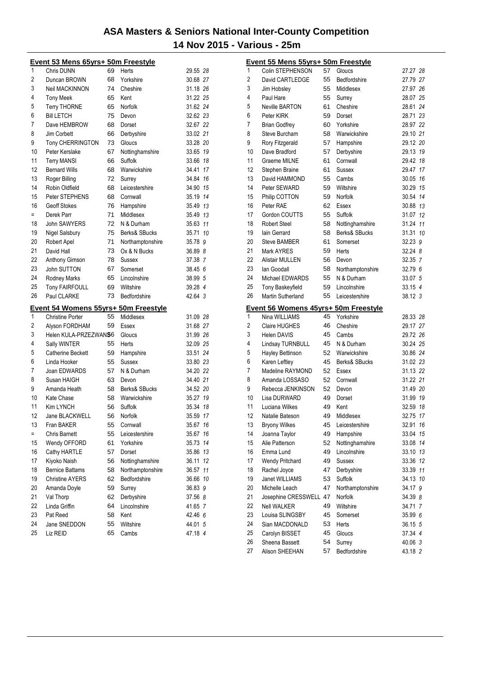|          | Event 53 Mens 65yrs+ 50m Freestyle      |          |                     |                    |    |
|----------|-----------------------------------------|----------|---------------------|--------------------|----|
| 1        | Chris DUNN                              | 69       | Herts               | 29.55 28           |    |
| 2        | Duncan BROWN                            | 68       | Yorkshire           | 30.68 27           |    |
| 3        | Neil MACKINNON                          | 74       | Cheshire            | 31.18 26           |    |
| 4        | <b>Tony Meek</b>                        | 65       | Kent                | 31.22 25           |    |
| 5        | <b>Terry THORNE</b>                     | 65       | Norfolk             | 31.62 24           |    |
| 6        | <b>Bill LETCH</b>                       | 75       | Devon               | 32.62 23           |    |
| 7        | Dave HEMBROW                            | 68       | Dorset              | 32.67 22           |    |
| 8        | Jim Corbett                             | 66       | Derbyshire          | 33.02 21           |    |
| 9        | <b>Tony CHERRINGTON</b>                 | 73       | Gloucs              | 33.28 20           |    |
| 10       | Peter Kerslake                          | 67       | Nottinghamshire     | 33.65 19           |    |
| 11       | <b>Terry MANSI</b>                      | 66       | <b>Suffolk</b>      | 33.66 18           |    |
| 12       | <b>Bernard Wills</b>                    | 68       | Warwickshire        | 34.41 17           |    |
| 13       | Roger Billing                           | 72       | Surrey              | 34.84 16           |    |
| 14       | Robin Oldfield                          | 68       | Leicestershire      | 34.90 15           |    |
| 15       | Peter STEPHENS                          | 68       | Cornwall            | 35.19 14           |    |
| 16       | <b>Geoff Stokes</b>                     | 76       | Hampshire           | 35.49 13           |    |
| $=$      | Derek Parr                              | 71       | Middlesex           | 35.49 13           |    |
| 18       | John SAWYERS                            | 72       | N & Durham          | 35.63 11           |    |
| 19       | Nigel Salsbury                          | 75       | Berks& SBucks       | 35.71 10           |    |
| 20       | Robert Apel                             | 71       | Northamptonshire    | 35.78 9            |    |
| 21       | David Hall                              | 73       | Ox & N Bucks        | 36.89 8            |    |
| 22       | Anthony Gimson                          | 78       | Sussex              | 37.38 7            |    |
| 23       | John SUTTON                             | 67       | Somerset            | 38.45 6            |    |
| 24       | Rodney Marks                            | 65       | Lincolnshire        | 38.99 5            |    |
| 25       | <b>Tony FAIRFOULL</b>                   | 69       | Wiltshire           | 39.28 4            |    |
|          | Paul CLARKE                             | 73       | Bedfordshire        | 42.64 3            |    |
| 26       |                                         |          |                     |                    |    |
|          |                                         |          |                     |                    |    |
| 1        | Event 54 Womens 55yrs+ 50m Freestyle    | 55       |                     |                    |    |
|          | <b>Christine Porter</b>                 |          | Middlesex           | 31.09 28           |    |
| 2        | Alyson FORDHAM<br>Helen KULA-PRZEZWANS6 | 59       | Essex               | 31.68 27           |    |
| 3<br>4   |                                         | 55       | Gloucs              | 31.99 26           |    |
|          | Sally WINTER                            |          | Herts               | 32.09 25           |    |
| 5        | <b>Catherine Beckett</b>                | 59       | Hampshire           | 33.51 24           |    |
| 6        | Linda Hooker                            | 55       | Sussex              | 33.80 23           |    |
| 7        | Joan EDWARDS                            | 57       | N & Durham          | 34.20 22           |    |
| 8        | Susan HAIGH                             | 63       | Devon               | 34.40 21           |    |
| 9        | Amanda Heath                            | 58       | Berks& SBucks       | 34.52 20           |    |
| 10       | Kate Chase                              | 58       | Warwickshire        | 35.27 19           |    |
| 11       | Kim LYNCH                               | 56       | Suffolk             | 35.34 18           |    |
| 12       | Jane BLACKWELL                          | 56       | Norfolk             | 35.59 17           |    |
| 13       | Fran BAKER                              | 55       | Cornwall            | 35.67 16           |    |
| $=$      | <b>Chris Barnett</b>                    | 55       | Leicestershire      | 35.67              | 16 |
| 15       | Wendy OFFORD                            | 61       | Yorkshire           | 35.73              | 14 |
| 16       | Cathy HARTLE                            | 57       | Dorset              | 35.86 13           |    |
| 17       | Kiyoko Naish                            | 56       | Nottinghamshire     | 36.11              | 12 |
| 18       | <b>Bernice Battams</b>                  | 58       | Northamptonshire    | 36.57              | 11 |
| 19       | <b>Christine AYERS</b>                  | 62       | <b>Bedfordshire</b> | 36.66 10           |    |
| 20       | Amanda Doyle                            | 59       | Surrey              | 36.83 9            |    |
| 21       | Val Thorp                               | 62       | Derbyshire          | 37.56 8            |    |
| 22       | Linda Griffin                           | 64       | Lincolnshire        | 41.65 7            |    |
| 23       | Pat Reed                                | 58       | Kent                | 42.46 6            |    |
| 24<br>25 | Jane SNEDDON<br>Liz REID                | 55<br>65 | Wiltshire<br>Cambs  | 44.01 5<br>47.18 4 |    |

| 1              | Event 55 Mens 55yrs+ 50m Freestyle<br>Colin STEPHENSON | 57 |                  |                      |    |
|----------------|--------------------------------------------------------|----|------------------|----------------------|----|
| $\overline{2}$ |                                                        | 55 | Gloucs           | 27.27 28<br>27.79 27 |    |
|                | David CARTLEDGE                                        |    | Bedfordshire     |                      |    |
| 3              | Jim Hobsley                                            | 55 | Middlesex        | 27.97 26             |    |
| 4              | Paul Hare                                              | 55 | Surrey           | 28.07 25             |    |
| 5              | <b>Neville BARTON</b>                                  | 61 | Cheshire         | 28.61 24             |    |
| 6              | Peter KIRK                                             | 59 | Dorset           | 28.71 23             |    |
| 7              | <b>Brian Godfrey</b>                                   | 60 | Yorkshire        | 28.97 22             |    |
| 8              | Steve Burcham                                          | 58 | Warwickshire     | 29.10 21             |    |
| 9              | Rory Fitzgerald                                        | 57 | Hampshire        | 29.12 20             |    |
| 10             | Dave Bradford                                          | 57 | Derbyshire       | 29.13 19             |    |
| 11             | <b>Graeme MILNE</b>                                    | 61 | Cornwall         | 29.42 18             |    |
| 12             | Stephen Braine                                         | 61 | Sussex           | 29.47 17             |    |
| 13             | David HAMMOND                                          | 55 | Cambs            | 30.05                | 16 |
| 14             | Peter SEWARD                                           | 59 | Wiltshire        | 30.29 15             |    |
| 15             | Philip COTTON                                          | 59 | Norfolk          | 30.54 14             |    |
| 16             | Peter RAE                                              | 62 | Essex            | 30.88 13             |    |
| 17             | Gordon COUTTS                                          | 55 | Suffolk          | 31.07 12             |    |
| 18             | <b>Robert Steel</b>                                    | 58 | Nottinghamshire  | 31.24                | 11 |
| 19             | lain Gerrard                                           | 58 | Berks& SBucks    | 31.31                | 10 |
| 20             | <b>Steve BAMBER</b>                                    | 61 | Somerset         | 32.23 9              |    |
| 21             | Mark AYRES                                             | 59 | Herts            | 32.24 8              |    |
| 22             | <b>Alistair MULLEN</b>                                 | 56 | Devon            | 32.35 7              |    |
| 23             | lan Goodall                                            | 58 | Northamptonshire | 32.79 6              |    |
| 24             | Michael EDWARDS                                        | 55 | N & Durham       | 33.07 5              |    |
| 25             | <b>Tony Baskeyfield</b>                                | 59 | Lincolnshire     | 33.15 4              |    |
| 26             | Martin Sutherland                                      | 55 | Leicestershire   | 38.12 3              |    |
|                | Event 56 Womens 45yrs+ 50m Freestyle                   |    |                  |                      |    |
| 1              | Nina WILLIAMS                                          | 45 | Yorkshire        | 28.33 28             |    |
| $\overline{2}$ | Claire HUGHES                                          | 46 | Cheshire         | 29.17 27             |    |
| 3              | <b>Helen DAVIS</b>                                     | 45 | Cambs            | 29.72 26             |    |
| 4              | Lindsay TURNBULL                                       | 45 | N & Durham       | 30.24 25             |    |
| 5              | Hayley Bettinson                                       | 52 | Warwickshire     | 30.86 24             |    |
| 6              | Karen Leftley                                          | 45 | Berks& SBucks    | 31.02 23             |    |
| 7              | Madeline RAYMOND                                       | 52 | Essex            | 31.13 22             |    |
| 8              | Amanda LOSSASO                                         | 52 | Cornwall         | 31.22 21             |    |
| 9              | Rebecca JENKINSON                                      | 52 | Devon            | 31.49 20             |    |
| 10             | Lisa DURWARD                                           | 49 | Dorset           | 31.99 19             |    |
| 11             | Luciana Wilkes                                         | 49 | Kent             | 32.59 18             |    |
| 12             | Natalie Bateson                                        | 49 | Middlesex        | 32.75                | 17 |
| 13             | <b>Bryony Wilkes</b>                                   | 45 | Leicestershire   | 32.91                | 16 |
| 14             | Joanna Taylor                                          | 49 | Hampshire        | 33.04                | 15 |
| 15             | Alie Patterson                                         | 52 | Nottinghamshire  | 33.08                | 14 |
| 16             | Emma Lund                                              | 49 | Lincolnshire     | 33.10 13             |    |
| 17             | <b>Wendy Pritchard</b>                                 | 49 | <b>Sussex</b>    | 33.36                | 12 |
| 18             | Rachel Joyce                                           | 47 | Derbyshire       | 33.39 11             |    |
| 19             | Janet WILLIAMS                                         | 53 | Suffolk          | 34.13 10             |    |
| 20             | Michelle Leach                                         | 47 | Northamptonshire | 34.17 9              |    |
| 21             | Josephine CRESSWELL                                    | 47 | Norfolk          | 34.39 8              |    |
| 22             | <b>Nell WALKER</b>                                     | 49 | Wiltshire        | 34.71 7              |    |
| 23             | Louisa SLINGSBY                                        | 45 | Somerset         | 35.99 6              |    |
| 24             | Sian MACDONALD                                         | 53 | Herts            | 36.15 5              |    |
| 25             | Carolyn BISSET                                         | 45 | Gloucs           | 37.34 4              |    |
| 26             | Sheena Bassett                                         | 54 | Surrey           | 40.06 3              |    |
| 27             | Alison SHEEHAN                                         | 57 | Bedfordshire     | 43.18 2              |    |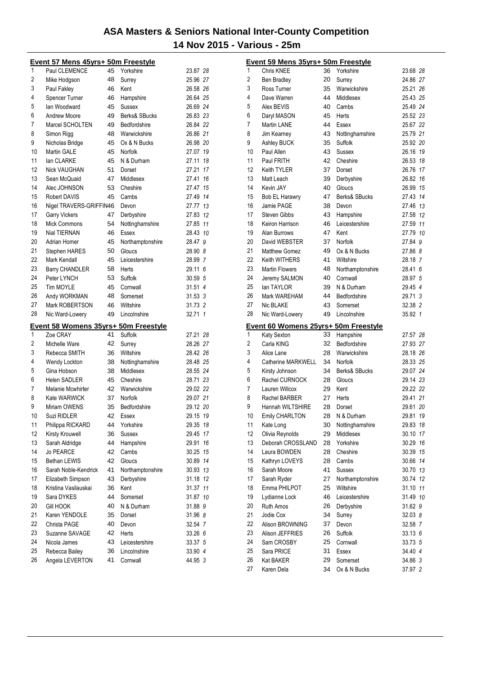|                                                                                      | Event 57 Mens 45yrs+ 50m Freestyle               |    |                  |          |                | Event 59 Mens 35yrs+ 50m Freestyle                  |          |                          |                    |
|--------------------------------------------------------------------------------------|--------------------------------------------------|----|------------------|----------|----------------|-----------------------------------------------------|----------|--------------------------|--------------------|
| 1                                                                                    | Paul CLEMENCE                                    |    | 45 Yorkshire     | 23.87 28 | 1              | Chris KNEE                                          |          | 36 Yorkshire             | 23.68 28           |
| $\sqrt{2}$                                                                           | Mike Hodgson                                     | 48 | Surrey           | 25.96 27 | 2              | <b>Ben Bradley</b>                                  | 20       | Surrey                   | 24.86 27           |
| 3                                                                                    | Paul Fakley                                      | 46 | Kent             | 26.58 26 | 3              | Ross Turner                                         | 35       | Warwickshire             | 25.21 26           |
| 4                                                                                    | Spencer Turner                                   | 46 | Hampshire        | 26.64 25 | 4              | Dave Warren                                         | 44       | Middlesex                | 25.43 25           |
| 5                                                                                    | lan Woodward                                     | 45 | <b>Sussex</b>    | 26.69 24 | 5              | Alex BEVIS                                          | 40       | Cambs                    | 25.49 24           |
| 6                                                                                    | <b>Andrew Moore</b>                              | 49 | Berks& SBucks    | 26.83 23 | 6              | Daryl MASON                                         | 45       | <b>Herts</b>             | 25.52 23           |
| $\overline{7}$                                                                       | Marcel SCHOLTEN                                  | 49 | Bedfordshire     | 26.84 22 | $\overline{7}$ | Martin LANE                                         | 44       | Essex                    | 25.67 22           |
| 8                                                                                    | Simon Rigg                                       | 48 | Warwickshire     | 26.86 21 | 8              | Jim Kearney                                         | 43       | Nottinghamshire          | 25.79 21           |
| 9                                                                                    | Nicholas Bridge                                  | 45 | Ox & N Bucks     | 26.98 20 | 9              | Ashley BUCK                                         | 35       | Suffolk                  | 25.92 20           |
| 10                                                                                   | Martin GALE                                      | 45 | Norfolk          | 27.07 19 | 10             | Paul Allen                                          | 43       | <b>Sussex</b>            | 26.16 19           |
| 11                                                                                   | lan CLARKE                                       | 45 | N & Durham       | 27.11 18 | 11             | Paul FRITH                                          | 42       | Cheshire                 | 26.53 18           |
| 12                                                                                   | <b>Nick VAUGHAN</b>                              | 51 | Dorset           | 27.21 17 | 12             | Keith TYLER                                         | 37       | Dorset                   | 26.76 17           |
| 13                                                                                   | Sean McQuaid                                     | 47 | Middlesex        | 27.41 16 | 13             | Matt Leach                                          | 39       | Derbyshire               | 26.82 16           |
| 14                                                                                   | Alec JOHNSON                                     | 53 | Cheshire         | 27.47 15 | 14             | Kevin JAY                                           | 40       | Gloucs                   | 26.99 15           |
| 15                                                                                   | <b>Robert DAVIS</b>                              | 45 | Cambs            | 27.49 14 | 15             | Bob EL Harawry                                      | 47       | Berks& SBucks            | 27.43 14           |
| 16                                                                                   | Nigel TRAVERS-GRIFFIN46                          |    | Devon            | 27.77 13 | 16             | Jamie PAGE                                          | 38       | Devon                    | 27.46 13           |
| 17                                                                                   | <b>Garry Vickers</b>                             | 47 | Derbyshire       | 27.83 12 | 17             | Steven Gibbs                                        | 43       | Hampshire                | 27.58 12           |
| 18                                                                                   | <b>Mick Commons</b>                              | 54 | Nottinghamshire  | 27.85 11 | 18             | Keiron Harrison                                     | 46       | Leicestershire           | 27.59 11           |
| 19                                                                                   | Nial TIERNAN                                     | 46 | Essex            | 28.43 10 | 19             | Alan Burrows                                        | 47       | Kent                     | 27.79 10           |
| 20                                                                                   | Adrian Homer                                     | 45 | Northamptonshire | 28.47 9  | 20             | David WEBSTER                                       | 37       | Norfolk                  | 27.84 9            |
| 21                                                                                   | Stephen HARES                                    | 50 | Gloucs           | 28.90 8  | 21             | <b>Matthew Gomez</b>                                | 49       | Ox & N Bucks             | 27.86 8            |
| 22                                                                                   | Mark Kendall                                     | 45 | Leicestershire   | 28.99 7  | 22             | Keith WITHERS                                       | 41       | Wiltshire                | 28.18 7            |
| 23                                                                                   | <b>Barry CHANDLER</b>                            | 58 | Herts            | 29.11 6  | 23             | <b>Martin Flowers</b>                               | 48       | Northamptonshire         | 28.41 6            |
| 24                                                                                   | Peter LYNCH                                      | 53 | Suffolk          | 30.59 5  | 24             | Jeremy SALMON                                       | 40       | Cornwall                 | 28.97 5            |
| 25                                                                                   | Tim MOYLE                                        | 45 | Cornwall         | 31.51 4  | 25             | lan TAYLOR                                          | 39       | N & Durham               | 29.45 4            |
| 26                                                                                   | Andy WORKMAN                                     | 48 | Somerset         | 31.53.3  | 26             | Mark WAREHAM                                        | 44       | Bedfordshire             | 29.71 3            |
| 27                                                                                   | Mark ROBERTSON                                   | 46 | Wiltshire        | 31.73 2  | 27             | Nic BLAKE                                           | 43       | Somerset                 | 32.38 2            |
| 28                                                                                   | Nic Ward-Lowery                                  | 49 | Lincolnshire     | 32.71 1  | 28             | Nic Ward-Lowery                                     | 49       | Lincolnshire             | 35.92 1            |
| 1                                                                                    | Event 58 Womens 35yrs+ 50m Freestyle<br>Zoe CRAY | 41 | Suffolk          | 27.21 28 | 1              | Event 60 Womens 25yrs+ 50m Freestyle<br>Katy Sexton | 33       | Hampshire                | 27.57 28           |
| $\overline{c}$                                                                       | Michelle Ware                                    | 42 | Surrey           | 28.26 27 | 2              | Carla KING                                          | 32       | Bedfordshire             | 27.93 27           |
| 3                                                                                    | Rebecca SMITH                                    | 36 | Wiltshire        | 28.42 26 | 3              | Alice Lane                                          | 28       | Warwickshire             | 28.18 26           |
| 4                                                                                    | Wendy Lockton                                    | 38 | Nottinghamshire  | 28.48 25 | 4              | Catherine MARKWELL                                  | 34       | Norfolk                  | 28.33 25           |
| 5                                                                                    | Gina Hobson                                      | 38 | Middlesex        | 28.55 24 | 5              | Kirsty Johnson                                      | 34       | Berks& SBucks            | 29.07 24           |
| 6                                                                                    | <b>Helen SADLER</b>                              | 45 | Cheshire         | 28.71 23 | 6              | Rachel CURNOCK                                      | 28       | Gloucs                   | 29.14 23           |
| $\overline{7}$                                                                       | Melanie Mcwhirter                                | 42 | Warwickshire     | 29.02 22 | $\overline{7}$ | Lauren Willcox                                      | 29       | Kent                     | 29.22 22           |
| 8                                                                                    | Kate WARWICK                                     | 37 | Norfolk          | 29.07 21 | 8              | Rachel BARBER                                       | 27       | Herts                    | 29.41 21           |
| 9                                                                                    | Miriam OWENS                                     | 35 | Bedfordshire     | 29.12 20 | 9              | Hannah WILTSHIRE                                    | 28       | Dorset                   | 29.61 20           |
| 10                                                                                   | Suzi RIDLER                                      | 42 | Essex            | 29.15 19 | 10             | <b>Emily CHARLTON</b>                               | 28       | N & Durham               | 29.81 19           |
| 11                                                                                   |                                                  |    | Yorkshire        |          |                | Kate Long                                           | 30       | Nottinghamshire          | 29.83 18           |
|                                                                                      |                                                  |    |                  |          |                |                                                     |          |                          |                    |
|                                                                                      | Philippa RICKARD                                 | 44 |                  | 29.35 18 | 11             |                                                     |          |                          |                    |
|                                                                                      | <b>Kirsty Krouwell</b>                           | 36 | Sussex           | 29.45 17 | 12             | Olivia Reynolds                                     | 29       | Middlesex                | 30.10 17           |
|                                                                                      | Sarah Aldridge                                   | 44 | Hampshire        | 29.91 16 | 13             | Deborah CROSSLAND                                   | 28       | Yorkshire                | 30.29 16           |
|                                                                                      | Jo PEARCE                                        | 42 | Cambs            | 30.25 15 | 14             | Laura BOWDEN                                        | 28       | Cheshire                 | 30.39 15           |
|                                                                                      | Bethan LEWIS                                     | 42 | Gloucs           | 30.89 14 | 15             | Kathryn LOVEYS                                      | 28       | Cambs                    | 30.66 14           |
|                                                                                      | Sarah Noble-Kendrick                             | 41 | Northamptonshire | 30.93 13 | 16             | Sarah Moore                                         | 41       | Sussex                   | 30.70 13           |
|                                                                                      | Elizabeth Simpson                                | 43 | Derbyshire       | 31.18 12 | 17             | Sarah Ryder                                         | 27       | Northamptonshire         | 30.74 12           |
|                                                                                      | Kristina Vasilauskai                             | 36 | Kent             | 31.37 11 | 18             | Emma PHILPOT                                        | 25       | Wiltshire                | 31.10 11           |
|                                                                                      | Sara DYKES                                       | 44 | Somerset         | 31.87 10 | 19             | Lydianne Lock                                       | 46       | Leicestershire           | 31.49 10           |
|                                                                                      | <b>Gill HOOK</b>                                 | 40 | N & Durham       | 31.88 9  | 20             | <b>Ruth Amos</b>                                    | 26       | Derbyshire               | 31.62 9            |
|                                                                                      | Karen YENDOLE                                    | 35 | Dorset           | 31.96 8  | 21             | Jodie Cox                                           | 34       | Surrey                   | 32.03 8            |
|                                                                                      | Christa PAGE                                     | 40 | Devon            | 32.54 7  | 22             | Alison BROWNING                                     | 37       | Devon                    | 32.58 7            |
|                                                                                      | Suzanne SAVAGE                                   | 42 | Herts            | 33.26 6  | 23             | Alison JEFFRIES                                     | 26       | Suffolk                  | 33.13 6            |
|                                                                                      | Nicola James                                     | 43 | Leicestershire   | 33.37 5  | 24             | Sam CROSBY                                          | 25       | Cornwall                 | 33.73 5            |
| 12<br>13<br>14<br>15<br>16<br>17<br>18<br>19<br>$20\,$<br>21<br>22<br>23<br>24<br>25 | Rebecca Bailey                                   | 36 | Lincolnshire     | 33.90 4  | 25             | Sara PRICE                                          | 31       | Essex                    | 34.40 4            |
| 26                                                                                   | Angela LEVERTON                                  | 41 | Cornwall         | 44.95 3  | 26<br>27       | Kat BAKER<br>Karen Dela                             | 29<br>34 | Somerset<br>Ox & N Bucks | 34.86 3<br>37.97 2 |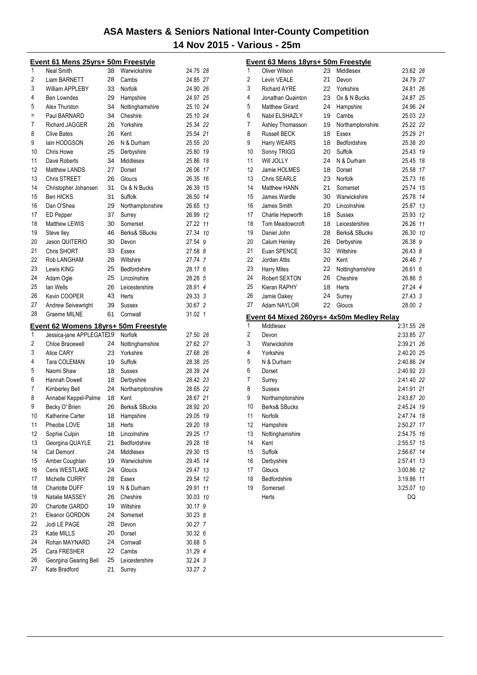|          | <u>Event 61 Mens 25yrs+ 50m Freestyle</u>   |          |                              |                    |    |
|----------|---------------------------------------------|----------|------------------------------|--------------------|----|
| 1        | <b>Neal Smith</b>                           | 38       | Warwickshire                 | 24.75 28           |    |
| 2        | <b>Liam BARNETT</b>                         | 28       | Cambs                        | 24.85 27           |    |
| 3        | <b>William APPLEBY</b>                      | 33       | Norfolk                      | 24.90 26           |    |
| 4        | <b>Ben Lowndes</b>                          | 29       | Hampshire                    | 24.97 25           |    |
| 5        | Alex Thurston                               | 34       | Nottinghamshire              | 25.10 24           |    |
| Ξ        | Paul BARNARD                                | 34       | Cheshire                     | 25.10 24           |    |
| 7        | Richard JAGGER                              | 26       | Yorkshire                    | 25.34 22           |    |
| 8        | <b>Clive Bates</b>                          | 26       | Kent                         | 25.54 21           |    |
| 9        | lain HODGSON                                | 26       | N & Durham                   | 25.55 20           |    |
| 10       | Chris Howe                                  | 25       | Derbyshire                   | 25.80 19           |    |
| 11       | Dave Roberts                                | 34       | Middlesex                    | 25.86 18           |    |
| 12       | <b>Matthew LANDS</b>                        | 27       | Dorset                       | 26.06 17           |    |
| 13       | Chris STREET                                | 26       | Gloucs                       | 26.35 16           |    |
| 14       | Christopher Johansen                        | 31       | Ox & N Bucks                 | 26.39 15           |    |
| 15       | <b>Ben HICKS</b>                            | 31       | Suffolk                      | 26.50 14           |    |
| 16       | Dan O'Shea                                  | 29       | Northamptonshire             | 26.65 13           |    |
| 17       | <b>ED</b> Pepper                            | 37       | Surrey                       | 26.99 12           |    |
| 18       | Matthew LEWIS                               | 30       | Somerset                     | 27.22 11           |    |
| 19       | Steve lley                                  | 46       | Berks& SBucks                | 27.34 10           |    |
| 20       | Jason QUITERIO                              | 30       | Devon                        | 27.54 9            |    |
| 21       | Chris SHORT                                 | 33       | Essex                        | 27.58 8            |    |
| 22       | Rob LANGHAM                                 | 28       | Wiltshire                    | 27.74 7            |    |
| 23       | Lewis KING                                  | 25       | Bedfordshire                 | 28.17 6            |    |
| 24       | Adam Ogle                                   | 25       | Lincolnshire                 | 28.28 5            |    |
| 25       | lan Wells                                   | 26       | Leicestershire               | 28.91 4            |    |
| 26       | Kevin COOPER                                | 43       | Herts                        | 29.33 3            |    |
| 27       | <b>Andrew Seivewright</b>                   | 39       | Sussex                       | 30.67 2            |    |
| 28       | <b>Graeme MILNE</b>                         | 61       | Cornwall                     | 31.02 1            |    |
|          |                                             |          |                              |                    |    |
|          |                                             |          |                              |                    |    |
| 1        | Event 62 Womens 18yrs+ 50m Freestyle        |          | Norfolk                      | 27.50 28           |    |
| 2        | Jessica-jane APPLEGATE19<br>Chloe Bracewell | 24       |                              | 27.62 27           |    |
| 3        | Alice CARY                                  | 23       | Nottinghamshire<br>Yorkshire | 27.68 26           |    |
| 4        | Tara COLEMAN                                | 19       | Suffolk                      | 28.38 25           |    |
| 5        | Naomi Shaw                                  | 18       | Sussex                       | 28.39 24           |    |
| 6        | Hannah Dowell                               | 18       | Derbyshire                   | 28.42 23           |    |
| 7        | Kimberley Bell                              | 24       | Northamptonshire             | 28.65 22           |    |
| 8        | Annabel Keppel-Palme                        | 18       | Kent                         | 28.67 21           |    |
| 9        | Becky O' Brien                              | 26       | Berks& SBucks                | 28.92 20           |    |
| 10       | Katherine Carter                            | 18       | Hampshire                    | 29.05 19           |    |
| 11       | Pheobe LOVE                                 | 18       | Herts                        | 29.20 18           |    |
| 12       | Sophie Culpin                               | 18       | Lincolnshire                 | 29.25              | 17 |
| 13       | Georgina QUAYLE                             | 21       | Bedfordshire                 | 29.28 16           |    |
| 14       | <b>Cat Demont</b>                           | 24       | Middlesex                    | 29.30 15           |    |
| 15       | Amber Coughlan                              | 19       | Warwickshire                 | 29.45 14           |    |
| 16       | Ceris WESTLAKE                              | 24       | Gloucs                       | 29.47 13           |    |
| 17       | Michelle CURRY                              | 28       | Essex                        | 29.54 12           |    |
| 18       | Charlotte DUFF                              | 19       | N & Durham                   | 29.91              | 11 |
| 19       | Natalie MASSEY                              | 26       | Cheshire                     | 30.03 10           |    |
| 20       | Charlotte GARDO                             | 19       | Wiltshire                    | 30.17 9            |    |
| 21       | Eleanor GORDON                              | 24       | Somerset                     | 30.23 8            |    |
| 22       | Jodi LE PAGE                                | 28       | Devon                        | 30.27 7            |    |
| 23       | Katie MILLS                                 | 20       | Dorset                       | 30.32 6            |    |
| 24       | Rohan MAYNARD                               | 24       | Cornwall                     | 30.68 5            |    |
| 25       | Cara FRESHER                                | 22       | Cambs                        | 31.29 4            |    |
| 26<br>27 | Georgina Gearing Bell<br>Kate Bradford      | 25<br>21 | Leicestershire<br>Surrey     | 32.24 3<br>33.27 2 |    |

|                | Event 63 Mens 18yrs+ 50m Freestyle |    |                                           |            |    |
|----------------|------------------------------------|----|-------------------------------------------|------------|----|
| 1              | Oliver Wilson                      | 23 | Middlesex                                 | 23.62 28   |    |
| $\overline{2}$ | Levin VEALE                        | 21 | Devon                                     | 24.79 27   |    |
| 3              | <b>Richard AYRE</b>                | 22 | Yorkshire                                 | 24.81 26   |    |
| 4              | Jonathan Quainton                  | 23 | Ox & N Bucks                              | 24.87 25   |    |
| 5              | <b>Matthew Girard</b>              | 24 | Hampshire                                 | 24.96 24   |    |
| 6              | Nabil ELSHAZLY                     | 19 | Cambs                                     | 25.03 23   |    |
| 7              | Ashley Thomasson                   | 19 | Northamptonshire                          | 25.22 22   |    |
| 8              | <b>Russell BECK</b>                | 18 | Essex                                     | 25.29 21   |    |
| 9              | Harry WEARS                        | 18 | Bedfordshire                              | 25.38 20   |    |
| 10             | Sonny TRIGG                        | 20 | Suffolk                                   | 25.43 19   |    |
| 11             | Will JOLLY                         | 24 | N & Durham                                | 25.45 18   |    |
| 12             | Jamie HOLMES                       | 18 | Dorset                                    | 25.58 17   |    |
| 13             | Chris SEARLE                       | 23 | Norfolk                                   | 25.73 16   |    |
| 14             | Matthew HANN                       | 21 | Somerset                                  | 25.74 15   |    |
| 15             | James Wardle                       | 30 | Warwickshire                              | 25.78 14   |    |
| 16             | James Smith                        | 20 | Lincolnshire                              | 25.87 13   |    |
| 17             | Charlie Hepworth                   | 18 | Sussex                                    | 25.93 12   |    |
| 18             | Tom Meadowcroft                    | 18 | Leicestershire                            | 26.26 11   |    |
| 19             | Daniel John                        | 28 | Berks& SBucks                             | 26.30 10   |    |
| 20             | Calum Henley                       | 26 | Derbyshire                                | 26.38 9    |    |
| 21             | Euan SPENCE                        | 32 | Wiltshire                                 | 26.43 8    |    |
| 22             | Jordan Attis                       | 20 | Kent                                      | 26.46 7    |    |
| 23             | <b>Harry Miles</b>                 | 22 | Nottinghamshire                           | 26.61 6    |    |
| 24             | Robert SEXTON                      | 26 | Cheshire                                  | 26.86 5    |    |
| 25             | Kieran RAPHY                       | 18 | Herts                                     | 27.24 4    |    |
| 26             | Jamie Oakey                        | 24 | Surrey                                    | 27.43 3    |    |
| 27             | Adam NAYLOR                        | 22 | Gloucs                                    | 28.00 2    |    |
|                |                                    |    | Event 64 Mixed 260yrs+ 4x50m Medley Relay |            |    |
| 1              | Middlesex                          |    |                                           | 2:31.55 28 |    |
| 2              | Devon                              |    |                                           | 2:33.85 27 |    |
| 3              | Warwickshire                       |    |                                           | 2:39.21 26 |    |
| 4              | Yorkshire                          |    |                                           | 2:40.20 25 |    |
| 5              | N & Durham                         |    |                                           | 2:40.86 24 |    |
| 6              | Dorset                             |    |                                           | 2:40.92 23 |    |
| 7              | Surrey                             |    |                                           | 2:41.40 22 |    |
| 8              | Sussex                             |    |                                           | 2:41.91 21 |    |
| 9              | Northamptonshire                   |    |                                           | 2.43.87 20 |    |
| 10             | Berks& SBucks                      |    |                                           | 2:45.24 19 |    |
| 11             | Norfolk                            |    |                                           | 2:47.74 18 |    |
| 12             | Hampshire                          |    |                                           | 2:50.27 17 |    |
| 13             | Nottinghamshire                    |    |                                           | 2:54.75 16 |    |
| 14             | Kent                               |    |                                           | 2:55.57    | 15 |
| 15             | Suffolk                            |    |                                           | 2:56.67    | 14 |
| 16             | Derbyshire                         |    |                                           | 2:57.41    | 13 |
| 17             | Gloucs                             |    |                                           | 3:00.86 12 |    |
| 18             | Bedfordshire                       |    |                                           | 3:19.86 11 |    |
| 19             | Somerset                           |    |                                           | 3:25.07 10 |    |
|                | Herts                              |    |                                           | DQ         |    |
|                |                                    |    |                                           |            |    |